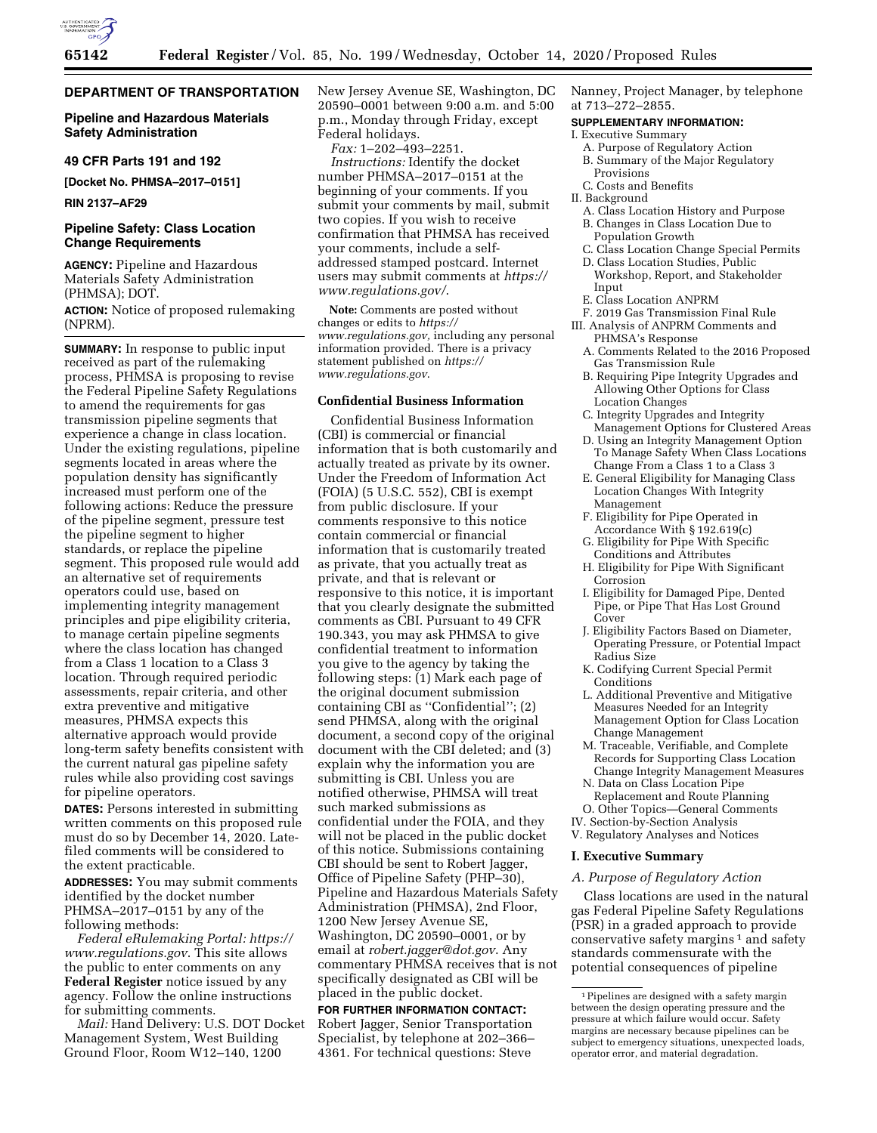

## **DEPARTMENT OF TRANSPORTATION**

# **Pipeline and Hazardous Materials Safety Administration**

#### **49 CFR Parts 191 and 192**

**[Docket No. PHMSA–2017–0151]** 

**RIN 2137–AF29** 

# **Pipeline Safety: Class Location Change Requirements**

**AGENCY:** Pipeline and Hazardous Materials Safety Administration (PHMSA); DOT.

**ACTION:** Notice of proposed rulemaking (NPRM).

**SUMMARY:** In response to public input received as part of the rulemaking process, PHMSA is proposing to revise the Federal Pipeline Safety Regulations to amend the requirements for gas transmission pipeline segments that experience a change in class location. Under the existing regulations, pipeline segments located in areas where the population density has significantly increased must perform one of the following actions: Reduce the pressure of the pipeline segment, pressure test the pipeline segment to higher standards, or replace the pipeline segment. This proposed rule would add an alternative set of requirements operators could use, based on implementing integrity management principles and pipe eligibility criteria, to manage certain pipeline segments where the class location has changed from a Class 1 location to a Class 3 location. Through required periodic assessments, repair criteria, and other extra preventive and mitigative measures, PHMSA expects this alternative approach would provide long-term safety benefits consistent with the current natural gas pipeline safety rules while also providing cost savings for pipeline operators.

**DATES:** Persons interested in submitting written comments on this proposed rule must do so by December 14, 2020. Latefiled comments will be considered to the extent practicable.

**ADDRESSES:** You may submit comments identified by the docket number PHMSA–2017–0151 by any of the following methods:

*Federal eRulemaking Portal: [https://](https://www.regulations.gov) [www.regulations.gov](https://www.regulations.gov)*. This site allows the public to enter comments on any **Federal Register** notice issued by any agency. Follow the online instructions for submitting comments.

*Mail:* Hand Delivery: U.S. DOT Docket Management System, West Building Ground Floor, Room W12–140, 1200

New Jersey Avenue SE, Washington, DC 20590–0001 between 9:00 a.m. and 5:00 p.m., Monday through Friday, except Federal holidays.

*Fax:* 1–202–493–2251.

*Instructions:* Identify the docket number PHMSA–2017–0151 at the beginning of your comments. If you submit your comments by mail, submit two copies. If you wish to receive confirmation that PHMSA has received your comments, include a selfaddressed stamped postcard. Internet users may submit comments at *[https://](https://www.regulations.gov/) [www.regulations.gov/](https://www.regulations.gov/)*.

**Note:** Comments are posted without changes or edits to *[https://](https://www.regulations.gov) [www.regulations.gov,](https://www.regulations.gov)* including any personal information provided. There is a privacy statement published on *[https://](https://www.regulations.gov) [www.regulations.gov](https://www.regulations.gov)*.

# **Confidential Business Information**

Confidential Business Information (CBI) is commercial or financial information that is both customarily and actually treated as private by its owner. Under the Freedom of Information Act (FOIA) (5 U.S.C. 552), CBI is exempt from public disclosure. If your comments responsive to this notice contain commercial or financial information that is customarily treated as private, that you actually treat as private, and that is relevant or responsive to this notice, it is important that you clearly designate the submitted comments as CBI. Pursuant to 49 CFR 190.343, you may ask PHMSA to give confidential treatment to information you give to the agency by taking the following steps: (1) Mark each page of the original document submission containing CBI as ''Confidential''; (2) send PHMSA, along with the original document, a second copy of the original document with the CBI deleted; and (3) explain why the information you are submitting is CBI. Unless you are notified otherwise, PHMSA will treat such marked submissions as confidential under the FOIA, and they will not be placed in the public docket of this notice. Submissions containing CBI should be sent to Robert Jagger, Office of Pipeline Safety (PHP–30), Pipeline and Hazardous Materials Safety Administration (PHMSA), 2nd Floor, 1200 New Jersey Avenue SE, Washington, DC 20590–0001, or by email at *[robert.jagger@dot.gov](mailto:robert.jagger@dot.gov)*. Any commentary PHMSA receives that is not specifically designated as CBI will be placed in the public docket.

#### **FOR FURTHER INFORMATION CONTACT:**

Robert Jagger, Senior Transportation Specialist, by telephone at 202–366– 4361. For technical questions: Steve

Nanney, Project Manager, by telephone at 713–272–2855.

# **SUPPLEMENTARY INFORMATION:**

- I. Executive Summary
- A. Purpose of Regulatory Action
- B. Summary of the Major Regulatory Provisions
- C. Costs and Benefits
- II. Background
	- A. Class Location History and Purpose B. Changes in Class Location Due to
	- Population Growth C. Class Location Change Special Permits
	- D. Class Location Studies, Public Workshop, Report, and Stakeholder Input
	- E. Class Location ANPRM
- F. 2019 Gas Transmission Final Rule
- III. Analysis of ANPRM Comments and PHMSA's Response
- A. Comments Related to the 2016 Proposed Gas Transmission Rule
- B. Requiring Pipe Integrity Upgrades and Allowing Other Options for Class Location Changes
- C. Integrity Upgrades and Integrity Management Options for Clustered Areas
- D. Using an Integrity Management Option To Manage Safety When Class Locations Change From a Class 1 to a Class 3
- E. General Eligibility for Managing Class Location Changes With Integrity Management
- F. Eligibility for Pipe Operated in Accordance With  $\S 192.619(c)$
- G. Eligibility for Pipe With Specific Conditions and Attributes
- H. Eligibility for Pipe With Significant **Corrosion**
- I. Eligibility for Damaged Pipe, Dented Pipe, or Pipe That Has Lost Ground Cover
- J. Eligibility Factors Based on Diameter, Operating Pressure, or Potential Impact Radius Size
- K. Codifying Current Special Permit Conditions
- L. Additional Preventive and Mitigative Measures Needed for an Integrity Management Option for Class Location Change Management
- M. Traceable, Verifiable, and Complete Records for Supporting Class Location Change Integrity Management Measures
- N. Data on Class Location Pipe Replacement and Route Planning O. Other Topics—General Comments
- IV. Section-by-Section Analysis
- V. Regulatory Analyses and Notices

#### **I. Executive Summary**

#### *A. Purpose of Regulatory Action*

Class locations are used in the natural gas Federal Pipeline Safety Regulations (PSR) in a graded approach to provide conservative safety margins<sup>1</sup> and safety standards commensurate with the potential consequences of pipeline

<sup>1</sup>Pipelines are designed with a safety margin between the design operating pressure and the pressure at which failure would occur. Safety margins are necessary because pipelines can be subject to emergency situations, unexpected loads, operator error, and material degradation.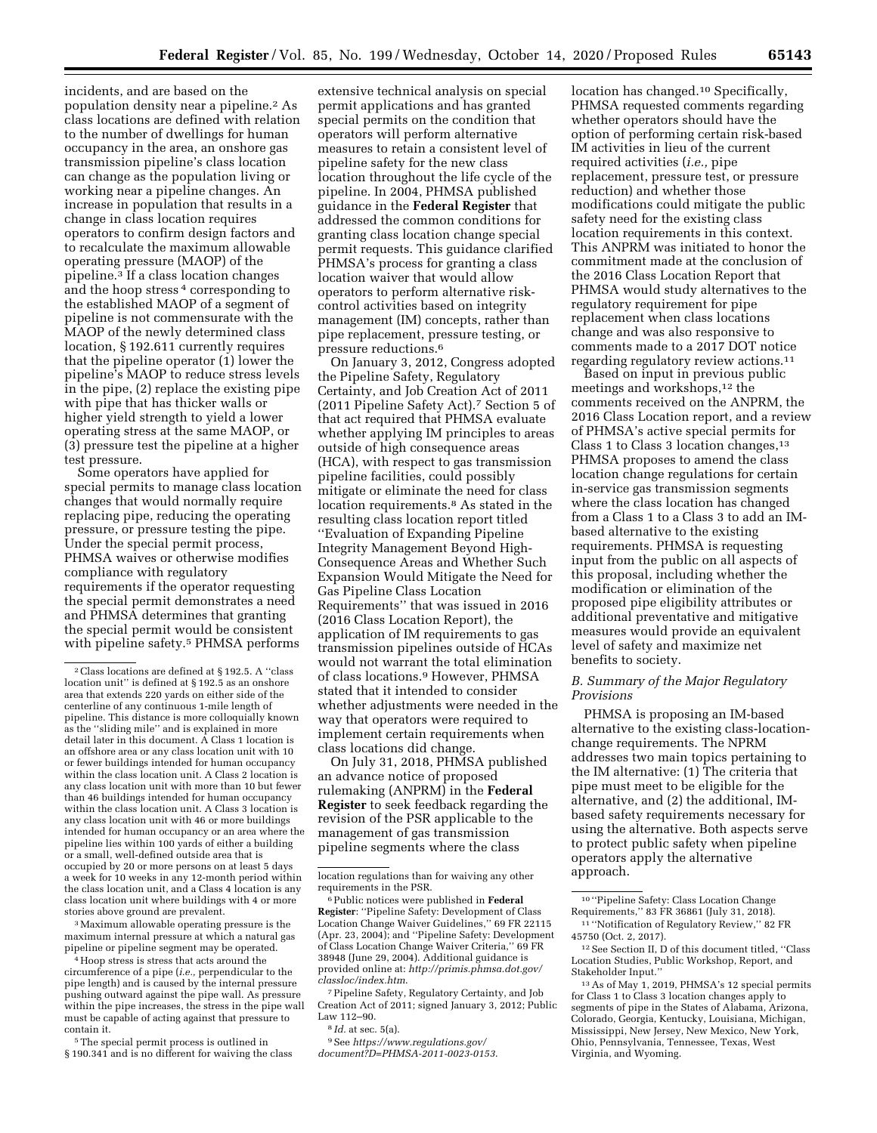incidents, and are based on the population density near a pipeline.2 As class locations are defined with relation to the number of dwellings for human occupancy in the area, an onshore gas transmission pipeline's class location can change as the population living or working near a pipeline changes. An increase in population that results in a change in class location requires operators to confirm design factors and to recalculate the maximum allowable operating pressure (MAOP) of the pipeline.3 If a class location changes and the hoop stress 4 corresponding to the established MAOP of a segment of pipeline is not commensurate with the MAOP of the newly determined class location, § 192.611 currently requires that the pipeline operator (1) lower the pipeline's MAOP to reduce stress levels in the pipe, (2) replace the existing pipe with pipe that has thicker walls or higher yield strength to yield a lower operating stress at the same MAOP, or (3) pressure test the pipeline at a higher test pressure.

Some operators have applied for special permits to manage class location changes that would normally require replacing pipe, reducing the operating pressure, or pressure testing the pipe. Under the special permit process, PHMSA waives or otherwise modifies compliance with regulatory requirements if the operator requesting the special permit demonstrates a need and PHMSA determines that granting the special permit would be consistent with pipeline safety.5 PHMSA performs

3Maximum allowable operating pressure is the maximum internal pressure at which a natural gas pipeline or pipeline segment may be operated.

<sup>4</sup> Hoop stress is stress that acts around the circumference of a pipe (*i.e.,* perpendicular to the pipe length) and is caused by the internal pressure pushing outward against the pipe wall. As pressure within the pipe increases, the stress in the pipe wall must be capable of acting against that pressure to contain it.

5The special permit process is outlined in § 190.341 and is no different for waiving the class

extensive technical analysis on special permit applications and has granted special permits on the condition that operators will perform alternative measures to retain a consistent level of pipeline safety for the new class location throughout the life cycle of the pipeline. In 2004, PHMSA published guidance in the **Federal Register** that addressed the common conditions for granting class location change special permit requests. This guidance clarified PHMSA's process for granting a class location waiver that would allow operators to perform alternative riskcontrol activities based on integrity management (IM) concepts, rather than pipe replacement, pressure testing, or pressure reductions.6

On January 3, 2012, Congress adopted the Pipeline Safety, Regulatory Certainty, and Job Creation Act of 2011 (2011 Pipeline Safety Act).7 Section 5 of that act required that PHMSA evaluate whether applying IM principles to areas outside of high consequence areas (HCA), with respect to gas transmission pipeline facilities, could possibly mitigate or eliminate the need for class location requirements.8 As stated in the resulting class location report titled ''Evaluation of Expanding Pipeline Integrity Management Beyond High-Consequence Areas and Whether Such Expansion Would Mitigate the Need for Gas Pipeline Class Location Requirements'' that was issued in 2016 (2016 Class Location Report), the application of IM requirements to gas transmission pipelines outside of HCAs would not warrant the total elimination of class locations.9 However, PHMSA stated that it intended to consider whether adjustments were needed in the way that operators were required to implement certain requirements when class locations did change.

On July 31, 2018, PHMSA published an advance notice of proposed rulemaking (ANPRM) in the **Federal Register** to seek feedback regarding the revision of the PSR applicable to the management of gas transmission pipeline segments where the class

7Pipeline Safety, Regulatory Certainty, and Job Creation Act of 2011; signed January 3, 2012; Public Law 112–90.

9See *[https://www.regulations.gov/](https://www.regulations.gov/document?D=PHMSA-2011-0023-0153)  [document?D=PHMSA-2011-0023-0153](https://www.regulations.gov/document?D=PHMSA-2011-0023-0153)*.

location has changed.<sup>10</sup> Specifically, PHMSA requested comments regarding whether operators should have the option of performing certain risk-based IM activities in lieu of the current required activities (*i.e.,* pipe replacement, pressure test, or pressure reduction) and whether those modifications could mitigate the public safety need for the existing class location requirements in this context. This ANPRM was initiated to honor the commitment made at the conclusion of the 2016 Class Location Report that PHMSA would study alternatives to the regulatory requirement for pipe replacement when class locations change and was also responsive to comments made to a 2017 DOT notice regarding regulatory review actions.11

Based on input in previous public meetings and workshops,12 the comments received on the ANPRM, the 2016 Class Location report, and a review of PHMSA's active special permits for Class 1 to Class 3 location changes,  $13$ PHMSA proposes to amend the class location change regulations for certain in-service gas transmission segments where the class location has changed from a Class 1 to a Class 3 to add an IMbased alternative to the existing requirements. PHMSA is requesting input from the public on all aspects of this proposal, including whether the modification or elimination of the proposed pipe eligibility attributes or additional preventative and mitigative measures would provide an equivalent level of safety and maximize net benefits to society.

## *B. Summary of the Major Regulatory Provisions*

PHMSA is proposing an IM-based alternative to the existing class-locationchange requirements. The NPRM addresses two main topics pertaining to the IM alternative: (1) The criteria that pipe must meet to be eligible for the alternative, and (2) the additional, IMbased safety requirements necessary for using the alternative. Both aspects serve to protect public safety when pipeline operators apply the alternative approach.

10 ''Pipeline Safety: Class Location Change Requirements,'' 83 FR 36861 (July 31, 2018).

11 ''Notification of Regulatory Review,'' 82 FR 45750 (Oct. 2, 2017).

12See Section II, D of this document titled, ''Class Location Studies, Public Workshop, Report, and Stakeholder Input.''

<sup>2</sup>Class locations are defined at § 192.5. A ''class location unit'' is defined at § 192.5 as an onshore area that extends 220 yards on either side of the centerline of any continuous 1-mile length of pipeline. This distance is more colloquially known as the ''sliding mile'' and is explained in more detail later in this document. A Class 1 location is an offshore area or any class location unit with 10 or fewer buildings intended for human occupancy within the class location unit. A Class 2 location is any class location unit with more than 10 but fewer than 46 buildings intended for human occupancy within the class location unit. A Class 3 location is any class location unit with 46 or more buildings intended for human occupancy or an area where the pipeline lies within 100 yards of either a building or a small, well-defined outside area that is occupied by 20 or more persons on at least 5 days a week for 10 weeks in any 12-month period within the class location unit, and a Class 4 location is any class location unit where buildings with 4 or more stories above ground are prevalent.

location regulations than for waiving any other requirements in the PSR.

<sup>6</sup>Public notices were published in **Federal Register**: ''Pipeline Safety: Development of Class Location Change Waiver Guidelines,'' 69 FR 22115 (Apr. 23, 2004); and ''Pipeline Safety: Development of Class Location Change Waiver Criteria,'' 69 FR 38948 (June 29, 2004). Additional guidance is provided online at: *[http://primis.phmsa.dot.gov/](http://primis.phmsa.dot.gov/classloc/index.htm)  [classloc/index.htm](http://primis.phmsa.dot.gov/classloc/index.htm)*.

<sup>8</sup> *Id.* at sec. 5(a).

<sup>13</sup>As of May 1, 2019, PHMSA's 12 special permits for Class 1 to Class 3 location changes apply to segments of pipe in the States of Alabama, Arizona, Colorado, Georgia, Kentucky, Louisiana, Michigan, Mississippi, New Jersey, New Mexico, New York, Ohio, Pennsylvania, Tennessee, Texas, West Virginia, and Wyoming.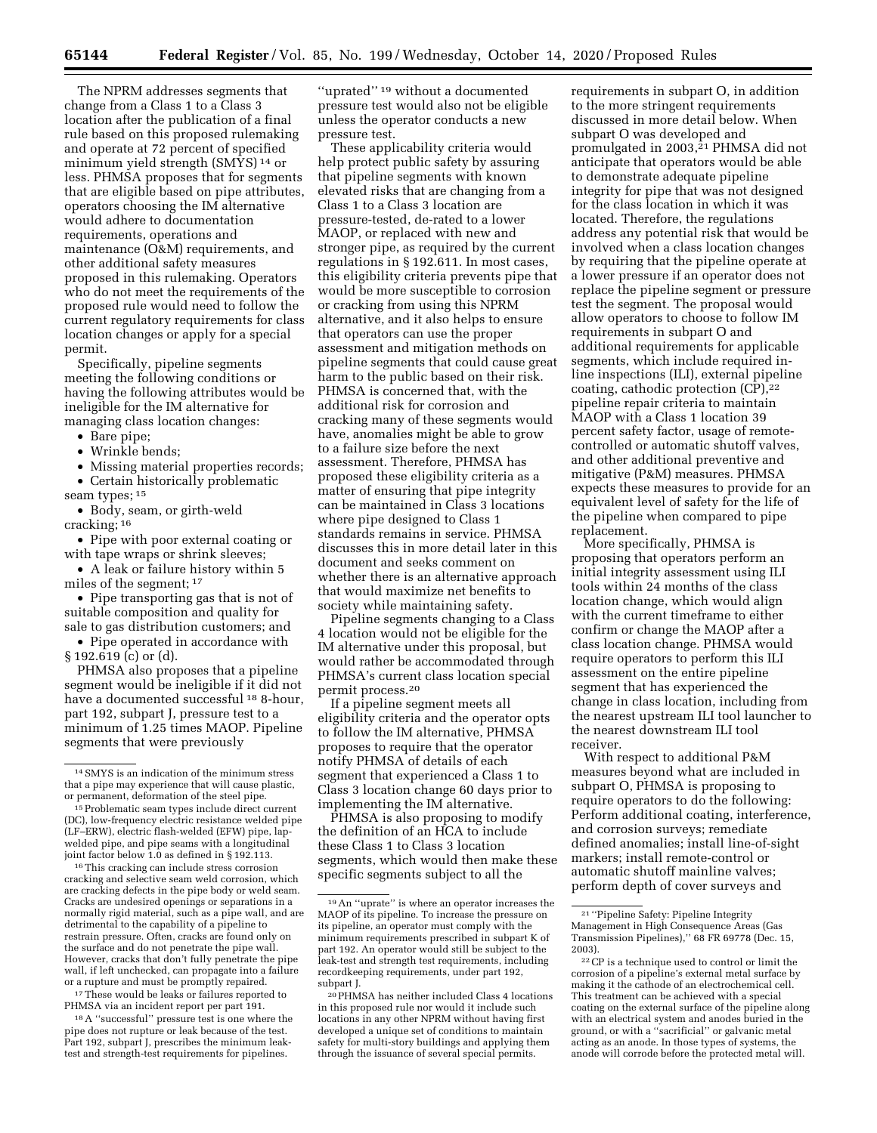The NPRM addresses segments that change from a Class 1 to a Class 3 location after the publication of a final rule based on this proposed rulemaking and operate at 72 percent of specified minimum yield strength (SMYS) 14 or less. PHMSA proposes that for segments that are eligible based on pipe attributes, operators choosing the IM alternative would adhere to documentation requirements, operations and maintenance (O&M) requirements, and other additional safety measures proposed in this rulemaking. Operators who do not meet the requirements of the proposed rule would need to follow the current regulatory requirements for class location changes or apply for a special permit.

Specifically, pipeline segments meeting the following conditions or having the following attributes would be ineligible for the IM alternative for managing class location changes:

- Bare pipe;
- Wrinkle bends;
- Missing material properties records;

• Certain historically problematic seam types; 15

• Body, seam, or girth-weld cracking; 16

• Pipe with poor external coating or with tape wraps or shrink sleeves;

• A leak or failure history within 5 miles of the segment; 17

• Pipe transporting gas that is not of suitable composition and quality for sale to gas distribution customers; and

• Pipe operated in accordance with § 192.619 (c) or (d).

PHMSA also proposes that a pipeline segment would be ineligible if it did not have a documented successful <sup>18</sup> 8-hour, part 192, subpart J, pressure test to a minimum of 1.25 times MAOP. Pipeline segments that were previously

<sup>16</sup>This cracking can include stress corrosion cracking and selective seam weld corrosion, which are cracking defects in the pipe body or weld seam. Cracks are undesired openings or separations in a normally rigid material, such as a pipe wall, and are detrimental to the capability of a pipeline to restrain pressure. Often, cracks are found only on the surface and do not penetrate the pipe wall. However, cracks that don't fully penetrate the pipe wall, if left unchecked, can propagate into a failure or a rupture and must be promptly repaired.

17These would be leaks or failures reported to PHMSA via an incident report per part 191.

18A ''successful'' pressure test is one where the pipe does not rupture or leak because of the test. Part 192, subpart J, prescribes the minimum leaktest and strength-test requirements for pipelines.

''uprated'' 19 without a documented pressure test would also not be eligible unless the operator conducts a new pressure test.

These applicability criteria would help protect public safety by assuring that pipeline segments with known elevated risks that are changing from a Class 1 to a Class 3 location are pressure-tested, de-rated to a lower MAOP, or replaced with new and stronger pipe, as required by the current regulations in § 192.611. In most cases, this eligibility criteria prevents pipe that would be more susceptible to corrosion or cracking from using this NPRM alternative, and it also helps to ensure that operators can use the proper assessment and mitigation methods on pipeline segments that could cause great harm to the public based on their risk. PHMSA is concerned that, with the additional risk for corrosion and cracking many of these segments would have, anomalies might be able to grow to a failure size before the next assessment. Therefore, PHMSA has proposed these eligibility criteria as a matter of ensuring that pipe integrity can be maintained in Class 3 locations where pipe designed to Class 1 standards remains in service. PHMSA discusses this in more detail later in this document and seeks comment on whether there is an alternative approach that would maximize net benefits to society while maintaining safety.

Pipeline segments changing to a Class 4 location would not be eligible for the IM alternative under this proposal, but would rather be accommodated through PHMSA's current class location special permit process.20

If a pipeline segment meets all eligibility criteria and the operator opts to follow the IM alternative, PHMSA proposes to require that the operator notify PHMSA of details of each segment that experienced a Class 1 to Class 3 location change 60 days prior to implementing the IM alternative.

PHMSA is also proposing to modify the definition of an HCA to include these Class 1 to Class 3 location segments, which would then make these specific segments subject to all the

requirements in subpart O, in addition to the more stringent requirements discussed in more detail below. When subpart O was developed and promulgated in 2003,<sup>21</sup> PHMSA did not anticipate that operators would be able to demonstrate adequate pipeline integrity for pipe that was not designed for the class location in which it was located. Therefore, the regulations address any potential risk that would be involved when a class location changes by requiring that the pipeline operate at a lower pressure if an operator does not replace the pipeline segment or pressure test the segment. The proposal would allow operators to choose to follow IM requirements in subpart O and additional requirements for applicable segments, which include required inline inspections (ILI), external pipeline coating, cathodic protection (CP),22 pipeline repair criteria to maintain MAOP with a Class 1 location 39 percent safety factor, usage of remotecontrolled or automatic shutoff valves, and other additional preventive and mitigative (P&M) measures. PHMSA expects these measures to provide for an equivalent level of safety for the life of the pipeline when compared to pipe replacement.

More specifically, PHMSA is proposing that operators perform an initial integrity assessment using ILI tools within 24 months of the class location change, which would align with the current timeframe to either confirm or change the MAOP after a class location change. PHMSA would require operators to perform this ILI assessment on the entire pipeline segment that has experienced the change in class location, including from the nearest upstream ILI tool launcher to the nearest downstream ILI tool receiver.

With respect to additional P&M measures beyond what are included in subpart O, PHMSA is proposing to require operators to do the following: Perform additional coating, interference, and corrosion surveys; remediate defined anomalies; install line-of-sight markers; install remote-control or automatic shutoff mainline valves; perform depth of cover surveys and

<sup>14</sup>SMYS is an indication of the minimum stress that a pipe may experience that will cause plastic, or permanent, deformation of the steel pipe.

<sup>&</sup>lt;sup>15</sup> Problematic seam types include direct current (DC), low-frequency electric resistance welded pipe (LF–ERW), electric flash-welded (EFW) pipe, lapwelded pipe, and pipe seams with a longitudinal joint factor below 1.0 as defined in § 192.113.

<sup>19</sup>An ''uprate'' is where an operator increases the MAOP of its pipeline. To increase the pressure on its pipeline, an operator must comply with the minimum requirements prescribed in subpart K of part 192. An operator would still be subject to the leak-test and strength test requirements, including recordkeeping requirements, under part 192, subpart J.

<sup>20</sup>PHMSA has neither included Class 4 locations in this proposed rule nor would it include such locations in any other NPRM without having first developed a unique set of conditions to maintain safety for multi-story buildings and applying them through the issuance of several special permits.

<sup>21</sup> ''Pipeline Safety: Pipeline Integrity Management in High Consequence Areas (Gas Transmission Pipelines),'' 68 FR 69778 (Dec. 15, 2003).

<sup>22</sup>CP is a technique used to control or limit the corrosion of a pipeline's external metal surface by making it the cathode of an electrochemical cell. This treatment can be achieved with a special coating on the external surface of the pipeline along with an electrical system and anodes buried in the ground, or with a ''sacrificial'' or galvanic metal acting as an anode. In those types of systems, the anode will corrode before the protected metal will.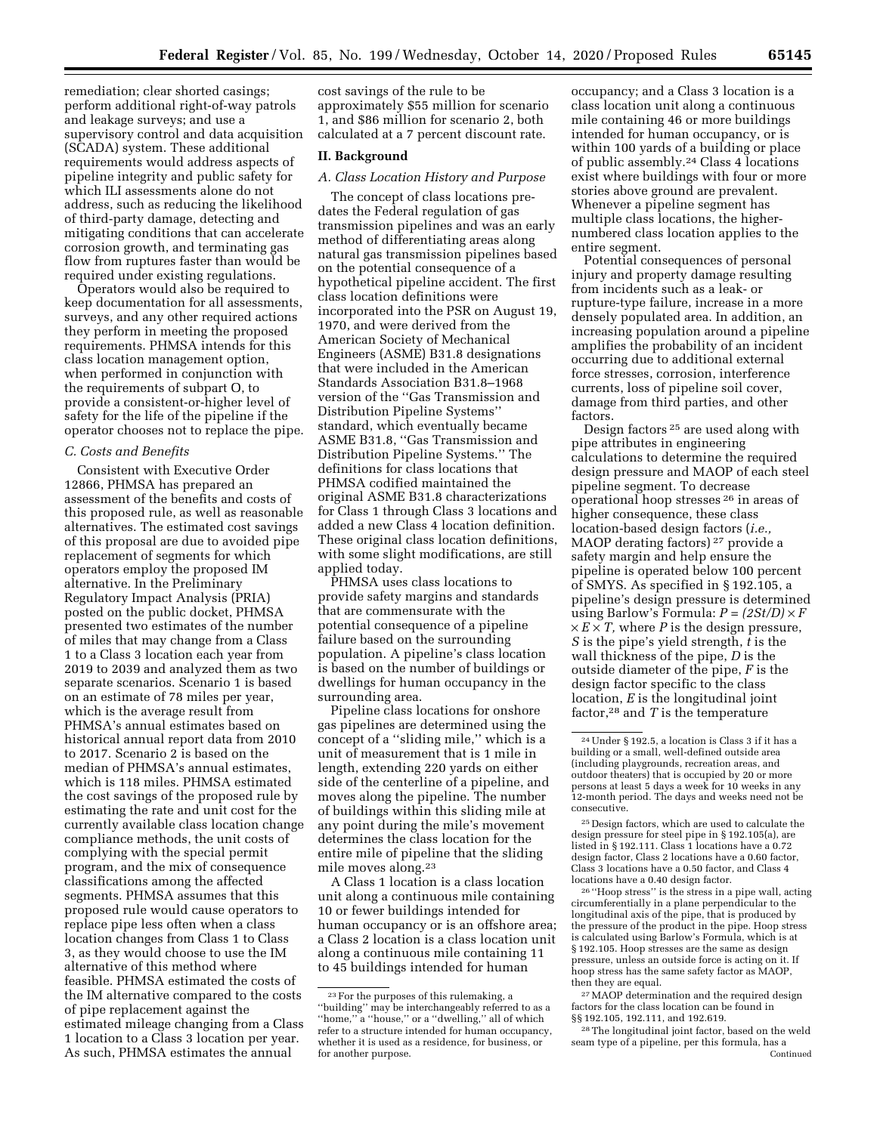remediation; clear shorted casings; perform additional right-of-way patrols and leakage surveys; and use a supervisory control and data acquisition (SCADA) system. These additional requirements would address aspects of pipeline integrity and public safety for which ILI assessments alone do not address, such as reducing the likelihood of third-party damage, detecting and mitigating conditions that can accelerate corrosion growth, and terminating gas flow from ruptures faster than would be required under existing regulations.

Operators would also be required to keep documentation for all assessments, surveys, and any other required actions they perform in meeting the proposed requirements. PHMSA intends for this class location management option, when performed in conjunction with the requirements of subpart O, to provide a consistent-or-higher level of safety for the life of the pipeline if the operator chooses not to replace the pipe.

## *C. Costs and Benefits*

Consistent with Executive Order 12866, PHMSA has prepared an assessment of the benefits and costs of this proposed rule, as well as reasonable alternatives. The estimated cost savings of this proposal are due to avoided pipe replacement of segments for which operators employ the proposed IM alternative. In the Preliminary Regulatory Impact Analysis (PRIA) posted on the public docket, PHMSA presented two estimates of the number of miles that may change from a Class 1 to a Class 3 location each year from 2019 to 2039 and analyzed them as two separate scenarios. Scenario 1 is based on an estimate of 78 miles per year, which is the average result from PHMSA's annual estimates based on historical annual report data from 2010 to 2017. Scenario 2 is based on the median of PHMSA's annual estimates, which is 118 miles. PHMSA estimated the cost savings of the proposed rule by estimating the rate and unit cost for the currently available class location change compliance methods, the unit costs of complying with the special permit program, and the mix of consequence classifications among the affected segments. PHMSA assumes that this proposed rule would cause operators to replace pipe less often when a class location changes from Class 1 to Class 3, as they would choose to use the IM alternative of this method where feasible. PHMSA estimated the costs of the IM alternative compared to the costs of pipe replacement against the estimated mileage changing from a Class 1 location to a Class 3 location per year. As such, PHMSA estimates the annual

cost savings of the rule to be approximately \$55 million for scenario 1, and \$86 million for scenario 2, both calculated at a 7 percent discount rate.

# **II. Background**

# *A. Class Location History and Purpose*

The concept of class locations predates the Federal regulation of gas transmission pipelines and was an early method of differentiating areas along natural gas transmission pipelines based on the potential consequence of a hypothetical pipeline accident. The first class location definitions were incorporated into the PSR on August 19, 1970, and were derived from the American Society of Mechanical Engineers (ASME) B31.8 designations that were included in the American Standards Association B31.8–1968 version of the ''Gas Transmission and Distribution Pipeline Systems'' standard, which eventually became ASME B31.8, ''Gas Transmission and Distribution Pipeline Systems.'' The definitions for class locations that PHMSA codified maintained the original ASME B31.8 characterizations for Class 1 through Class 3 locations and added a new Class 4 location definition. These original class location definitions, with some slight modifications, are still applied today.

PHMSA uses class locations to provide safety margins and standards that are commensurate with the potential consequence of a pipeline failure based on the surrounding population. A pipeline's class location is based on the number of buildings or dwellings for human occupancy in the surrounding area.

Pipeline class locations for onshore gas pipelines are determined using the concept of a ''sliding mile,'' which is a unit of measurement that is 1 mile in length, extending 220 yards on either side of the centerline of a pipeline, and moves along the pipeline. The number of buildings within this sliding mile at any point during the mile's movement determines the class location for the entire mile of pipeline that the sliding mile moves along.23

A Class 1 location is a class location unit along a continuous mile containing 10 or fewer buildings intended for human occupancy or is an offshore area; a Class 2 location is a class location unit along a continuous mile containing 11 to 45 buildings intended for human

occupancy; and a Class 3 location is a class location unit along a continuous mile containing 46 or more buildings intended for human occupancy, or is within 100 yards of a building or place of public assembly.24 Class 4 locations exist where buildings with four or more stories above ground are prevalent. Whenever a pipeline segment has multiple class locations, the highernumbered class location applies to the entire segment.

Potential consequences of personal injury and property damage resulting from incidents such as a leak- or rupture-type failure, increase in a more densely populated area. In addition, an increasing population around a pipeline amplifies the probability of an incident occurring due to additional external force stresses, corrosion, interference currents, loss of pipeline soil cover, damage from third parties, and other factors.

Design factors 25 are used along with pipe attributes in engineering calculations to determine the required design pressure and MAOP of each steel pipeline segment. To decrease operational hoop stresses 26 in areas of higher consequence, these class location-based design factors (*i.e.,*  MAOP derating factors) 27 provide a safety margin and help ensure the pipeline is operated below 100 percent of SMYS. As specified in § 192.105, a pipeline's design pressure is determined using Barlow's Formula:  $P = (2St/D) \times F$  $\times$  *E*  $\times$  *T*, where *P* is the design pressure, *S* is the pipe's yield strength, *t* is the wall thickness of the pipe, *D* is the outside diameter of the pipe, *F* is the design factor specific to the class location, *E* is the longitudinal joint factor,28 and *T* is the temperature

25 Design factors, which are used to calculate the design pressure for steel pipe in § 192.105(a), are listed in § 192.111. Class 1 locations have a 0.72 design factor, Class 2 locations have a 0.60 factor, Class 3 locations have a 0.50 factor, and Class 4 locations have a 0.40 design factor.

26 ''Hoop stress'' is the stress in a pipe wall, acting circumferentially in a plane perpendicular to the longitudinal axis of the pipe, that is produced by the pressure of the product in the pipe. Hoop stress is calculated using Barlow's Formula, which is at § 192.105. Hoop stresses are the same as design pressure, unless an outside force is acting on it. If hoop stress has the same safety factor as MAOP, then they are equal.

27MAOP determination and the required design factors for the class location can be found in §§ 192.105, 192.111, and 192.619.

28The longitudinal joint factor, based on the weld seam type of a pipeline, per this formula, has a Continued

<sup>23</sup>For the purposes of this rulemaking, a ''building'' may be interchangeably referred to as a "home," a "house," or a "dwelling," all of which refer to a structure intended for human occupancy, whether it is used as a residence, for business, or for another purpose.

<sup>24</sup>Under § 192.5, a location is Class 3 if it has a building or a small, well-defined outside area (including playgrounds, recreation areas, and outdoor theaters) that is occupied by 20 or more persons at least 5 days a week for 10 weeks in any 12-month period. The days and weeks need not be consecutive.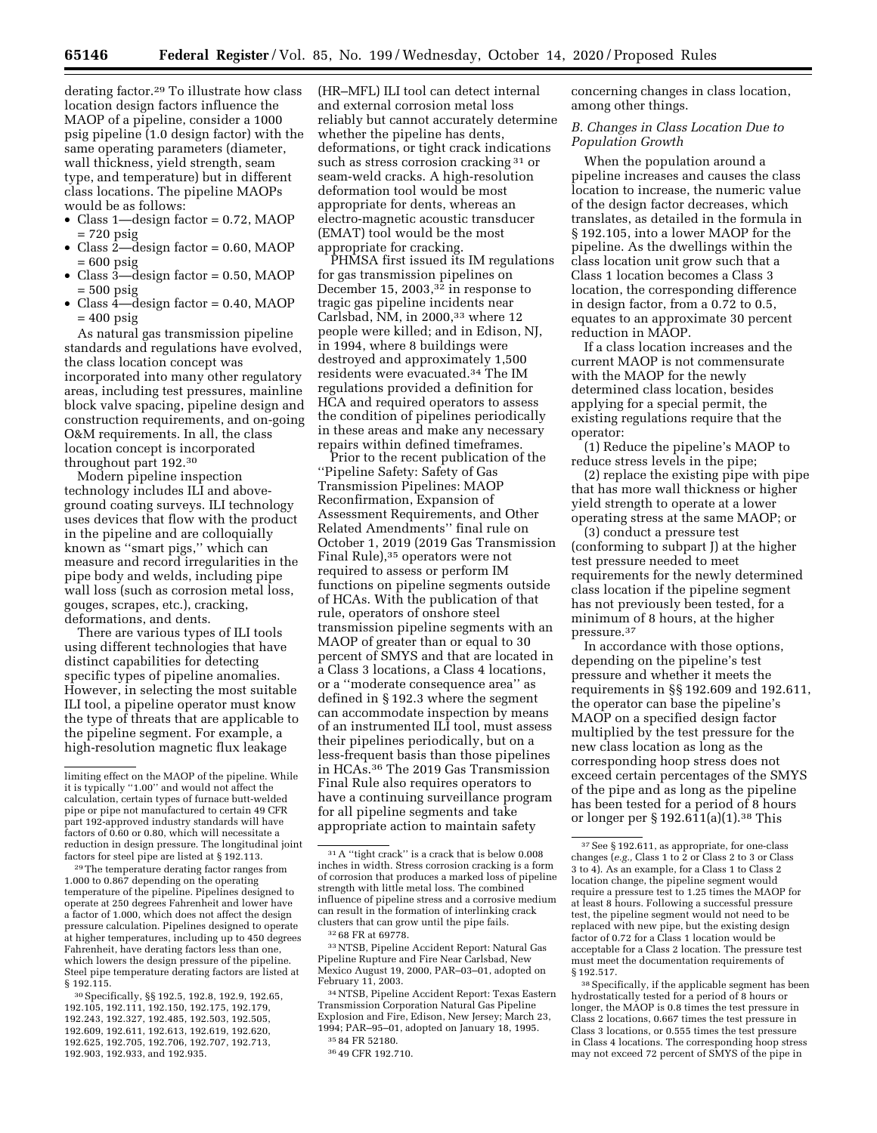derating factor.29 To illustrate how class location design factors influence the MAOP of a pipeline, consider a 1000 psig pipeline (1.0 design factor) with the same operating parameters (diameter, wall thickness, yield strength, seam type, and temperature) but in different class locations. The pipeline MAOPs would be as follows:

- Class 1—design factor = 0.72, MAOP = 720 psig
- Class 2—design factor = 0.60, MAOP = 600 psig
- Class  $3$ —design factor = 0.50, MAOP = 500 psig
- Class 4—design factor = 0.40, MAOP  $= 400 \text{ psig}$

As natural gas transmission pipeline standards and regulations have evolved, the class location concept was incorporated into many other regulatory areas, including test pressures, mainline block valve spacing, pipeline design and construction requirements, and on-going O&M requirements. In all, the class location concept is incorporated throughout part 192.30

Modern pipeline inspection technology includes ILI and aboveground coating surveys. ILI technology uses devices that flow with the product in the pipeline and are colloquially known as ''smart pigs,'' which can measure and record irregularities in the pipe body and welds, including pipe wall loss (such as corrosion metal loss, gouges, scrapes, etc.), cracking, deformations, and dents.

There are various types of ILI tools using different technologies that have distinct capabilities for detecting specific types of pipeline anomalies. However, in selecting the most suitable ILI tool, a pipeline operator must know the type of threats that are applicable to the pipeline segment. For example, a high-resolution magnetic flux leakage

29The temperature derating factor ranges from 1.000 to 0.867 depending on the operating temperature of the pipeline. Pipelines designed to operate at 250 degrees Fahrenheit and lower have a factor of 1.000, which does not affect the design pressure calculation. Pipelines designed to operate at higher temperatures, including up to 450 degrees Fahrenheit, have derating factors less than one, which lowers the design pressure of the pipeline. Steel pipe temperature derating factors are listed at § 192.115.

30Specifically, §§ 192.5, 192.8, 192.9, 192.65, 192.105, 192.111, 192.150, 192.175, 192.179, 192.243, 192.327, 192.485, 192.503, 192.505, 192.609, 192.611, 192.613, 192.619, 192.620, 192.625, 192.705, 192.706, 192.707, 192.713, 192.903, 192.933, and 192.935.

(HR–MFL) ILI tool can detect internal and external corrosion metal loss reliably but cannot accurately determine whether the pipeline has dents, deformations, or tight crack indications such as stress corrosion cracking <sup>31</sup> or seam-weld cracks. A high-resolution deformation tool would be most appropriate for dents, whereas an electro-magnetic acoustic transducer (EMAT) tool would be the most appropriate for cracking.

PHMSA first issued its IM regulations for gas transmission pipelines on December 15, 2003,<sup>32</sup> in response to tragic gas pipeline incidents near Carlsbad, NM, in 2000,33 where 12 people were killed; and in Edison, NJ, in 1994, where 8 buildings were destroyed and approximately 1,500 residents were evacuated.34 The IM regulations provided a definition for HCA and required operators to assess the condition of pipelines periodically in these areas and make any necessary repairs within defined timeframes.

Prior to the recent publication of the ''Pipeline Safety: Safety of Gas Transmission Pipelines: MAOP Reconfirmation, Expansion of Assessment Requirements, and Other Related Amendments'' final rule on October 1, 2019 (2019 Gas Transmission Final Rule),35 operators were not required to assess or perform IM functions on pipeline segments outside of HCAs. With the publication of that rule, operators of onshore steel transmission pipeline segments with an MAOP of greater than or equal to 30 percent of SMYS and that are located in a Class 3 locations, a Class 4 locations, or a ''moderate consequence area'' as defined in § 192.3 where the segment can accommodate inspection by means of an instrumented ILI tool, must assess their pipelines periodically, but on a less-frequent basis than those pipelines in HCAs.36 The 2019 Gas Transmission Final Rule also requires operators to have a continuing surveillance program for all pipeline segments and take appropriate action to maintain safety

33NTSB, Pipeline Accident Report: Natural Gas Pipeline Rupture and Fire Near Carlsbad, New Mexico August 19, 2000, PAR–03–01, adopted on February 11, 2003.

34NTSB, Pipeline Accident Report: Texas Eastern Transmission Corporation Natural Gas Pipeline Explosion and Fire, Edison, New Jersey; March 23, 1994; PAR–95–01, adopted on January 18, 1995. 35 84 FR 52180.

concerning changes in class location, among other things.

*B. Changes in Class Location Due to Population Growth* 

When the population around a pipeline increases and causes the class location to increase, the numeric value of the design factor decreases, which translates, as detailed in the formula in § 192.105, into a lower MAOP for the pipeline. As the dwellings within the class location unit grow such that a Class 1 location becomes a Class 3 location, the corresponding difference in design factor, from a 0.72 to 0.5, equates to an approximate 30 percent reduction in MAOP.

If a class location increases and the current MAOP is not commensurate with the MAOP for the newly determined class location, besides applying for a special permit, the existing regulations require that the operator:

(1) Reduce the pipeline's MAOP to reduce stress levels in the pipe;

(2) replace the existing pipe with pipe that has more wall thickness or higher yield strength to operate at a lower operating stress at the same MAOP; or

(3) conduct a pressure test (conforming to subpart J) at the higher test pressure needed to meet requirements for the newly determined class location if the pipeline segment has not previously been tested, for a minimum of 8 hours, at the higher pressure.37

In accordance with those options, depending on the pipeline's test pressure and whether it meets the requirements in §§ 192.609 and 192.611, the operator can base the pipeline's MAOP on a specified design factor multiplied by the test pressure for the new class location as long as the corresponding hoop stress does not exceed certain percentages of the SMYS of the pipe and as long as the pipeline has been tested for a period of 8 hours or longer per § 192.611(a)(1).38 This

limiting effect on the MAOP of the pipeline. While it is typically ''1.00'' and would not affect the calculation, certain types of furnace butt-welded pipe or pipe not manufactured to certain 49 CFR part 192-approved industry standards will have factors of 0.60 or 0.80, which will necessitate a reduction in design pressure. The longitudinal joint factors for steel pipe are listed at § 192.113.

<sup>31</sup>A ''tight crack'' is a crack that is below 0.008 inches in width. Stress corrosion cracking is a form of corrosion that produces a marked loss of pipeline strength with little metal loss. The combined influence of pipeline stress and a corrosive medium can result in the formation of interlinking crack clusters that can grow until the pipe fails.

<sup>32</sup> 68 FR at 69778.

<sup>36</sup> 49 CFR 192.710.

<sup>37</sup>See § 192.611, as appropriate, for one-class changes (*e.g.,* Class 1 to 2 or Class 2 to 3 or Class 3 to 4). As an example, for a Class 1 to Class 2 location change, the pipeline segment would require a pressure test to 1.25 times the MAOP for at least 8 hours. Following a successful pressure test, the pipeline segment would not need to be replaced with new pipe, but the existing design factor of 0.72 for a Class 1 location would be acceptable for a Class 2 location. The pressure test must meet the documentation requirements of § 192.517.

<sup>38</sup>Specifically, if the applicable segment has been hydrostatically tested for a period of 8 hours or longer, the MAOP is 0.8 times the test pressure in Class 2 locations, 0.667 times the test pressure in Class 3 locations, or 0.555 times the test pressure in Class 4 locations. The corresponding hoop stress may not exceed 72 percent of SMYS of the pipe in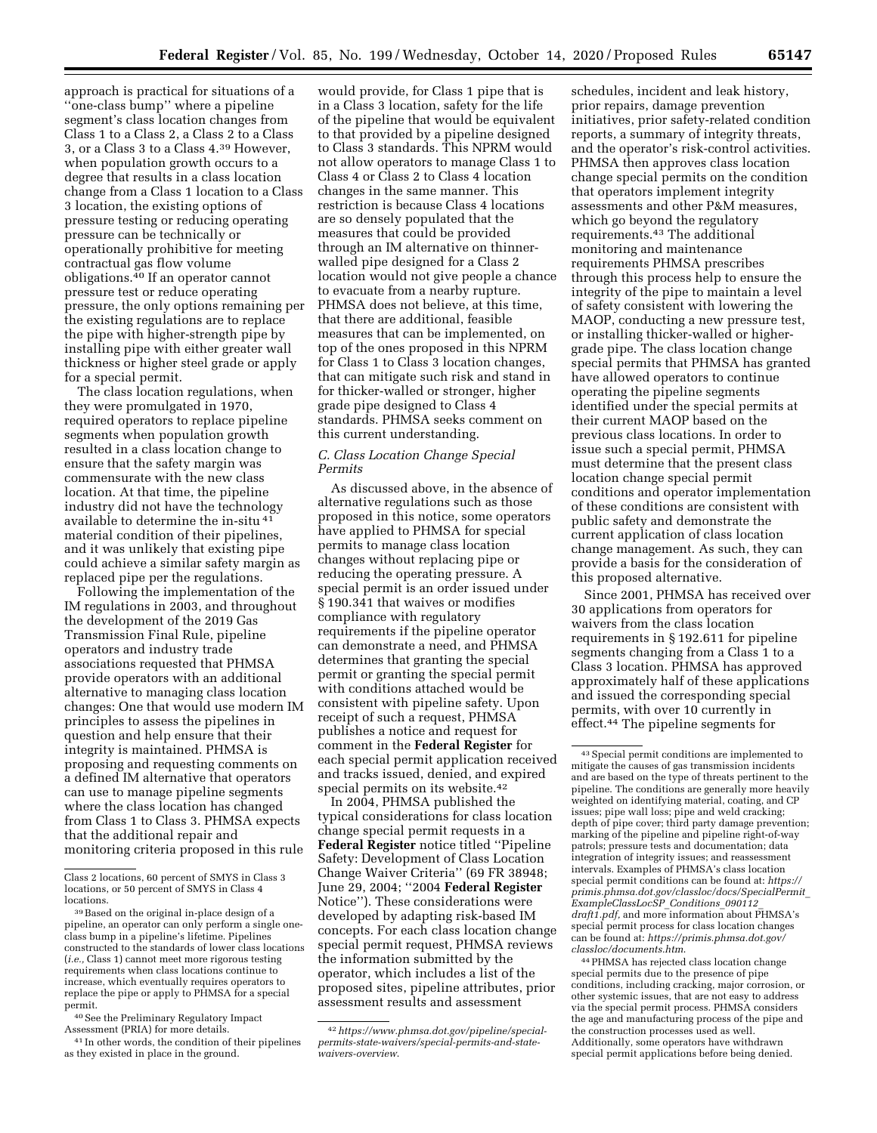approach is practical for situations of a ''one-class bump'' where a pipeline segment's class location changes from Class 1 to a Class 2, a Class 2 to a Class 3, or a Class 3 to a Class 4.39 However, when population growth occurs to a degree that results in a class location change from a Class 1 location to a Class 3 location, the existing options of pressure testing or reducing operating pressure can be technically or operationally prohibitive for meeting contractual gas flow volume obligations.40 If an operator cannot pressure test or reduce operating pressure, the only options remaining per the existing regulations are to replace the pipe with higher-strength pipe by installing pipe with either greater wall thickness or higher steel grade or apply for a special permit.

The class location regulations, when they were promulgated in 1970, required operators to replace pipeline segments when population growth resulted in a class location change to ensure that the safety margin was commensurate with the new class location. At that time, the pipeline industry did not have the technology available to determine the in-situ 41 material condition of their pipelines, and it was unlikely that existing pipe could achieve a similar safety margin as replaced pipe per the regulations.

Following the implementation of the IM regulations in 2003, and throughout the development of the 2019 Gas Transmission Final Rule, pipeline operators and industry trade associations requested that PHMSA provide operators with an additional alternative to managing class location changes: One that would use modern IM principles to assess the pipelines in question and help ensure that their integrity is maintained. PHMSA is proposing and requesting comments on a defined IM alternative that operators can use to manage pipeline segments where the class location has changed from Class 1 to Class 3. PHMSA expects that the additional repair and monitoring criteria proposed in this rule

40See the Preliminary Regulatory Impact Assessment (PRIA) for more details.

41 In other words, the condition of their pipelines as they existed in place in the ground.

would provide, for Class 1 pipe that is in a Class 3 location, safety for the life of the pipeline that would be equivalent to that provided by a pipeline designed to Class 3 standards. This NPRM would not allow operators to manage Class 1 to Class 4 or Class 2 to Class 4 location changes in the same manner. This restriction is because Class 4 locations are so densely populated that the measures that could be provided through an IM alternative on thinnerwalled pipe designed for a Class 2 location would not give people a chance to evacuate from a nearby rupture. PHMSA does not believe, at this time, that there are additional, feasible measures that can be implemented, on top of the ones proposed in this NPRM for Class 1 to Class 3 location changes, that can mitigate such risk and stand in for thicker-walled or stronger, higher grade pipe designed to Class 4 standards. PHMSA seeks comment on this current understanding.

## *C. Class Location Change Special Permits*

As discussed above, in the absence of alternative regulations such as those proposed in this notice, some operators have applied to PHMSA for special permits to manage class location changes without replacing pipe or reducing the operating pressure. A special permit is an order issued under § 190.341 that waives or modifies compliance with regulatory requirements if the pipeline operator can demonstrate a need, and PHMSA determines that granting the special permit or granting the special permit with conditions attached would be consistent with pipeline safety. Upon receipt of such a request, PHMSA publishes a notice and request for comment in the **Federal Register** for each special permit application received and tracks issued, denied, and expired special permits on its website.<sup>42</sup>

In 2004, PHMSA published the typical considerations for class location change special permit requests in a **Federal Register** notice titled ''Pipeline Safety: Development of Class Location Change Waiver Criteria'' (69 FR 38948; June 29, 2004; ''2004 **Federal Register**  Notice''). These considerations were developed by adapting risk-based IM concepts. For each class location change special permit request, PHMSA reviews the information submitted by the operator, which includes a list of the proposed sites, pipeline attributes, prior assessment results and assessment

schedules, incident and leak history, prior repairs, damage prevention initiatives, prior safety-related condition reports, a summary of integrity threats, and the operator's risk-control activities. PHMSA then approves class location change special permits on the condition that operators implement integrity assessments and other P&M measures, which go beyond the regulatory requirements.43 The additional monitoring and maintenance requirements PHMSA prescribes through this process help to ensure the integrity of the pipe to maintain a level of safety consistent with lowering the MAOP, conducting a new pressure test, or installing thicker-walled or highergrade pipe. The class location change special permits that PHMSA has granted have allowed operators to continue operating the pipeline segments identified under the special permits at their current MAOP based on the previous class locations. In order to issue such a special permit, PHMSA must determine that the present class location change special permit conditions and operator implementation of these conditions are consistent with public safety and demonstrate the current application of class location change management. As such, they can provide a basis for the consideration of this proposed alternative.

Since 2001, PHMSA has received over 30 applications from operators for waivers from the class location requirements in § 192.611 for pipeline segments changing from a Class 1 to a Class 3 location. PHMSA has approved approximately half of these applications and issued the corresponding special permits, with over 10 currently in effect.44 The pipeline segments for

44PHMSA has rejected class location change special permits due to the presence of pipe conditions, including cracking, major corrosion, or other systemic issues, that are not easy to address via the special permit process. PHMSA considers the age and manufacturing process of the pipe and the construction processes used as well. Additionally, some operators have withdrawn special permit applications before being denied.

Class 2 locations, 60 percent of SMYS in Class 3 locations, or 50 percent of SMYS in Class 4 locations.

<sup>39</sup>Based on the original in-place design of a pipeline, an operator can only perform a single oneclass bump in a pipeline's lifetime. Pipelines constructed to the standards of lower class locations (*i.e.,* Class 1) cannot meet more rigorous testing requirements when class locations continue to increase, which eventually requires operators to replace the pipe or apply to PHMSA for a special permit.

<sup>42</sup>*[https://www.phmsa.dot.gov/pipeline/special](https://www.phmsa.dot.gov/pipeline/special-permits-state-waivers/special-permits-and-state-waivers-overview)[permits-state-waivers/special-permits-and-state](https://www.phmsa.dot.gov/pipeline/special-permits-state-waivers/special-permits-and-state-waivers-overview)[waivers-overview](https://www.phmsa.dot.gov/pipeline/special-permits-state-waivers/special-permits-and-state-waivers-overview)*.

<sup>43</sup>Special permit conditions are implemented to mitigate the causes of gas transmission incidents and are based on the type of threats pertinent to the pipeline. The conditions are generally more heavily weighted on identifying material, coating, and CP issues; pipe wall loss; pipe and weld cracking; depth of pipe cover; third party damage prevention; marking of the pipeline and pipeline right-of-way patrols; pressure tests and documentation; data integration of integrity issues; and reassessment intervals. Examples of PHMSA's class location special permit conditions can be found at: *[https://](https://primis.phmsa.dot.gov/classloc/docs/SpecialPermit_ExampleClassLocSP_Conditions_090112_draft1.pdf)  [primis.phmsa.dot.gov/classloc/docs/SpecialPermit](https://primis.phmsa.dot.gov/classloc/docs/SpecialPermit_ExampleClassLocSP_Conditions_090112_draft1.pdf)*\_ *[ExampleClassLocSP](https://primis.phmsa.dot.gov/classloc/docs/SpecialPermit_ExampleClassLocSP_Conditions_090112_draft1.pdf)*\_*Conditions*\_*090112*\_ *[draft1.pdf,](https://primis.phmsa.dot.gov/classloc/docs/SpecialPermit_ExampleClassLocSP_Conditions_090112_draft1.pdf)* and more information about PHMSA's special permit process for class location changes can be found at: *[https://primis.phmsa.dot.gov/](https://primis.phmsa.dot.gov/classloc/documents.htm)  [classloc/documents.htm](https://primis.phmsa.dot.gov/classloc/documents.htm)*.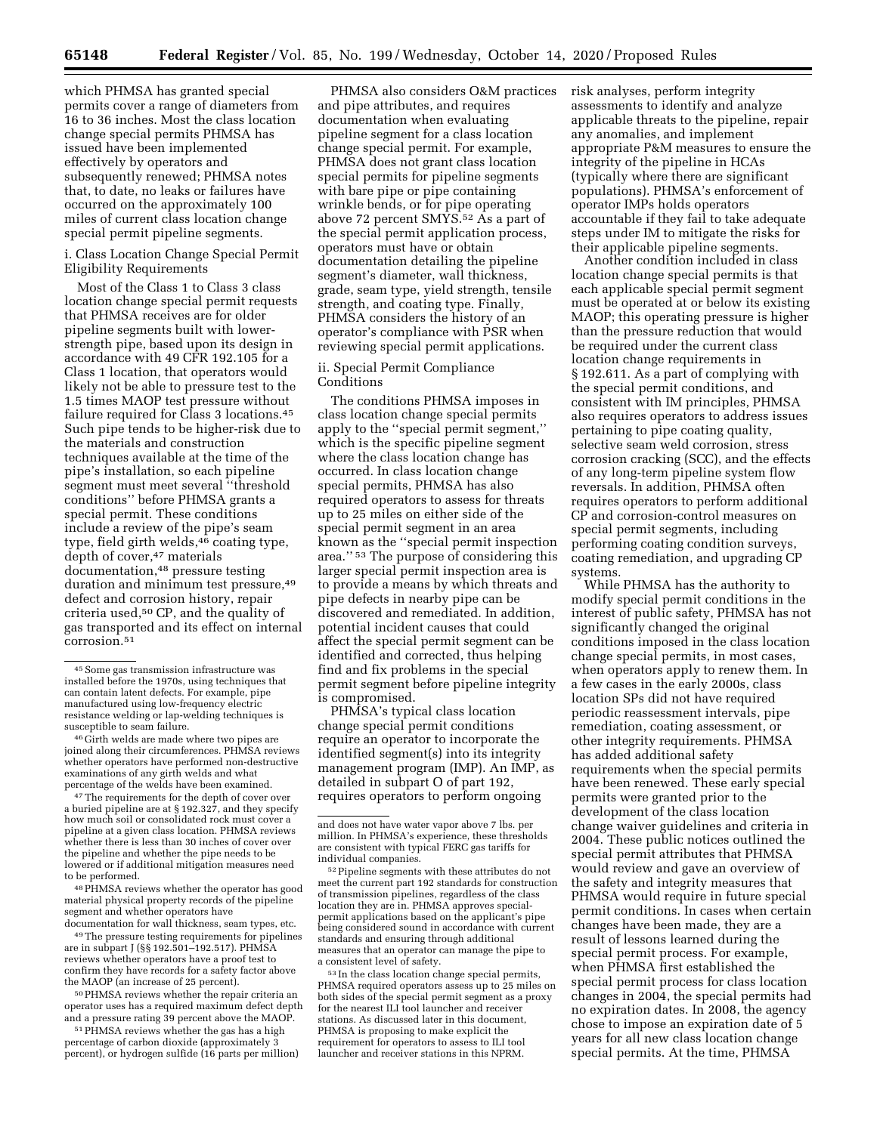which PHMSA has granted special permits cover a range of diameters from 16 to 36 inches. Most the class location change special permits PHMSA has issued have been implemented effectively by operators and subsequently renewed; PHMSA notes that, to date, no leaks or failures have occurred on the approximately 100 miles of current class location change special permit pipeline segments.

i. Class Location Change Special Permit Eligibility Requirements

Most of the Class 1 to Class 3 class location change special permit requests that PHMSA receives are for older pipeline segments built with lowerstrength pipe, based upon its design in accordance with 49 CFR 192.105 for a Class 1 location, that operators would likely not be able to pressure test to the 1.5 times MAOP test pressure without failure required for Class 3 locations.<sup>45</sup> Such pipe tends to be higher-risk due to the materials and construction techniques available at the time of the pipe's installation, so each pipeline segment must meet several ''threshold conditions'' before PHMSA grants a special permit. These conditions include a review of the pipe's seam type, field girth welds,  $46$  coating type, depth of cover,<sup>47</sup> materials documentation,48 pressure testing duration and minimum test pressure, 49 defect and corrosion history, repair criteria used,50 CP, and the quality of gas transported and its effect on internal corrosion.51

46 Girth welds are made where two pipes are joined along their circumferences. PHMSA reviews whether operators have performed non-destructive examinations of any girth welds and what percentage of the welds have been examined.

47The requirements for the depth of cover over a buried pipeline are at § 192.327, and they specify how much soil or consolidated rock must cover a pipeline at a given class location. PHMSA reviews whether there is less than 30 inches of cover over the pipeline and whether the pipe needs to be lowered or if additional mitigation measures need to be performed.

48PHMSA reviews whether the operator has good material physical property records of the pipeline segment and whether operators have documentation for wall thickness, seam types, etc.

49The pressure testing requirements for pipelines are in subpart J (§§ 192.501–192.517). PHMSA reviews whether operators have a proof test to confirm they have records for a safety factor above the MAOP (an increase of 25 percent).

50PHMSA reviews whether the repair criteria an operator uses has a required maximum defect depth and a pressure rating 39 percent above the MAOP.

51PHMSA reviews whether the gas has a high percentage of carbon dioxide (approximately 3 percent), or hydrogen sulfide (16 parts per million)

PHMSA also considers O&M practices and pipe attributes, and requires documentation when evaluating pipeline segment for a class location change special permit. For example, PHMSA does not grant class location special permits for pipeline segments with bare pipe or pipe containing wrinkle bends, or for pipe operating above 72 percent  $\text{SM}\hat{Y}\hat{S}$ <sup>52</sup> As a part of the special permit application process, operators must have or obtain documentation detailing the pipeline segment's diameter, wall thickness, grade, seam type, yield strength, tensile strength, and coating type. Finally, PHMSA considers the history of an operator's compliance with PSR when reviewing special permit applications.

# ii. Special Permit Compliance Conditions

The conditions PHMSA imposes in class location change special permits apply to the ''special permit segment,'' which is the specific pipeline segment where the class location change has occurred. In class location change special permits, PHMSA has also required operators to assess for threats up to 25 miles on either side of the special permit segment in an area known as the ''special permit inspection area.'' 53 The purpose of considering this larger special permit inspection area is to provide a means by which threats and pipe defects in nearby pipe can be discovered and remediated. In addition, potential incident causes that could affect the special permit segment can be identified and corrected, thus helping find and fix problems in the special permit segment before pipeline integrity is compromised.

PHMSA's typical class location change special permit conditions require an operator to incorporate the identified segment(s) into its integrity management program (IMP). An IMP, as detailed in subpart O of part 192, requires operators to perform ongoing

53 In the class location change special permits, PHMSA required operators assess up to 25 miles on both sides of the special permit segment as a proxy for the nearest ILI tool launcher and receiver stations. As discussed later in this document, PHMSA is proposing to make explicit the requirement for operators to assess to ILI tool launcher and receiver stations in this NPRM.

risk analyses, perform integrity assessments to identify and analyze applicable threats to the pipeline, repair any anomalies, and implement appropriate P&M measures to ensure the integrity of the pipeline in HCAs (typically where there are significant populations). PHMSA's enforcement of operator IMPs holds operators accountable if they fail to take adequate steps under IM to mitigate the risks for their applicable pipeline segments.

Another condition included in class location change special permits is that each applicable special permit segment must be operated at or below its existing MAOP; this operating pressure is higher than the pressure reduction that would be required under the current class location change requirements in § 192.611. As a part of complying with the special permit conditions, and consistent with IM principles, PHMSA also requires operators to address issues pertaining to pipe coating quality, selective seam weld corrosion, stress corrosion cracking (SCC), and the effects of any long-term pipeline system flow reversals. In addition, PHMSA often requires operators to perform additional CP and corrosion-control measures on special permit segments, including performing coating condition surveys, coating remediation, and upgrading CP systems.

While PHMSA has the authority to modify special permit conditions in the interest of public safety, PHMSA has not significantly changed the original conditions imposed in the class location change special permits, in most cases, when operators apply to renew them. In a few cases in the early 2000s, class location SPs did not have required periodic reassessment intervals, pipe remediation, coating assessment, or other integrity requirements. PHMSA has added additional safety requirements when the special permits have been renewed. These early special permits were granted prior to the development of the class location change waiver guidelines and criteria in 2004. These public notices outlined the special permit attributes that PHMSA would review and gave an overview of the safety and integrity measures that PHMSA would require in future special permit conditions. In cases when certain changes have been made, they are a result of lessons learned during the special permit process. For example, when PHMSA first established the special permit process for class location changes in 2004, the special permits had no expiration dates. In 2008, the agency chose to impose an expiration date of 5 years for all new class location change special permits. At the time, PHMSA

 $^{\rm 45}$  Some gas transmission infrastructure was installed before the 1970s, using techniques that can contain latent defects. For example, pipe manufactured using low-frequency electric resistance welding or lap-welding techniques is susceptible to seam failure.

and does not have water vapor above 7 lbs. per million. In PHMSA's experience, these thresholds are consistent with typical FERC gas tariffs for individual companies.

<sup>52</sup>Pipeline segments with these attributes do not meet the current part 192 standards for construction of transmission pipelines, regardless of the class location they are in. PHMSA approves specialpermit applications based on the applicant's pipe being considered sound in accordance with current standards and ensuring through additional measures that an operator can manage the pipe to a consistent level of safety.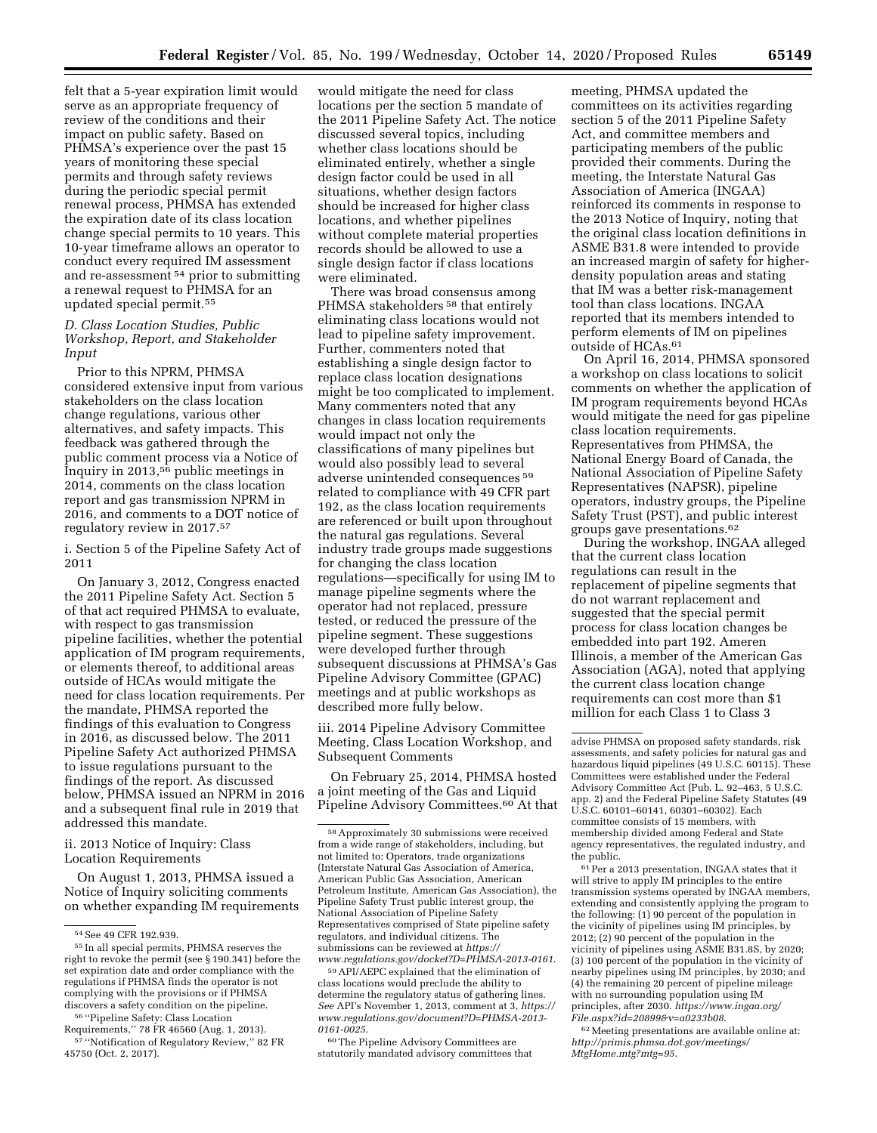felt that a 5-year expiration limit would serve as an appropriate frequency of review of the conditions and their impact on public safety. Based on PHMSA's experience over the past 15 years of monitoring these special permits and through safety reviews during the periodic special permit renewal process, PHMSA has extended the expiration date of its class location change special permits to 10 years. This 10-year timeframe allows an operator to conduct every required IM assessment and re-assessment 54 prior to submitting a renewal request to PHMSA for an updated special permit.55

# *D. Class Location Studies, Public Workshop, Report, and Stakeholder Input*

Prior to this NPRM, PHMSA considered extensive input from various stakeholders on the class location change regulations, various other alternatives, and safety impacts. This feedback was gathered through the public comment process via a Notice of Inquiry in 2013,56 public meetings in 2014, comments on the class location report and gas transmission NPRM in 2016, and comments to a DOT notice of regulatory review in 2017.57

i. Section 5 of the Pipeline Safety Act of 2011

On January 3, 2012, Congress enacted the 2011 Pipeline Safety Act. Section 5 of that act required PHMSA to evaluate, with respect to gas transmission pipeline facilities, whether the potential application of IM program requirements, or elements thereof, to additional areas outside of HCAs would mitigate the need for class location requirements. Per the mandate, PHMSA reported the findings of this evaluation to Congress in 2016, as discussed below. The 2011 Pipeline Safety Act authorized PHMSA to issue regulations pursuant to the findings of the report. As discussed below, PHMSA issued an NPRM in 2016 and a subsequent final rule in 2019 that addressed this mandate.

ii. 2013 Notice of Inquiry: Class Location Requirements

On August 1, 2013, PHMSA issued a Notice of Inquiry soliciting comments on whether expanding IM requirements

would mitigate the need for class locations per the section 5 mandate of the 2011 Pipeline Safety Act. The notice discussed several topics, including whether class locations should be eliminated entirely, whether a single design factor could be used in all situations, whether design factors should be increased for higher class locations, and whether pipelines without complete material properties records should be allowed to use a single design factor if class locations were eliminated.

There was broad consensus among PHMSA stakeholders<sup>58</sup> that entirely eliminating class locations would not lead to pipeline safety improvement. Further, commenters noted that establishing a single design factor to replace class location designations might be too complicated to implement. Many commenters noted that any changes in class location requirements would impact not only the classifications of many pipelines but would also possibly lead to several adverse unintended consequences 59 related to compliance with 49 CFR part 192, as the class location requirements are referenced or built upon throughout the natural gas regulations. Several industry trade groups made suggestions for changing the class location regulations—specifically for using IM to manage pipeline segments where the operator had not replaced, pressure tested, or reduced the pressure of the pipeline segment. These suggestions were developed further through subsequent discussions at PHMSA's Gas Pipeline Advisory Committee (GPAC) meetings and at public workshops as described more fully below.

iii. 2014 Pipeline Advisory Committee Meeting, Class Location Workshop, and Subsequent Comments

On February 25, 2014, PHMSA hosted a joint meeting of the Gas and Liquid Pipeline Advisory Committees.<sup>60</sup> At that

59API/AEPC explained that the elimination of class locations would preclude the ability to determine the regulatory status of gathering lines. *See* API's November 1, 2013, comment at 3, *[https://](https://www.regulations.gov/document?D=PHMSA-2013-0161-0025)  [www.regulations.gov/document?D=PHMSA-2013-](https://www.regulations.gov/document?D=PHMSA-2013-0161-0025)  [0161-0025](https://www.regulations.gov/document?D=PHMSA-2013-0161-0025)*.

60The Pipeline Advisory Committees are statutorily mandated advisory committees that meeting, PHMSA updated the committees on its activities regarding section 5 of the 2011 Pipeline Safety Act, and committee members and participating members of the public provided their comments. During the meeting, the Interstate Natural Gas Association of America (INGAA) reinforced its comments in response to the 2013 Notice of Inquiry, noting that the original class location definitions in ASME B31.8 were intended to provide an increased margin of safety for higherdensity population areas and stating that IM was a better risk-management tool than class locations. INGAA reported that its members intended to perform elements of IM on pipelines outside of HCAs.61

On April 16, 2014, PHMSA sponsored a workshop on class locations to solicit comments on whether the application of IM program requirements beyond HCAs would mitigate the need for gas pipeline class location requirements. Representatives from PHMSA, the National Energy Board of Canada, the National Association of Pipeline Safety Representatives (NAPSR), pipeline operators, industry groups, the Pipeline Safety Trust (PST), and public interest groups gave presentations.62

During the workshop, INGAA alleged that the current class location regulations can result in the replacement of pipeline segments that do not warrant replacement and suggested that the special permit process for class location changes be embedded into part 192. Ameren Illinois, a member of the American Gas Association (AGA), noted that applying the current class location change requirements can cost more than \$1 million for each Class 1 to Class 3

61Per a 2013 presentation, INGAA states that it will strive to apply IM principles to the entire transmission systems operated by INGAA members, extending and consistently applying the program to the following: (1) 90 percent of the population in the vicinity of pipelines using IM principles, by 2012; (2) 90 percent of the population in the vicinity of pipelines using ASME B31.8S, by 2020; (3) 100 percent of the population in the vicinity of nearby pipelines using IM principles, by 2030; and (4) the remaining 20 percent of pipeline mileage with no surrounding population using IM principles, after 2030. *[https://www.ingaa.org/](https://www.ingaa.org/File.aspx?id=20899&v=a0233b08) [File.aspx?id=20899&v=a0233b08](https://www.ingaa.org/File.aspx?id=20899&v=a0233b08)*.

62Meeting presentations are available online at: *[http://primis.phmsa.dot.gov/meetings/](http://primis.phmsa.dot.gov/meetings/MtgHome.mtg?mtg=95)  [MtgHome.mtg?mtg=95](http://primis.phmsa.dot.gov/meetings/MtgHome.mtg?mtg=95)*.

<sup>54</sup>See 49 CFR 192.939.

<sup>55</sup> In all special permits, PHMSA reserves the right to revoke the permit (see § 190.341) before the set expiration date and order compliance with the regulations if PHMSA finds the operator is not complying with the provisions or if PHMSA discovers a safety condition on the pipeline. 56 ''Pipeline Safety: Class Location

Requirements,'' 78 FR 46560 (Aug. 1, 2013). 57 ''Notification of Regulatory Review,'' 82 FR 45750 (Oct. 2, 2017).

<sup>58</sup>Approximately 30 submissions were received from a wide range of stakeholders, including, but not limited to: Operators, trade organizations (Interstate Natural Gas Association of America, American Public Gas Association, American Petroleum Institute, American Gas Association), the Pipeline Safety Trust public interest group, the National Association of Pipeline Safety Representatives comprised of State pipeline safety regulators, and individual citizens. The submissions can be reviewed at *[https://](https://www.regulations.gov/docket?D=PHMSA-2013-0161) [www.regulations.gov/docket?D=PHMSA-2013-0161](https://www.regulations.gov/docket?D=PHMSA-2013-0161)*.

advise PHMSA on proposed safety standards, risk assessments, and safety policies for natural gas and hazardous liquid pipelines (49 U.S.C. 60115). These Committees were established under the Federal Advisory Committee Act (Pub. L. 92–463, 5 U.S.C. app. 2) and the Federal Pipeline Safety Statutes (49 U.S.C. 60101–60141, 60301–60302). Each committee consists of 15 members, with membership divided among Federal and State agency representatives, the regulated industry, and the public.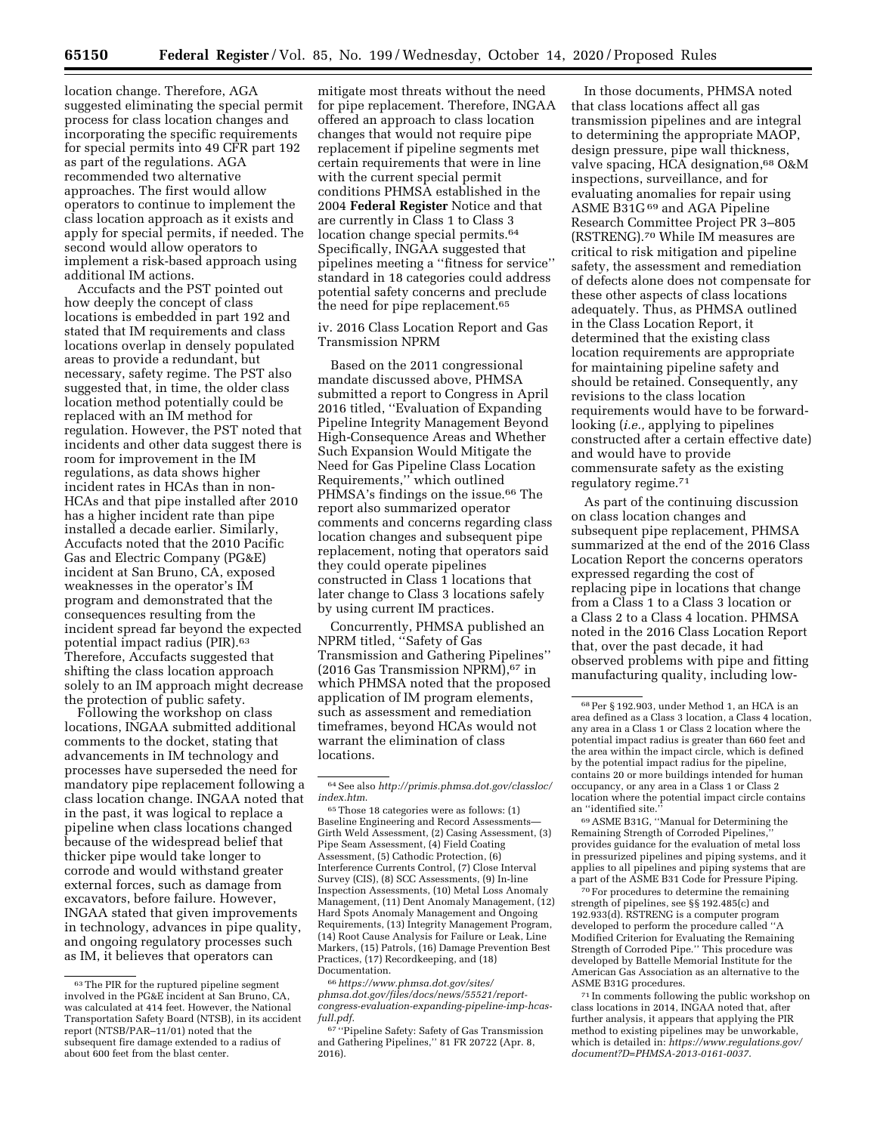location change. Therefore, AGA suggested eliminating the special permit process for class location changes and incorporating the specific requirements for special permits into 49 CFR part 192 as part of the regulations. AGA recommended two alternative approaches. The first would allow operators to continue to implement the class location approach as it exists and apply for special permits, if needed. The second would allow operators to implement a risk-based approach using additional IM actions.

Accufacts and the PST pointed out how deeply the concept of class locations is embedded in part 192 and stated that IM requirements and class locations overlap in densely populated areas to provide a redundant, but necessary, safety regime. The PST also suggested that, in time, the older class location method potentially could be replaced with an IM method for regulation. However, the PST noted that incidents and other data suggest there is room for improvement in the IM regulations, as data shows higher incident rates in HCAs than in non-HCAs and that pipe installed after 2010 has a higher incident rate than pipe installed a decade earlier. Similarly, Accufacts noted that the 2010 Pacific Gas and Electric Company (PG&E) incident at San Bruno, CA, exposed weaknesses in the operator's IM program and demonstrated that the consequences resulting from the incident spread far beyond the expected potential impact radius (PIR).63 Therefore, Accufacts suggested that shifting the class location approach solely to an IM approach might decrease the protection of public safety.

Following the workshop on class locations, INGAA submitted additional comments to the docket, stating that advancements in IM technology and processes have superseded the need for mandatory pipe replacement following a class location change. INGAA noted that in the past, it was logical to replace a pipeline when class locations changed because of the widespread belief that thicker pipe would take longer to corrode and would withstand greater external forces, such as damage from excavators, before failure. However, INGAA stated that given improvements in technology, advances in pipe quality, and ongoing regulatory processes such as IM, it believes that operators can

mitigate most threats without the need for pipe replacement. Therefore, INGAA offered an approach to class location changes that would not require pipe replacement if pipeline segments met certain requirements that were in line with the current special permit conditions PHMSA established in the 2004 **Federal Register** Notice and that are currently in Class 1 to Class 3 location change special permits.64 Specifically, INGAA suggested that pipelines meeting a ''fitness for service'' standard in 18 categories could address potential safety concerns and preclude the need for pipe replacement.<sup>65</sup>

iv. 2016 Class Location Report and Gas Transmission NPRM

Based on the 2011 congressional mandate discussed above, PHMSA submitted a report to Congress in April 2016 titled, ''Evaluation of Expanding Pipeline Integrity Management Beyond High-Consequence Areas and Whether Such Expansion Would Mitigate the Need for Gas Pipeline Class Location Requirements,'' which outlined PHMSA's findings on the issue.<sup>66</sup> The report also summarized operator comments and concerns regarding class location changes and subsequent pipe replacement, noting that operators said they could operate pipelines constructed in Class 1 locations that later change to Class 3 locations safely by using current IM practices.

Concurrently, PHMSA published an NPRM titled, ''Safety of Gas Transmission and Gathering Pipelines'' (2016 Gas Transmission NPRM),67 in which PHMSA noted that the proposed application of IM program elements, such as assessment and remediation timeframes, beyond HCAs would not warrant the elimination of class locations.

65Those 18 categories were as follows: (1) Baseline Engineering and Record Assessments— Girth Weld Assessment, (2) Casing Assessment, (3) Pipe Seam Assessment, (4) Field Coating Assessment, (5) Cathodic Protection, (6) Interference Currents Control, (7) Close Interval Survey (CIS), (8) SCC Assessments, (9) In-line Inspection Assessments, (10) Metal Loss Anomaly Management, (11) Dent Anomaly Management, (12) Hard Spots Anomaly Management and Ongoing Requirements, (13) Integrity Management Program, (14) Root Cause Analysis for Failure or Leak, Line Markers, (15) Patrols, (16) Damage Prevention Best Practices, (17) Recordkeeping, and (18) Documentation.

66*[https://www.phmsa.dot.gov/sites/](https://www.phmsa.dot.gov/sites/phmsa.dot.gov/files/docs/news/55521/report-congress-evaluation-expanding-pipeline-imp-hcas-full.pdf)  [phmsa.dot.gov/files/docs/news/55521/report](https://www.phmsa.dot.gov/sites/phmsa.dot.gov/files/docs/news/55521/report-congress-evaluation-expanding-pipeline-imp-hcas-full.pdf)[congress-evaluation-expanding-pipeline-imp-hcas](https://www.phmsa.dot.gov/sites/phmsa.dot.gov/files/docs/news/55521/report-congress-evaluation-expanding-pipeline-imp-hcas-full.pdf)[full.pdf](https://www.phmsa.dot.gov/sites/phmsa.dot.gov/files/docs/news/55521/report-congress-evaluation-expanding-pipeline-imp-hcas-full.pdf)*.

67 ''Pipeline Safety: Safety of Gas Transmission and Gathering Pipelines,'' 81 FR 20722 (Apr. 8, 2016).

In those documents, PHMSA noted that class locations affect all gas transmission pipelines and are integral to determining the appropriate MAOP, design pressure, pipe wall thickness, valve spacing, HCA designation,<sup>68</sup> O&M inspections, surveillance, and for evaluating anomalies for repair using ASME B31G 69 and AGA Pipeline Research Committee Project PR 3–805 (RSTRENG).70 While IM measures are critical to risk mitigation and pipeline safety, the assessment and remediation of defects alone does not compensate for these other aspects of class locations adequately. Thus, as PHMSA outlined in the Class Location Report, it determined that the existing class location requirements are appropriate for maintaining pipeline safety and should be retained. Consequently, any revisions to the class location requirements would have to be forwardlooking (*i.e.,* applying to pipelines constructed after a certain effective date) and would have to provide commensurate safety as the existing regulatory regime.71

As part of the continuing discussion on class location changes and subsequent pipe replacement, PHMSA summarized at the end of the 2016 Class Location Report the concerns operators expressed regarding the cost of replacing pipe in locations that change from a Class 1 to a Class 3 location or a Class 2 to a Class 4 location. PHMSA noted in the 2016 Class Location Report that, over the past decade, it had observed problems with pipe and fitting manufacturing quality, including low-

69ASME B31G, ''Manual for Determining the Remaining Strength of Corroded Pipelines,'' provides guidance for the evaluation of metal loss in pressurized pipelines and piping systems, and it applies to all pipelines and piping systems that are a part of the ASME B31 Code for Pressure Piping.

70For procedures to determine the remaining strength of pipelines, see §§ 192.485(c) and 192.933(d). RSTRENG is a computer program developed to perform the procedure called ''A Modified Criterion for Evaluating the Remaining Strength of Corroded Pipe.'' This procedure was developed by Battelle Memorial Institute for the American Gas Association as an alternative to the ASME B31G procedures.

71 In comments following the public workshop on class locations in 2014, INGAA noted that, after further analysis, it appears that applying the PIR method to existing pipelines may be unworkable, which is detailed in: *[https://www.regulations.gov/](https://www.regulations.gov/document?D=PHMSA-2013-0161-0037) [document?D=PHMSA-2013-0161-0037](https://www.regulations.gov/document?D=PHMSA-2013-0161-0037)*.

<sup>63</sup>The PIR for the ruptured pipeline segment involved in the PG&E incident at San Bruno, CA, was calculated at 414 feet. However, the National Transportation Safety Board (NTSB), in its accident report (NTSB/PAR–11/01) noted that the subsequent fire damage extended to a radius of about 600 feet from the blast center.

<sup>64</sup>See also *[http://primis.phmsa.dot.gov/classloc/](http://primis.phmsa.dot.gov/classloc/index.htm)  [index.htm](http://primis.phmsa.dot.gov/classloc/index.htm)*.

<sup>68</sup>Per § 192.903, under Method 1, an HCA is an area defined as a Class 3 location, a Class 4 location, any area in a Class 1 or Class 2 location where the potential impact radius is greater than 660 feet and the area within the impact circle, which is defined by the potential impact radius for the pipeline, contains 20 or more buildings intended for human occupancy, or any area in a Class 1 or Class 2 location where the potential impact circle contains an "identified site.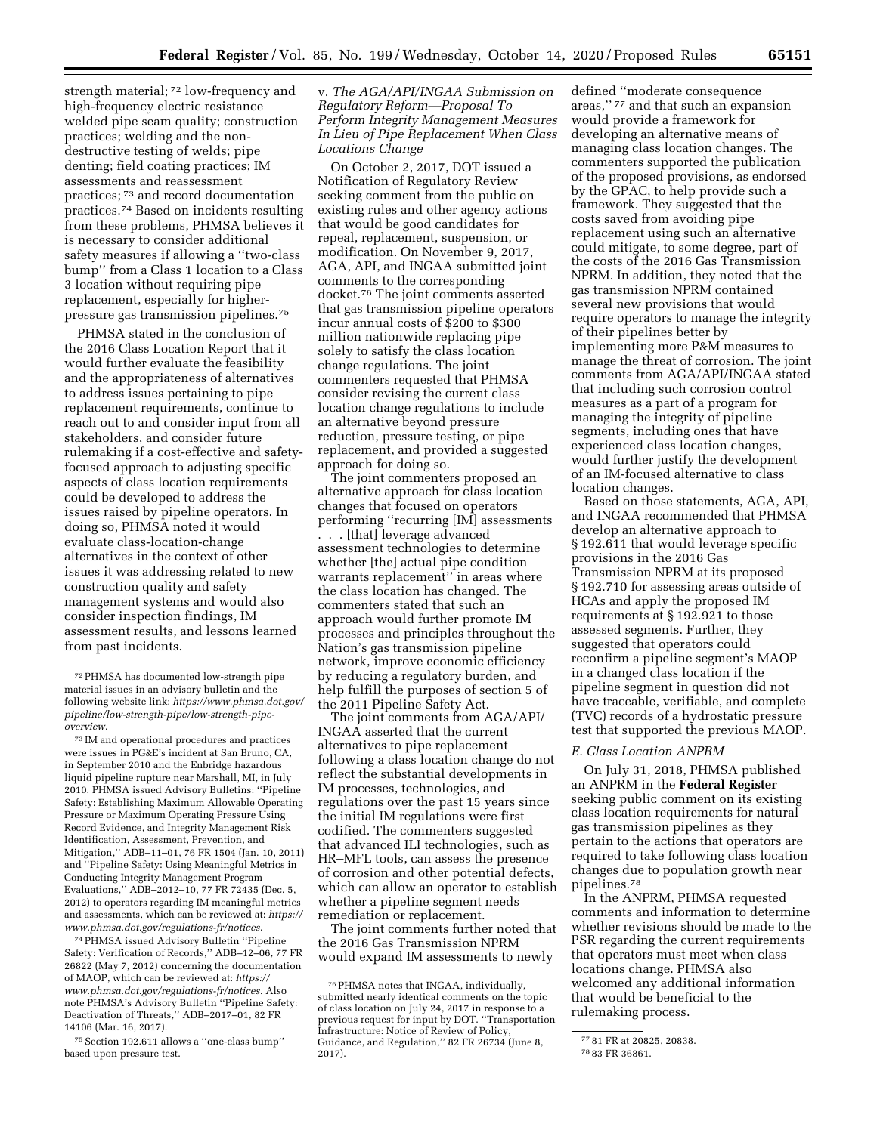strength material; 72 low-frequency and high-frequency electric resistance welded pipe seam quality; construction practices; welding and the nondestructive testing of welds; pipe denting; field coating practices; IM assessments and reassessment practices; 73 and record documentation practices.74 Based on incidents resulting from these problems, PHMSA believes it is necessary to consider additional safety measures if allowing a ''two-class bump'' from a Class 1 location to a Class 3 location without requiring pipe replacement, especially for higherpressure gas transmission pipelines.75

PHMSA stated in the conclusion of the 2016 Class Location Report that it would further evaluate the feasibility and the appropriateness of alternatives to address issues pertaining to pipe replacement requirements, continue to reach out to and consider input from all stakeholders, and consider future rulemaking if a cost-effective and safetyfocused approach to adjusting specific aspects of class location requirements could be developed to address the issues raised by pipeline operators. In doing so, PHMSA noted it would evaluate class-location-change alternatives in the context of other issues it was addressing related to new construction quality and safety management systems and would also consider inspection findings, IM assessment results, and lessons learned from past incidents.

74PHMSA issued Advisory Bulletin ''Pipeline Safety: Verification of Records,'' ADB–12–06, 77 FR 26822 (May 7, 2012) concerning the documentation of MAOP, which can be reviewed at: *[https://](https://www.phmsa.dot.gov/regulations-fr/notices) [www.phmsa.dot.gov/regulations-fr/notices](https://www.phmsa.dot.gov/regulations-fr/notices)*. Also note PHMSA's Advisory Bulletin ''Pipeline Safety: Deactivation of Threats,'' ADB–2017–01, 82 FR 14106 (Mar. 16, 2017).

v. *The AGA/API/INGAA Submission on Regulatory Reform—Proposal To Perform Integrity Management Measures In Lieu of Pipe Replacement When Class Locations Change* 

On October 2, 2017, DOT issued a Notification of Regulatory Review seeking comment from the public on existing rules and other agency actions that would be good candidates for repeal, replacement, suspension, or modification. On November 9, 2017, AGA, API, and INGAA submitted joint comments to the corresponding docket.76 The joint comments asserted that gas transmission pipeline operators incur annual costs of \$200 to \$300 million nationwide replacing pipe solely to satisfy the class location change regulations. The joint commenters requested that PHMSA consider revising the current class location change regulations to include an alternative beyond pressure reduction, pressure testing, or pipe replacement, and provided a suggested approach for doing so.

The joint commenters proposed an alternative approach for class location changes that focused on operators performing ''recurring [IM] assessments . . . [that] leverage advanced assessment technologies to determine whether [the] actual pipe condition warrants replacement'' in areas where the class location has changed. The commenters stated that such an approach would further promote IM processes and principles throughout the Nation's gas transmission pipeline network, improve economic efficiency by reducing a regulatory burden, and help fulfill the purposes of section 5 of the 2011 Pipeline Safety Act.

The joint comments from AGA/API/ INGAA asserted that the current alternatives to pipe replacement following a class location change do not reflect the substantial developments in IM processes, technologies, and regulations over the past 15 years since the initial IM regulations were first codified. The commenters suggested that advanced ILI technologies, such as HR–MFL tools, can assess the presence of corrosion and other potential defects, which can allow an operator to establish whether a pipeline segment needs remediation or replacement.

The joint comments further noted that the 2016 Gas Transmission NPRM would expand IM assessments to newly

defined ''moderate consequence areas,'' 77 and that such an expansion would provide a framework for developing an alternative means of managing class location changes. The commenters supported the publication of the proposed provisions, as endorsed by the GPAC, to help provide such a framework. They suggested that the costs saved from avoiding pipe replacement using such an alternative could mitigate, to some degree, part of the costs of the 2016 Gas Transmission NPRM. In addition, they noted that the gas transmission NPRM contained several new provisions that would require operators to manage the integrity of their pipelines better by implementing more P&M measures to manage the threat of corrosion. The joint comments from AGA/API/INGAA stated that including such corrosion control measures as a part of a program for managing the integrity of pipeline segments, including ones that have experienced class location changes, would further justify the development of an IM-focused alternative to class location changes.

Based on those statements, AGA, API, and INGAA recommended that PHMSA develop an alternative approach to § 192.611 that would leverage specific provisions in the 2016 Gas Transmission NPRM at its proposed § 192.710 for assessing areas outside of HCAs and apply the proposed IM requirements at § 192.921 to those assessed segments. Further, they suggested that operators could reconfirm a pipeline segment's MAOP in a changed class location if the pipeline segment in question did not have traceable, verifiable, and complete (TVC) records of a hydrostatic pressure test that supported the previous MAOP.

## *E. Class Location ANPRM*

On July 31, 2018, PHMSA published an ANPRM in the **Federal Register**  seeking public comment on its existing class location requirements for natural gas transmission pipelines as they pertain to the actions that operators are required to take following class location changes due to population growth near pipelines.78

In the ANPRM, PHMSA requested comments and information to determine whether revisions should be made to the PSR regarding the current requirements that operators must meet when class locations change. PHMSA also welcomed any additional information that would be beneficial to the rulemaking process.

<sup>72</sup>PHMSA has documented low-strength pipe material issues in an advisory bulletin and the following website link: *[https://www.phmsa.dot.gov/](https://www.phmsa.dot.gov/pipeline/low-strength-pipe/low-strength-pipe-overview)  [pipeline/low-strength-pipe/low-strength-pipe](https://www.phmsa.dot.gov/pipeline/low-strength-pipe/low-strength-pipe-overview)[overview](https://www.phmsa.dot.gov/pipeline/low-strength-pipe/low-strength-pipe-overview)*.

<sup>73</sup> IM and operational procedures and practices were issues in PG&E's incident at San Bruno, CA, in September 2010 and the Enbridge hazardous liquid pipeline rupture near Marshall, MI, in July 2010. PHMSA issued Advisory Bulletins: ''Pipeline Safety: Establishing Maximum Allowable Operating Pressure or Maximum Operating Pressure Using Record Evidence, and Integrity Management Risk Identification, Assessment, Prevention, and Mitigation,'' ADB–11–01, 76 FR 1504 (Jan. 10, 2011) and ''Pipeline Safety: Using Meaningful Metrics in Conducting Integrity Management Program Evaluations,'' ADB–2012–10, 77 FR 72435 (Dec. 5, 2012) to operators regarding IM meaningful metrics and assessments, which can be reviewed at: *[https://](https://www.phmsa.dot.gov/regulations-fr/notices) [www.phmsa.dot.gov/regulations-fr/notices](https://www.phmsa.dot.gov/regulations-fr/notices)*.

<sup>75</sup>Section 192.611 allows a ''one-class bump'' based upon pressure test.

<sup>76</sup>PHMSA notes that INGAA, individually, submitted nearly identical comments on the topic of class location on July 24, 2017 in response to a previous request for input by DOT. ''Transportation Infrastructure: Notice of Review of Policy, Guidance, and Regulation,'' 82 FR 26734 (June 8, 2017).

<sup>77</sup> 81 FR at 20825, 20838.

<sup>78</sup> 83 FR 36861.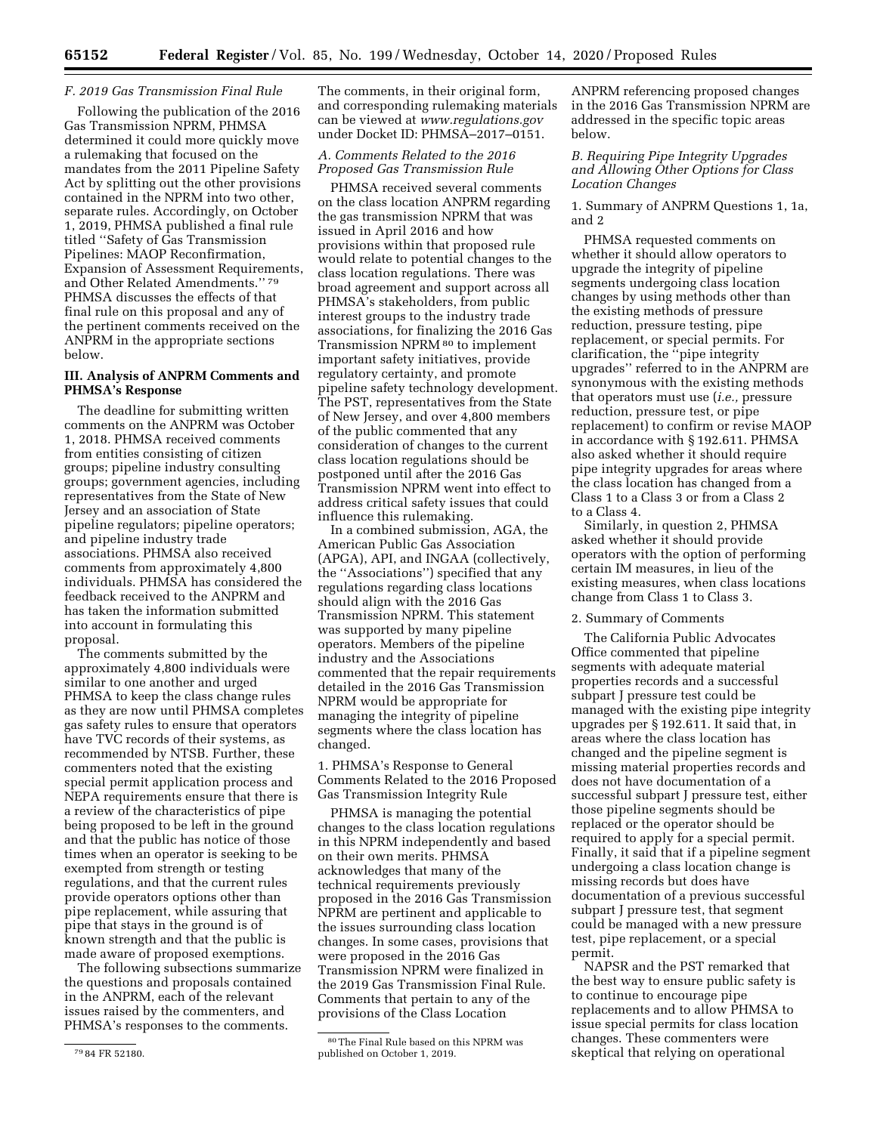## *F. 2019 Gas Transmission Final Rule*

Following the publication of the 2016 Gas Transmission NPRM, PHMSA determined it could more quickly move a rulemaking that focused on the mandates from the 2011 Pipeline Safety Act by splitting out the other provisions contained in the NPRM into two other, separate rules. Accordingly, on October 1, 2019, PHMSA published a final rule titled ''Safety of Gas Transmission Pipelines: MAOP Reconfirmation, Expansion of Assessment Requirements, and Other Related Amendments.'' 79 PHMSA discusses the effects of that final rule on this proposal and any of the pertinent comments received on the ANPRM in the appropriate sections below.

# **III. Analysis of ANPRM Comments and PHMSA's Response**

The deadline for submitting written comments on the ANPRM was October 1, 2018. PHMSA received comments from entities consisting of citizen groups; pipeline industry consulting groups; government agencies, including representatives from the State of New Jersey and an association of State pipeline regulators; pipeline operators; and pipeline industry trade associations. PHMSA also received comments from approximately 4,800 individuals. PHMSA has considered the feedback received to the ANPRM and has taken the information submitted into account in formulating this proposal.

The comments submitted by the approximately 4,800 individuals were similar to one another and urged PHMSA to keep the class change rules as they are now until PHMSA completes gas safety rules to ensure that operators have TVC records of their systems, as recommended by NTSB. Further, these commenters noted that the existing special permit application process and NEPA requirements ensure that there is a review of the characteristics of pipe being proposed to be left in the ground and that the public has notice of those times when an operator is seeking to be exempted from strength or testing regulations, and that the current rules provide operators options other than pipe replacement, while assuring that pipe that stays in the ground is of known strength and that the public is made aware of proposed exemptions.

The following subsections summarize the questions and proposals contained in the ANPRM, each of the relevant issues raised by the commenters, and PHMSA's responses to the comments.

The comments, in their original form, and corresponding rulemaking materials can be viewed at *[www.regulations.gov](http://www.regulations.gov)*  under Docket ID: PHMSA–2017–0151.

# *A. Comments Related to the 2016 Proposed Gas Transmission Rule*

PHMSA received several comments on the class location ANPRM regarding the gas transmission NPRM that was issued in April 2016 and how provisions within that proposed rule would relate to potential changes to the class location regulations. There was broad agreement and support across all PHMSA's stakeholders, from public interest groups to the industry trade associations, for finalizing the 2016 Gas Transmission NPRM 80 to implement important safety initiatives, provide regulatory certainty, and promote pipeline safety technology development. The PST, representatives from the State of New Jersey, and over 4,800 members of the public commented that any consideration of changes to the current class location regulations should be postponed until after the 2016 Gas Transmission NPRM went into effect to address critical safety issues that could influence this rulemaking.

In a combined submission, AGA, the American Public Gas Association (APGA), API, and INGAA (collectively, the ''Associations'') specified that any regulations regarding class locations should align with the 2016 Gas Transmission NPRM. This statement was supported by many pipeline operators. Members of the pipeline industry and the Associations commented that the repair requirements detailed in the 2016 Gas Transmission NPRM would be appropriate for managing the integrity of pipeline segments where the class location has changed.

1. PHMSA's Response to General Comments Related to the 2016 Proposed Gas Transmission Integrity Rule

PHMSA is managing the potential changes to the class location regulations in this NPRM independently and based on their own merits. PHMSA acknowledges that many of the technical requirements previously proposed in the 2016 Gas Transmission NPRM are pertinent and applicable to the issues surrounding class location changes. In some cases, provisions that were proposed in the 2016 Gas Transmission NPRM were finalized in the 2019 Gas Transmission Final Rule. Comments that pertain to any of the provisions of the Class Location

ANPRM referencing proposed changes in the 2016 Gas Transmission NPRM are addressed in the specific topic areas below.

# *B. Requiring Pipe Integrity Upgrades and Allowing Other Options for Class Location Changes*

1. Summary of ANPRM Questions 1, 1a, and 2

PHMSA requested comments on whether it should allow operators to upgrade the integrity of pipeline segments undergoing class location changes by using methods other than the existing methods of pressure reduction, pressure testing, pipe replacement, or special permits. For clarification, the ''pipe integrity upgrades'' referred to in the ANPRM are synonymous with the existing methods that operators must use (*i.e.,* pressure reduction, pressure test, or pipe replacement) to confirm or revise MAOP in accordance with § 192.611. PHMSA also asked whether it should require pipe integrity upgrades for areas where the class location has changed from a Class 1 to a Class 3 or from a Class 2 to a Class 4.

Similarly, in question 2, PHMSA asked whether it should provide operators with the option of performing certain IM measures, in lieu of the existing measures, when class locations change from Class 1 to Class 3.

#### 2. Summary of Comments

The California Public Advocates Office commented that pipeline segments with adequate material properties records and a successful subpart J pressure test could be managed with the existing pipe integrity upgrades per § 192.611. It said that, in areas where the class location has changed and the pipeline segment is missing material properties records and does not have documentation of a successful subpart J pressure test, either those pipeline segments should be replaced or the operator should be required to apply for a special permit. Finally, it said that if a pipeline segment undergoing a class location change is missing records but does have documentation of a previous successful subpart J pressure test, that segment could be managed with a new pressure test, pipe replacement, or a special permit.

NAPSR and the PST remarked that the best way to ensure public safety is to continue to encourage pipe replacements and to allow PHMSA to issue special permits for class location changes. These commenters were skeptical that relying on operational

<sup>79</sup> 84 FR 52180.

<sup>80</sup>The Final Rule based on this NPRM was published on October 1, 2019.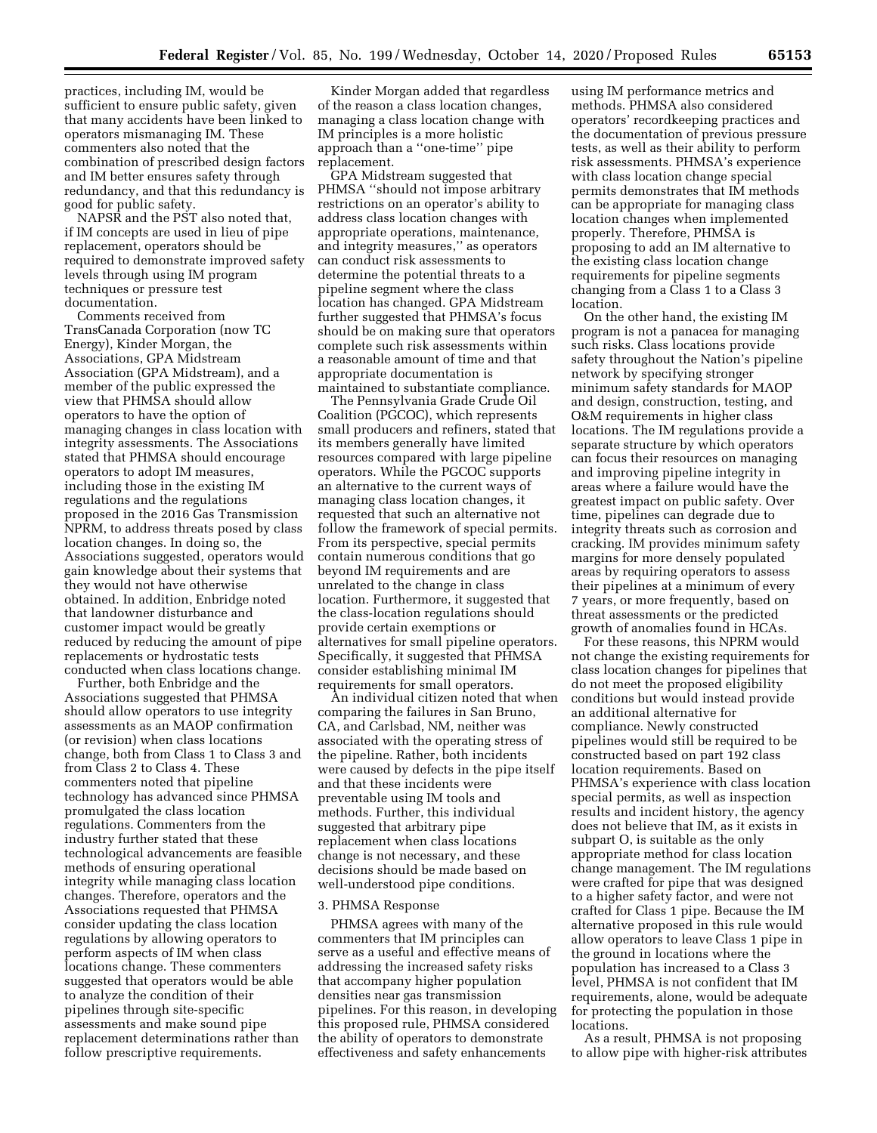practices, including IM, would be sufficient to ensure public safety, given that many accidents have been linked to operators mismanaging IM. These commenters also noted that the combination of prescribed design factors and IM better ensures safety through redundancy, and that this redundancy is good for public safety.

NAPSR and the PST also noted that, if IM concepts are used in lieu of pipe replacement, operators should be required to demonstrate improved safety levels through using IM program techniques or pressure test documentation.

Comments received from TransCanada Corporation (now TC Energy), Kinder Morgan, the Associations, GPA Midstream Association (GPA Midstream), and a member of the public expressed the view that PHMSA should allow operators to have the option of managing changes in class location with integrity assessments. The Associations stated that PHMSA should encourage operators to adopt IM measures, including those in the existing IM regulations and the regulations proposed in the 2016 Gas Transmission NPRM, to address threats posed by class location changes. In doing so, the Associations suggested, operators would gain knowledge about their systems that they would not have otherwise obtained. In addition, Enbridge noted that landowner disturbance and customer impact would be greatly reduced by reducing the amount of pipe replacements or hydrostatic tests conducted when class locations change.

Further, both Enbridge and the Associations suggested that PHMSA should allow operators to use integrity assessments as an MAOP confirmation (or revision) when class locations change, both from Class 1 to Class 3 and from Class 2 to Class 4. These commenters noted that pipeline technology has advanced since PHMSA promulgated the class location regulations. Commenters from the industry further stated that these technological advancements are feasible methods of ensuring operational integrity while managing class location changes. Therefore, operators and the Associations requested that PHMSA consider updating the class location regulations by allowing operators to perform aspects of IM when class locations change. These commenters suggested that operators would be able to analyze the condition of their pipelines through site-specific assessments and make sound pipe replacement determinations rather than follow prescriptive requirements.

Kinder Morgan added that regardless of the reason a class location changes, managing a class location change with IM principles is a more holistic approach than a ''one-time'' pipe replacement.

GPA Midstream suggested that PHMSA ''should not impose arbitrary restrictions on an operator's ability to address class location changes with appropriate operations, maintenance, and integrity measures,'' as operators can conduct risk assessments to determine the potential threats to a pipeline segment where the class location has changed. GPA Midstream further suggested that PHMSA's focus should be on making sure that operators complete such risk assessments within a reasonable amount of time and that appropriate documentation is maintained to substantiate compliance.

The Pennsylvania Grade Crude Oil Coalition (PGCOC), which represents small producers and refiners, stated that its members generally have limited resources compared with large pipeline operators. While the PGCOC supports an alternative to the current ways of managing class location changes, it requested that such an alternative not follow the framework of special permits. From its perspective, special permits contain numerous conditions that go beyond IM requirements and are unrelated to the change in class location. Furthermore, it suggested that the class-location regulations should provide certain exemptions or alternatives for small pipeline operators. Specifically, it suggested that PHMSA consider establishing minimal IM requirements for small operators.

An individual citizen noted that when comparing the failures in San Bruno, CA, and Carlsbad, NM, neither was associated with the operating stress of the pipeline. Rather, both incidents were caused by defects in the pipe itself and that these incidents were preventable using IM tools and methods. Further, this individual suggested that arbitrary pipe replacement when class locations change is not necessary, and these decisions should be made based on well-understood pipe conditions.

## 3. PHMSA Response

PHMSA agrees with many of the commenters that IM principles can serve as a useful and effective means of addressing the increased safety risks that accompany higher population densities near gas transmission pipelines. For this reason, in developing this proposed rule, PHMSA considered the ability of operators to demonstrate effectiveness and safety enhancements

using IM performance metrics and methods. PHMSA also considered operators' recordkeeping practices and the documentation of previous pressure tests, as well as their ability to perform risk assessments. PHMSA's experience with class location change special permits demonstrates that IM methods can be appropriate for managing class location changes when implemented properly. Therefore, PHMSA is proposing to add an IM alternative to the existing class location change requirements for pipeline segments changing from a Class 1 to a Class 3 location.

On the other hand, the existing IM program is not a panacea for managing such risks. Class locations provide safety throughout the Nation's pipeline network by specifying stronger minimum safety standards for MAOP and design, construction, testing, and O&M requirements in higher class locations. The IM regulations provide a separate structure by which operators can focus their resources on managing and improving pipeline integrity in areas where a failure would have the greatest impact on public safety. Over time, pipelines can degrade due to integrity threats such as corrosion and cracking. IM provides minimum safety margins for more densely populated areas by requiring operators to assess their pipelines at a minimum of every 7 years, or more frequently, based on threat assessments or the predicted growth of anomalies found in HCAs.

For these reasons, this NPRM would not change the existing requirements for class location changes for pipelines that do not meet the proposed eligibility conditions but would instead provide an additional alternative for compliance. Newly constructed pipelines would still be required to be constructed based on part 192 class location requirements. Based on PHMSA's experience with class location special permits, as well as inspection results and incident history, the agency does not believe that IM, as it exists in subpart O, is suitable as the only appropriate method for class location change management. The IM regulations were crafted for pipe that was designed to a higher safety factor, and were not crafted for Class 1 pipe. Because the IM alternative proposed in this rule would allow operators to leave Class 1 pipe in the ground in locations where the population has increased to a Class 3 level, PHMSA is not confident that IM requirements, alone, would be adequate for protecting the population in those locations.

As a result, PHMSA is not proposing to allow pipe with higher-risk attributes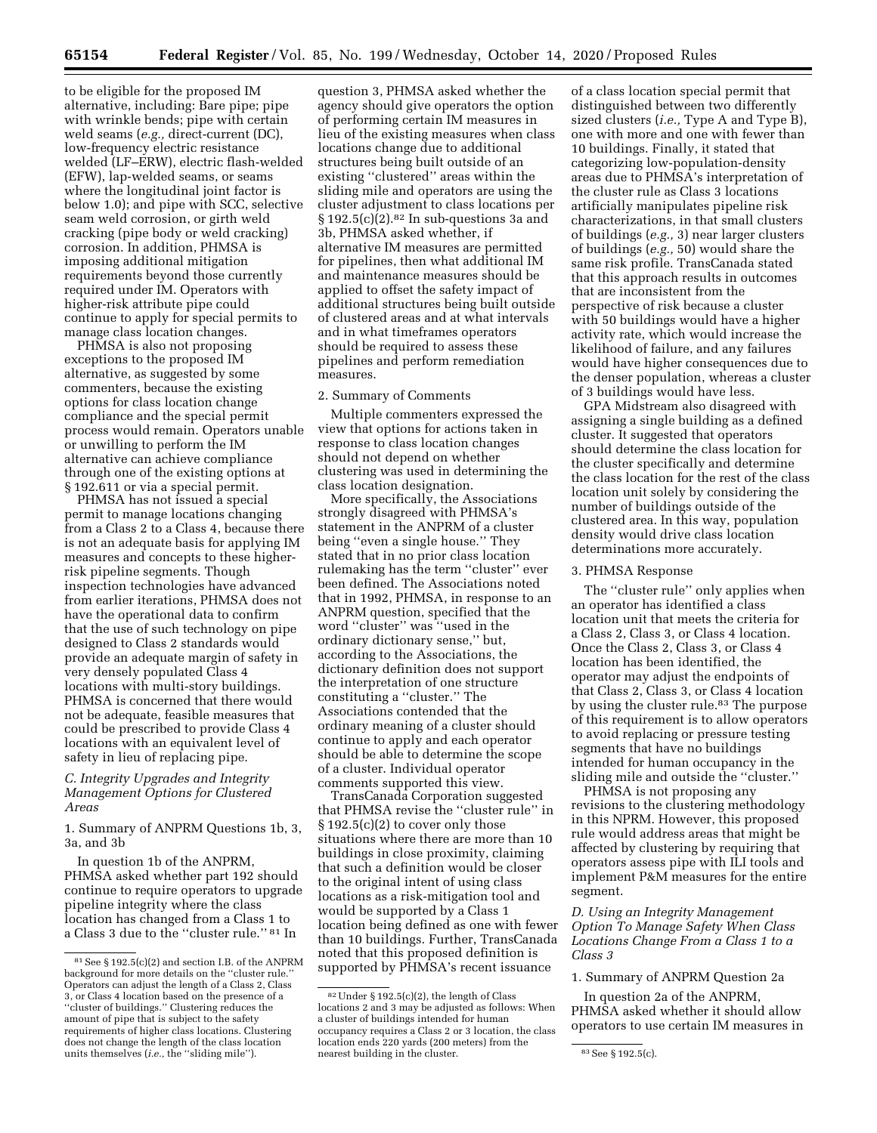to be eligible for the proposed IM alternative, including: Bare pipe; pipe with wrinkle bends; pipe with certain weld seams (*e.g.,* direct-current (DC), low-frequency electric resistance welded (LF–ERW), electric flash-welded (EFW), lap-welded seams, or seams where the longitudinal joint factor is below 1.0); and pipe with SCC, selective seam weld corrosion, or girth weld cracking (pipe body or weld cracking) corrosion. In addition, PHMSA is imposing additional mitigation requirements beyond those currently required under IM. Operators with higher-risk attribute pipe could continue to apply for special permits to manage class location changes.

PHMSA is also not proposing exceptions to the proposed IM alternative, as suggested by some commenters, because the existing options for class location change compliance and the special permit process would remain. Operators unable or unwilling to perform the IM alternative can achieve compliance through one of the existing options at § 192.611 or via a special permit.

PHMSA has not issued a special permit to manage locations changing from a Class 2 to a Class 4, because there is not an adequate basis for applying IM measures and concepts to these higherrisk pipeline segments. Though inspection technologies have advanced from earlier iterations, PHMSA does not have the operational data to confirm that the use of such technology on pipe designed to Class 2 standards would provide an adequate margin of safety in very densely populated Class 4 locations with multi-story buildings. PHMSA is concerned that there would not be adequate, feasible measures that could be prescribed to provide Class 4 locations with an equivalent level of safety in lieu of replacing pipe.

# *C. Integrity Upgrades and Integrity Management Options for Clustered Areas*

1. Summary of ANPRM Questions 1b, 3, 3a, and 3b

In question 1b of the ANPRM, PHMSA asked whether part 192 should continue to require operators to upgrade pipeline integrity where the class location has changed from a Class 1 to a Class 3 due to the ''cluster rule.'' 81 In

question 3, PHMSA asked whether the agency should give operators the option of performing certain IM measures in lieu of the existing measures when class locations change due to additional structures being built outside of an existing ''clustered'' areas within the sliding mile and operators are using the cluster adjustment to class locations per § 192.5(c)(2).<sup>82</sup> In sub-questions 3a and 3b, PHMSA asked whether, if alternative IM measures are permitted for pipelines, then what additional IM and maintenance measures should be applied to offset the safety impact of additional structures being built outside of clustered areas and at what intervals and in what timeframes operators should be required to assess these pipelines and perform remediation measures.

#### 2. Summary of Comments

Multiple commenters expressed the view that options for actions taken in response to class location changes should not depend on whether clustering was used in determining the class location designation.

More specifically, the Associations strongly disagreed with PHMSA's statement in the ANPRM of a cluster being ''even a single house.'' They stated that in no prior class location rulemaking has the term ''cluster'' ever been defined. The Associations noted that in 1992, PHMSA, in response to an ANPRM question, specified that the word ''cluster'' was ''used in the ordinary dictionary sense,'' but, according to the Associations, the dictionary definition does not support the interpretation of one structure constituting a ''cluster.'' The Associations contended that the ordinary meaning of a cluster should continue to apply and each operator should be able to determine the scope of a cluster. Individual operator comments supported this view.

TransCanada Corporation suggested that PHMSA revise the ''cluster rule'' in § 192.5(c)(2) to cover only those situations where there are more than 10 buildings in close proximity, claiming that such a definition would be closer to the original intent of using class locations as a risk-mitigation tool and would be supported by a Class 1 location being defined as one with fewer than 10 buildings. Further, TransCanada noted that this proposed definition is supported by PHMSA's recent issuance

of a class location special permit that distinguished between two differently sized clusters (*i.e.,* Type A and Type B), one with more and one with fewer than 10 buildings. Finally, it stated that categorizing low-population-density areas due to PHMSA's interpretation of the cluster rule as Class 3 locations artificially manipulates pipeline risk characterizations, in that small clusters of buildings (*e.g.,* 3) near larger clusters of buildings (*e.g.,* 50) would share the same risk profile. TransCanada stated that this approach results in outcomes that are inconsistent from the perspective of risk because a cluster with 50 buildings would have a higher activity rate, which would increase the likelihood of failure, and any failures would have higher consequences due to the denser population, whereas a cluster of 3 buildings would have less.

GPA Midstream also disagreed with assigning a single building as a defined cluster. It suggested that operators should determine the class location for the cluster specifically and determine the class location for the rest of the class location unit solely by considering the number of buildings outside of the clustered area. In this way, population density would drive class location determinations more accurately.

#### 3. PHMSA Response

The ''cluster rule'' only applies when an operator has identified a class location unit that meets the criteria for a Class 2, Class 3, or Class 4 location. Once the Class 2, Class 3, or Class 4 location has been identified, the operator may adjust the endpoints of that Class 2, Class 3, or Class 4 location by using the cluster rule.<sup>83</sup> The purpose of this requirement is to allow operators to avoid replacing or pressure testing segments that have no buildings intended for human occupancy in the sliding mile and outside the ''cluster.''

PHMSA is not proposing any revisions to the clustering methodology in this NPRM. However, this proposed rule would address areas that might be affected by clustering by requiring that operators assess pipe with ILI tools and implement P&M measures for the entire segment.

*D. Using an Integrity Management Option To Manage Safety When Class Locations Change From a Class 1 to a Class 3* 

1. Summary of ANPRM Question 2a

In question 2a of the ANPRM, PHMSA asked whether it should allow operators to use certain IM measures in

<sup>81</sup>See § 192.5(c)(2) and section I.B. of the ANPRM background for more details on the ''cluster rule.'' Operators can adjust the length of a Class 2, Class 3, or Class 4 location based on the presence of a ''cluster of buildings.'' Clustering reduces the amount of pipe that is subject to the safety requirements of higher class locations. Clustering does not change the length of the class location units themselves (*i.e.,* the ''sliding mile'').

<sup>82</sup>Under § 192.5(c)(2), the length of Class locations 2 and 3 may be adjusted as follows: When a cluster of buildings intended for human occupancy requires a Class 2 or 3 location, the class location ends 220 yards (200 meters) from the nearest building in the cluster.  $83$  See § 192.5(c).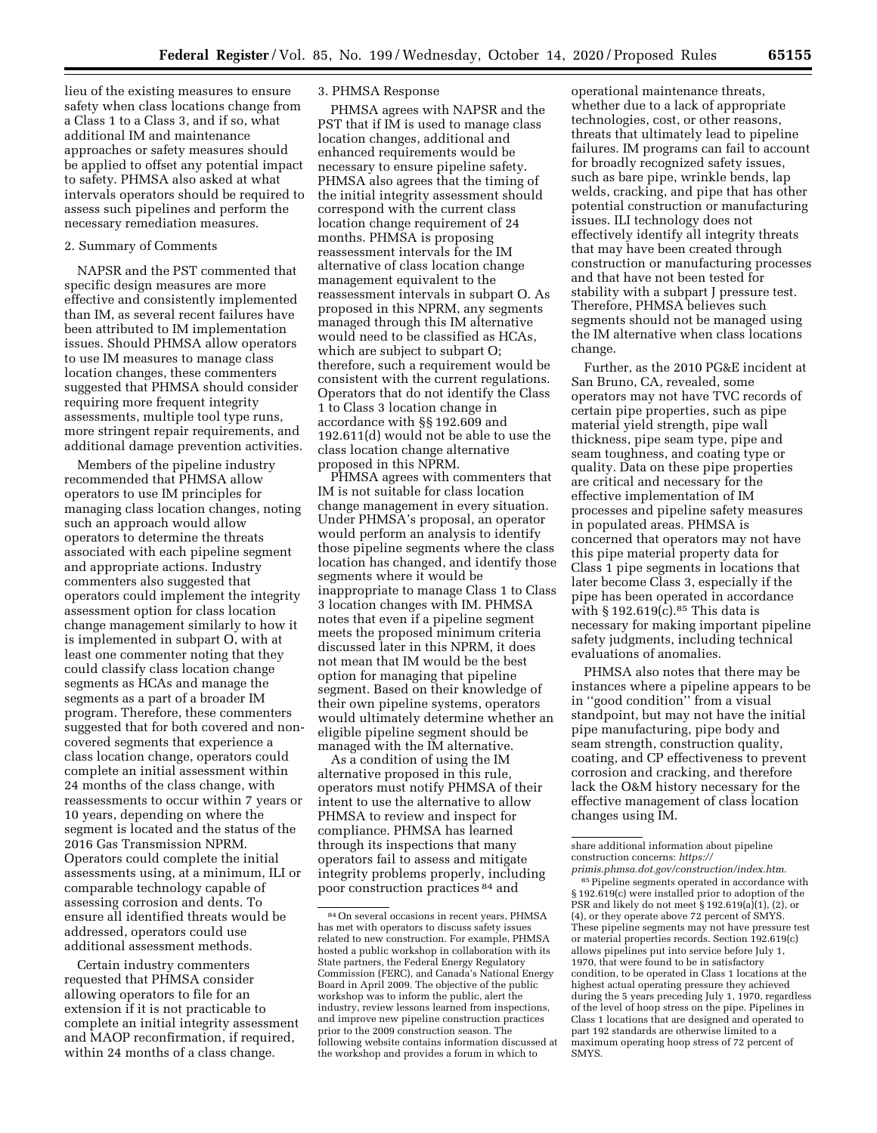lieu of the existing measures to ensure safety when class locations change from a Class 1 to a Class 3, and if so, what additional IM and maintenance approaches or safety measures should be applied to offset any potential impact to safety. PHMSA also asked at what intervals operators should be required to assess such pipelines and perform the necessary remediation measures.

#### 2. Summary of Comments

NAPSR and the PST commented that specific design measures are more effective and consistently implemented than IM, as several recent failures have been attributed to IM implementation issues. Should PHMSA allow operators to use IM measures to manage class location changes, these commenters suggested that PHMSA should consider requiring more frequent integrity assessments, multiple tool type runs, more stringent repair requirements, and additional damage prevention activities.

Members of the pipeline industry recommended that PHMSA allow operators to use IM principles for managing class location changes, noting such an approach would allow operators to determine the threats associated with each pipeline segment and appropriate actions. Industry commenters also suggested that operators could implement the integrity assessment option for class location change management similarly to how it is implemented in subpart O, with at least one commenter noting that they could classify class location change segments as HCAs and manage the segments as a part of a broader IM program. Therefore, these commenters suggested that for both covered and noncovered segments that experience a class location change, operators could complete an initial assessment within 24 months of the class change, with reassessments to occur within 7 years or 10 years, depending on where the segment is located and the status of the 2016 Gas Transmission NPRM. Operators could complete the initial assessments using, at a minimum, ILI or comparable technology capable of assessing corrosion and dents. To ensure all identified threats would be addressed, operators could use additional assessment methods.

Certain industry commenters requested that PHMSA consider allowing operators to file for an extension if it is not practicable to complete an initial integrity assessment and MAOP reconfirmation, if required, within 24 months of a class change.

## 3. PHMSA Response

PHMSA agrees with NAPSR and the PST that if IM is used to manage class location changes, additional and enhanced requirements would be necessary to ensure pipeline safety. PHMSA also agrees that the timing of the initial integrity assessment should correspond with the current class location change requirement of 24 months. PHMSA is proposing reassessment intervals for the IM alternative of class location change management equivalent to the reassessment intervals in subpart O. As proposed in this NPRM, any segments managed through this IM alternative would need to be classified as HCAs, which are subject to subpart O; therefore, such a requirement would be consistent with the current regulations. Operators that do not identify the Class 1 to Class 3 location change in accordance with §§ 192.609 and 192.611(d) would not be able to use the class location change alternative proposed in this NPRM.

PHMSA agrees with commenters that IM is not suitable for class location change management in every situation. Under PHMSA's proposal, an operator would perform an analysis to identify those pipeline segments where the class location has changed, and identify those segments where it would be inappropriate to manage Class 1 to Class 3 location changes with IM. PHMSA notes that even if a pipeline segment meets the proposed minimum criteria discussed later in this NPRM, it does not mean that IM would be the best option for managing that pipeline segment. Based on their knowledge of their own pipeline systems, operators would ultimately determine whether an eligible pipeline segment should be managed with the IM alternative.

As a condition of using the IM alternative proposed in this rule, operators must notify PHMSA of their intent to use the alternative to allow PHMSA to review and inspect for compliance. PHMSA has learned through its inspections that many operators fail to assess and mitigate integrity problems properly, including poor construction practices 84 and

operational maintenance threats, whether due to a lack of appropriate technologies, cost, or other reasons, threats that ultimately lead to pipeline failures. IM programs can fail to account for broadly recognized safety issues, such as bare pipe, wrinkle bends, lap welds, cracking, and pipe that has other potential construction or manufacturing issues. ILI technology does not effectively identify all integrity threats that may have been created through construction or manufacturing processes and that have not been tested for stability with a subpart J pressure test. Therefore, PHMSA believes such segments should not be managed using the IM alternative when class locations change.

Further, as the 2010 PG&E incident at San Bruno, CA, revealed, some operators may not have TVC records of certain pipe properties, such as pipe material yield strength, pipe wall thickness, pipe seam type, pipe and seam toughness, and coating type or quality. Data on these pipe properties are critical and necessary for the effective implementation of IM processes and pipeline safety measures in populated areas. PHMSA is concerned that operators may not have this pipe material property data for Class 1 pipe segments in locations that later become Class 3, especially if the pipe has been operated in accordance with  $\S 192.619(c).$ <sup>85</sup> This data is necessary for making important pipeline safety judgments, including technical evaluations of anomalies.

PHMSA also notes that there may be instances where a pipeline appears to be in ''good condition'' from a visual standpoint, but may not have the initial pipe manufacturing, pipe body and seam strength, construction quality, coating, and CP effectiveness to prevent corrosion and cracking, and therefore lack the O&M history necessary for the effective management of class location changes using IM.

<sup>84</sup>On several occasions in recent years, PHMSA has met with operators to discuss safety issues related to new construction. For example, PHMSA hosted a public workshop in collaboration with its State partners, the Federal Energy Regulatory Commission (FERC), and Canada's National Energy Board in April 2009. The objective of the public workshop was to inform the public, alert the industry, review lessons learned from inspections, and improve new pipeline construction practices prior to the 2009 construction season. The following website contains information discussed at the workshop and provides a forum in which to

share additional information about pipeline construction concerns: *[https://](https://primis.phmsa.dot.gov/construction/index.htm) [primis.phmsa.dot.gov/construction/index.htm](https://primis.phmsa.dot.gov/construction/index.htm)*.

<sup>85</sup>Pipeline segments operated in accordance with § 192.619(c) were installed prior to adoption of the PSR and likely do not meet  $\S 192.619(a)(1)$ , (2), or (4), or they operate above 72 percent of SMYS. These pipeline segments may not have pressure test or material properties records. Section 192.619(c) allows pipelines put into service before July 1, 1970, that were found to be in satisfactory condition, to be operated in Class 1 locations at the highest actual operating pressure they achieved during the 5 years preceding July 1, 1970, regardless of the level of hoop stress on the pipe. Pipelines in Class 1 locations that are designed and operated to part 192 standards are otherwise limited to a maximum operating hoop stress of 72 percent of SMYS.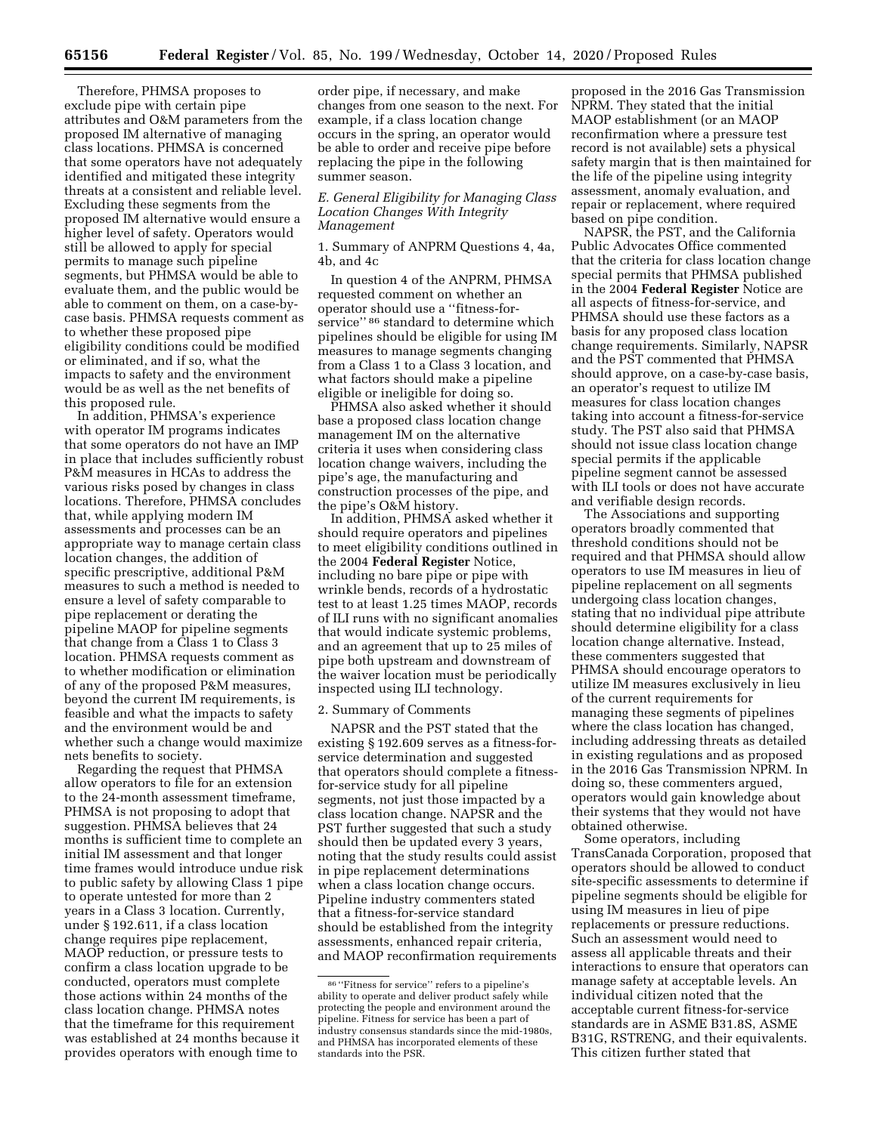Therefore, PHMSA proposes to exclude pipe with certain pipe attributes and O&M parameters from the proposed IM alternative of managing class locations. PHMSA is concerned that some operators have not adequately identified and mitigated these integrity threats at a consistent and reliable level. Excluding these segments from the proposed IM alternative would ensure a higher level of safety. Operators would still be allowed to apply for special permits to manage such pipeline segments, but PHMSA would be able to evaluate them, and the public would be able to comment on them, on a case-bycase basis. PHMSA requests comment as to whether these proposed pipe eligibility conditions could be modified or eliminated, and if so, what the impacts to safety and the environment would be as well as the net benefits of this proposed rule.

In addition, PHMSA's experience with operator IM programs indicates that some operators do not have an IMP in place that includes sufficiently robust P&M measures in HCAs to address the various risks posed by changes in class locations. Therefore, PHMSA concludes that, while applying modern IM assessments and processes can be an appropriate way to manage certain class location changes, the addition of specific prescriptive, additional P&M measures to such a method is needed to ensure a level of safety comparable to pipe replacement or derating the pipeline MAOP for pipeline segments that change from a Class 1 to Class 3 location. PHMSA requests comment as to whether modification or elimination of any of the proposed P&M measures, beyond the current IM requirements, is feasible and what the impacts to safety and the environment would be and whether such a change would maximize nets benefits to society.

Regarding the request that PHMSA allow operators to file for an extension to the 24-month assessment timeframe, PHMSA is not proposing to adopt that suggestion. PHMSA believes that 24 months is sufficient time to complete an initial IM assessment and that longer time frames would introduce undue risk to public safety by allowing Class 1 pipe to operate untested for more than 2 years in a Class 3 location. Currently, under § 192.611, if a class location change requires pipe replacement, MAOP reduction, or pressure tests to confirm a class location upgrade to be conducted, operators must complete those actions within 24 months of the class location change. PHMSA notes that the timeframe for this requirement was established at 24 months because it provides operators with enough time to

order pipe, if necessary, and make changes from one season to the next. For example, if a class location change occurs in the spring, an operator would be able to order and receive pipe before replacing the pipe in the following summer season.

# *E. General Eligibility for Managing Class Location Changes With Integrity Management*

1. Summary of ANPRM Questions 4, 4a, 4b, and 4c

In question 4 of the ANPRM, PHMSA requested comment on whether an operator should use a ''fitness-forservice" 86 standard to determine which pipelines should be eligible for using IM measures to manage segments changing from a Class 1 to a Class 3 location, and what factors should make a pipeline eligible or ineligible for doing so.

PHMSA also asked whether it should base a proposed class location change management IM on the alternative criteria it uses when considering class location change waivers, including the pipe's age, the manufacturing and construction processes of the pipe, and the pipe's O&M history.

In addition, PHMSA asked whether it should require operators and pipelines to meet eligibility conditions outlined in the 2004 **Federal Register** Notice, including no bare pipe or pipe with wrinkle bends, records of a hydrostatic test to at least 1.25 times MAOP, records of ILI runs with no significant anomalies that would indicate systemic problems, and an agreement that up to 25 miles of pipe both upstream and downstream of the waiver location must be periodically inspected using ILI technology.

## 2. Summary of Comments

NAPSR and the PST stated that the existing § 192.609 serves as a fitness-forservice determination and suggested that operators should complete a fitnessfor-service study for all pipeline segments, not just those impacted by a class location change. NAPSR and the PST further suggested that such a study should then be updated every 3 years, noting that the study results could assist in pipe replacement determinations when a class location change occurs. Pipeline industry commenters stated that a fitness-for-service standard should be established from the integrity assessments, enhanced repair criteria, and MAOP reconfirmation requirements

proposed in the 2016 Gas Transmission NPRM. They stated that the initial MAOP establishment (or an MAOP reconfirmation where a pressure test record is not available) sets a physical safety margin that is then maintained for the life of the pipeline using integrity assessment, anomaly evaluation, and repair or replacement, where required based on pipe condition.

NAPSR, the PST, and the California Public Advocates Office commented that the criteria for class location change special permits that PHMSA published in the 2004 **Federal Register** Notice are all aspects of fitness-for-service, and PHMSA should use these factors as a basis for any proposed class location change requirements. Similarly, NAPSR and the PST commented that PHMSA should approve, on a case-by-case basis, an operator's request to utilize IM measures for class location changes taking into account a fitness-for-service study. The PST also said that PHMSA should not issue class location change special permits if the applicable pipeline segment cannot be assessed with ILI tools or does not have accurate and verifiable design records.

The Associations and supporting operators broadly commented that threshold conditions should not be required and that PHMSA should allow operators to use IM measures in lieu of pipeline replacement on all segments undergoing class location changes, stating that no individual pipe attribute should determine eligibility for a class location change alternative. Instead, these commenters suggested that PHMSA should encourage operators to utilize IM measures exclusively in lieu of the current requirements for managing these segments of pipelines where the class location has changed, including addressing threats as detailed in existing regulations and as proposed in the 2016 Gas Transmission NPRM. In doing so, these commenters argued, operators would gain knowledge about their systems that they would not have obtained otherwise.

Some operators, including TransCanada Corporation, proposed that operators should be allowed to conduct site-specific assessments to determine if pipeline segments should be eligible for using IM measures in lieu of pipe replacements or pressure reductions. Such an assessment would need to assess all applicable threats and their interactions to ensure that operators can manage safety at acceptable levels. An individual citizen noted that the acceptable current fitness-for-service standards are in ASME B31.8S, ASME B31G, RSTRENG, and their equivalents. This citizen further stated that

<sup>86</sup> ''Fitness for service'' refers to a pipeline's ability to operate and deliver product safely while protecting the people and environment around the pipeline. Fitness for service has been a part of industry consensus standards since the mid-1980s, and PHMSA has incorporated elements of these standards into the PSR.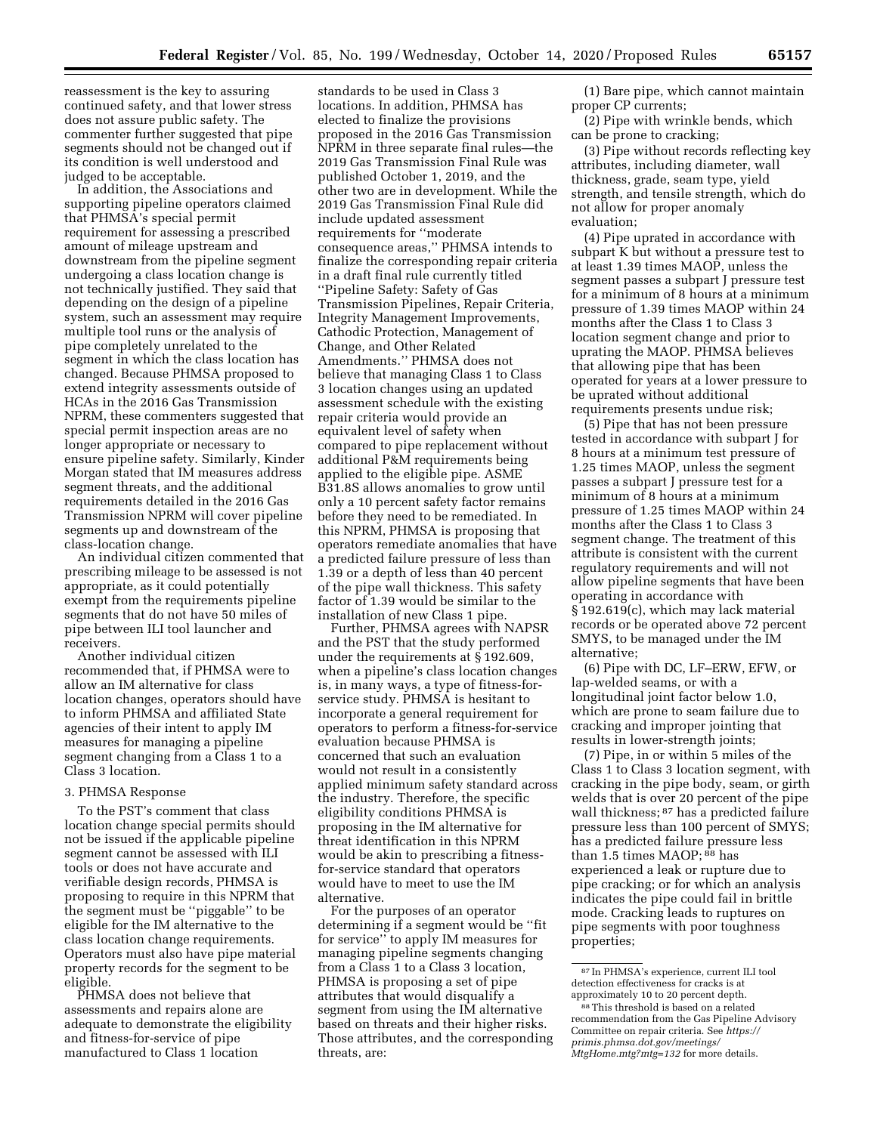reassessment is the key to assuring continued safety, and that lower stress does not assure public safety. The commenter further suggested that pipe segments should not be changed out if its condition is well understood and judged to be acceptable.

In addition, the Associations and supporting pipeline operators claimed that PHMSA's special permit requirement for assessing a prescribed amount of mileage upstream and downstream from the pipeline segment undergoing a class location change is not technically justified. They said that depending on the design of a pipeline system, such an assessment may require multiple tool runs or the analysis of pipe completely unrelated to the segment in which the class location has changed. Because PHMSA proposed to extend integrity assessments outside of HCAs in the 2016 Gas Transmission NPRM, these commenters suggested that special permit inspection areas are no longer appropriate or necessary to ensure pipeline safety. Similarly, Kinder Morgan stated that IM measures address segment threats, and the additional requirements detailed in the 2016 Gas Transmission NPRM will cover pipeline segments up and downstream of the class-location change.

An individual citizen commented that prescribing mileage to be assessed is not appropriate, as it could potentially exempt from the requirements pipeline segments that do not have 50 miles of pipe between ILI tool launcher and receivers.

Another individual citizen recommended that, if PHMSA were to allow an IM alternative for class location changes, operators should have to inform PHMSA and affiliated State agencies of their intent to apply IM measures for managing a pipeline segment changing from a Class 1 to a Class 3 location.

#### 3. PHMSA Response

To the PST's comment that class location change special permits should not be issued if the applicable pipeline segment cannot be assessed with ILI tools or does not have accurate and verifiable design records, PHMSA is proposing to require in this NPRM that the segment must be ''piggable'' to be eligible for the IM alternative to the class location change requirements. Operators must also have pipe material property records for the segment to be eligible.

PHMSA does not believe that assessments and repairs alone are adequate to demonstrate the eligibility and fitness-for-service of pipe manufactured to Class 1 location

standards to be used in Class 3 locations. In addition, PHMSA has elected to finalize the provisions proposed in the 2016 Gas Transmission NPRM in three separate final rules—the 2019 Gas Transmission Final Rule was published October 1, 2019, and the other two are in development. While the 2019 Gas Transmission Final Rule did include updated assessment requirements for ''moderate consequence areas,'' PHMSA intends to finalize the corresponding repair criteria in a draft final rule currently titled ''Pipeline Safety: Safety of Gas Transmission Pipelines, Repair Criteria, Integrity Management Improvements, Cathodic Protection, Management of Change, and Other Related Amendments.'' PHMSA does not believe that managing Class 1 to Class 3 location changes using an updated assessment schedule with the existing repair criteria would provide an equivalent level of safety when compared to pipe replacement without additional P&M requirements being applied to the eligible pipe. ASME B31.8S allows anomalies to grow until only a 10 percent safety factor remains before they need to be remediated. In this NPRM, PHMSA is proposing that operators remediate anomalies that have a predicted failure pressure of less than 1.39 or a depth of less than 40 percent of the pipe wall thickness. This safety factor of 1.39 would be similar to the installation of new Class 1 pipe.

Further, PHMSA agrees with NAPSR and the PST that the study performed under the requirements at § 192.609, when a pipeline's class location changes is, in many ways, a type of fitness-forservice study. PHMSA is hesitant to incorporate a general requirement for operators to perform a fitness-for-service evaluation because PHMSA is concerned that such an evaluation would not result in a consistently applied minimum safety standard across the industry. Therefore, the specific eligibility conditions PHMSA is proposing in the IM alternative for threat identification in this NPRM would be akin to prescribing a fitnessfor-service standard that operators would have to meet to use the IM alternative.

For the purposes of an operator determining if a segment would be ''fit for service'' to apply IM measures for managing pipeline segments changing from a Class 1 to a Class 3 location, PHMSA is proposing a set of pipe attributes that would disqualify a segment from using the IM alternative based on threats and their higher risks. Those attributes, and the corresponding threats, are:

(1) Bare pipe, which cannot maintain proper CP currents;

(2) Pipe with wrinkle bends, which can be prone to cracking;

(3) Pipe without records reflecting key attributes, including diameter, wall thickness, grade, seam type, yield strength, and tensile strength, which do not allow for proper anomaly evaluation;

(4) Pipe uprated in accordance with subpart K but without a pressure test to at least 1.39 times MAOP, unless the segment passes a subpart J pressure test for a minimum of 8 hours at a minimum pressure of 1.39 times MAOP within 24 months after the Class 1 to Class 3 location segment change and prior to uprating the MAOP. PHMSA believes that allowing pipe that has been operated for years at a lower pressure to be uprated without additional requirements presents undue risk;

(5) Pipe that has not been pressure tested in accordance with subpart J for 8 hours at a minimum test pressure of 1.25 times MAOP, unless the segment passes a subpart J pressure test for a minimum of 8 hours at a minimum pressure of 1.25 times MAOP within 24 months after the Class 1 to Class 3 segment change. The treatment of this attribute is consistent with the current regulatory requirements and will not allow pipeline segments that have been operating in accordance with § 192.619(c), which may lack material records or be operated above 72 percent SMYS, to be managed under the IM alternative;

(6) Pipe with DC, LF–ERW, EFW, or lap-welded seams, or with a longitudinal joint factor below 1.0, which are prone to seam failure due to cracking and improper jointing that results in lower-strength joints;

(7) Pipe, in or within 5 miles of the Class 1 to Class 3 location segment, with cracking in the pipe body, seam, or girth welds that is over 20 percent of the pipe wall thickness; 87 has a predicted failure pressure less than 100 percent of SMYS; has a predicted failure pressure less than 1.5 times MAOP; 88 has experienced a leak or rupture due to pipe cracking; or for which an analysis indicates the pipe could fail in brittle mode. Cracking leads to ruptures on pipe segments with poor toughness properties;

<sup>87</sup> In PHMSA's experience, current ILI tool detection effectiveness for cracks is at approximately 10 to 20 percent depth.

<sup>88</sup>This threshold is based on a related recommendation from the Gas Pipeline Advisory Committee on repair criteria. See *[https://](https://primis.phmsa.dot.gov/meetings/MtgHome.mtg?mtg=132) [primis.phmsa.dot.gov/meetings/](https://primis.phmsa.dot.gov/meetings/MtgHome.mtg?mtg=132)  [MtgHome.mtg?mtg=132](https://primis.phmsa.dot.gov/meetings/MtgHome.mtg?mtg=132)* for more details.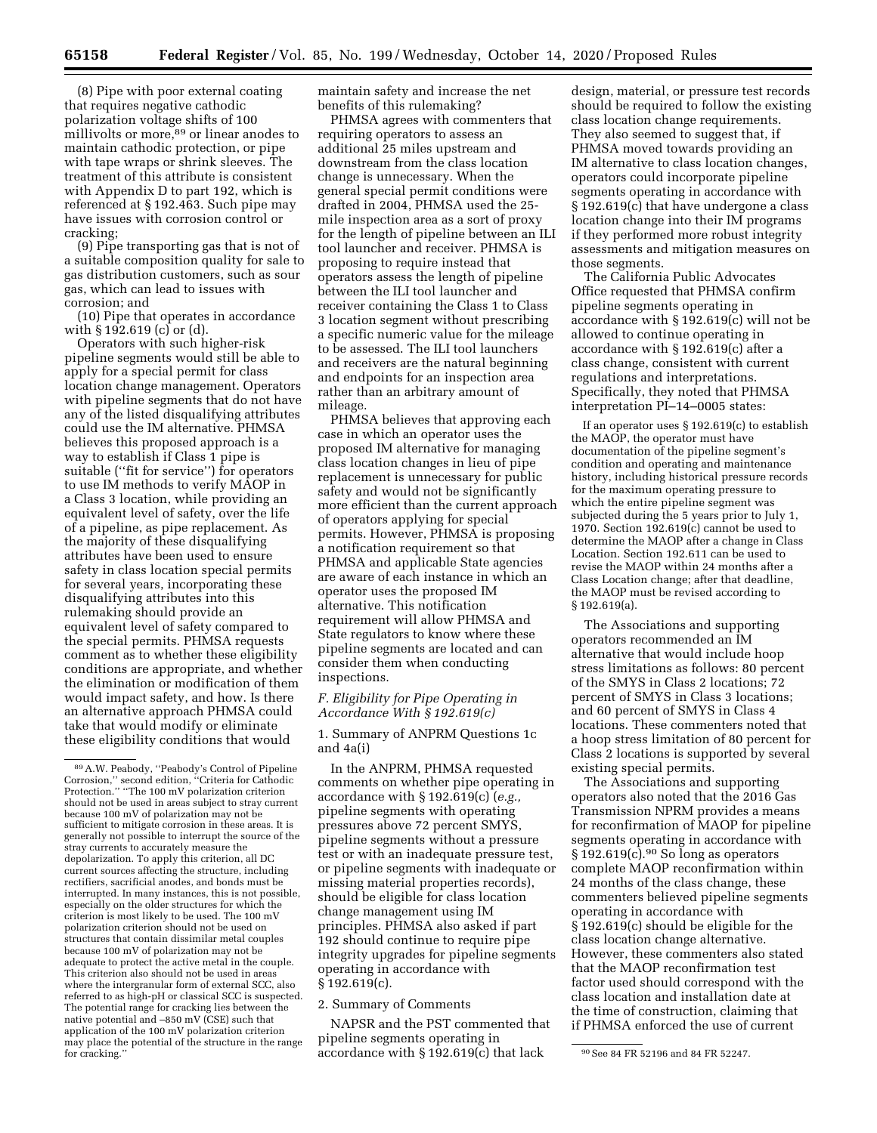(8) Pipe with poor external coating that requires negative cathodic polarization voltage shifts of 100 millivolts or more,89 or linear anodes to maintain cathodic protection, or pipe with tape wraps or shrink sleeves. The treatment of this attribute is consistent with Appendix D to part 192, which is referenced at § 192.463. Such pipe may have issues with corrosion control or cracking;

(9) Pipe transporting gas that is not of a suitable composition quality for sale to gas distribution customers, such as sour gas, which can lead to issues with corrosion; and

(10) Pipe that operates in accordance with § 192.619 (c) or (d).

Operators with such higher-risk pipeline segments would still be able to apply for a special permit for class location change management. Operators with pipeline segments that do not have any of the listed disqualifying attributes could use the IM alternative. PHMSA believes this proposed approach is a way to establish if Class 1 pipe is suitable (''fit for service'') for operators to use IM methods to verify MAOP in a Class 3 location, while providing an equivalent level of safety, over the life of a pipeline, as pipe replacement. As the majority of these disqualifying attributes have been used to ensure safety in class location special permits for several years, incorporating these disqualifying attributes into this rulemaking should provide an equivalent level of safety compared to the special permits. PHMSA requests comment as to whether these eligibility conditions are appropriate, and whether the elimination or modification of them would impact safety, and how. Is there an alternative approach PHMSA could take that would modify or eliminate these eligibility conditions that would

maintain safety and increase the net benefits of this rulemaking?

PHMSA agrees with commenters that requiring operators to assess an additional 25 miles upstream and downstream from the class location change is unnecessary. When the general special permit conditions were drafted in 2004, PHMSA used the 25 mile inspection area as a sort of proxy for the length of pipeline between an ILI tool launcher and receiver. PHMSA is proposing to require instead that operators assess the length of pipeline between the ILI tool launcher and receiver containing the Class 1 to Class 3 location segment without prescribing a specific numeric value for the mileage to be assessed. The ILI tool launchers and receivers are the natural beginning and endpoints for an inspection area rather than an arbitrary amount of mileage.

PHMSA believes that approving each case in which an operator uses the proposed IM alternative for managing class location changes in lieu of pipe replacement is unnecessary for public safety and would not be significantly more efficient than the current approach of operators applying for special permits. However, PHMSA is proposing a notification requirement so that PHMSA and applicable State agencies are aware of each instance in which an operator uses the proposed IM alternative. This notification requirement will allow PHMSA and State regulators to know where these pipeline segments are located and can consider them when conducting inspections.

# *F. Eligibility for Pipe Operating in Accordance With § 192.619(c)*

1. Summary of ANPRM Questions 1c and 4a(i)

In the ANPRM, PHMSA requested comments on whether pipe operating in accordance with § 192.619(c) (*e.g.,*  pipeline segments with operating pressures above 72 percent SMYS, pipeline segments without a pressure test or with an inadequate pressure test, or pipeline segments with inadequate or missing material properties records), should be eligible for class location change management using IM principles. PHMSA also asked if part 192 should continue to require pipe integrity upgrades for pipeline segments operating in accordance with § 192.619(c).

## 2. Summary of Comments

for cracking."  $\overline{\phantom{0}}$  accordance with § 192.619(c) that lack  $\overline{\phantom{0}}$   $\overline{\phantom{0}}$  See 84 FR 52196 and 84 FR 52247. NAPSR and the PST commented that pipeline segments operating in

design, material, or pressure test records should be required to follow the existing class location change requirements. They also seemed to suggest that, if PHMSA moved towards providing an IM alternative to class location changes, operators could incorporate pipeline segments operating in accordance with § 192.619(c) that have undergone a class location change into their IM programs if they performed more robust integrity assessments and mitigation measures on those segments.

The California Public Advocates Office requested that PHMSA confirm pipeline segments operating in accordance with § 192.619(c) will not be allowed to continue operating in accordance with § 192.619(c) after a class change, consistent with current regulations and interpretations. Specifically, they noted that PHMSA interpretation PI–14–0005 states:

If an operator uses § 192.619(c) to establish the MAOP, the operator must have documentation of the pipeline segment's condition and operating and maintenance history, including historical pressure records for the maximum operating pressure to which the entire pipeline segment was subjected during the 5 years prior to July 1, 1970. Section 192.619(c) cannot be used to determine the MAOP after a change in Class Location. Section 192.611 can be used to revise the MAOP within 24 months after a Class Location change; after that deadline, the MAOP must be revised according to § 192.619(a).

The Associations and supporting operators recommended an IM alternative that would include hoop stress limitations as follows: 80 percent of the SMYS in Class 2 locations; 72 percent of SMYS in Class 3 locations; and 60 percent of SMYS in Class 4 locations. These commenters noted that a hoop stress limitation of 80 percent for Class 2 locations is supported by several existing special permits.

The Associations and supporting operators also noted that the 2016 Gas Transmission NPRM provides a means for reconfirmation of MAOP for pipeline segments operating in accordance with  $§ 192.619(c).<sup>90</sup> So long as operators$ complete MAOP reconfirmation within 24 months of the class change, these commenters believed pipeline segments operating in accordance with § 192.619(c) should be eligible for the class location change alternative. However, these commenters also stated that the MAOP reconfirmation test factor used should correspond with the class location and installation date at the time of construction, claiming that if PHMSA enforced the use of current

<sup>89</sup>A.W. Peabody, ''Peabody's Control of Pipeline Corrosion,'' second edition, ''Criteria for Cathodic Protection.'' ''The 100 mV polarization criterion should not be used in areas subject to stray current because 100 mV of polarization may not be sufficient to mitigate corrosion in these areas. It is generally not possible to interrupt the source of the stray currents to accurately measure the depolarization. To apply this criterion, all DC current sources affecting the structure, including rectifiers, sacrificial anodes, and bonds must be interrupted. In many instances, this is not possible, especially on the older structures for which the criterion is most likely to be used. The 100 mV polarization criterion should not be used on structures that contain dissimilar metal couples because 100 mV of polarization may not be adequate to protect the active metal in the couple. This criterion also should not be used in areas where the intergranular form of external SCC, also referred to as high-pH or classical SCC is suspected. The potential range for cracking lies between the native potential and –850 mV (CSE) such that application of the 100 mV polarization criterion may place the potential of the structure in the range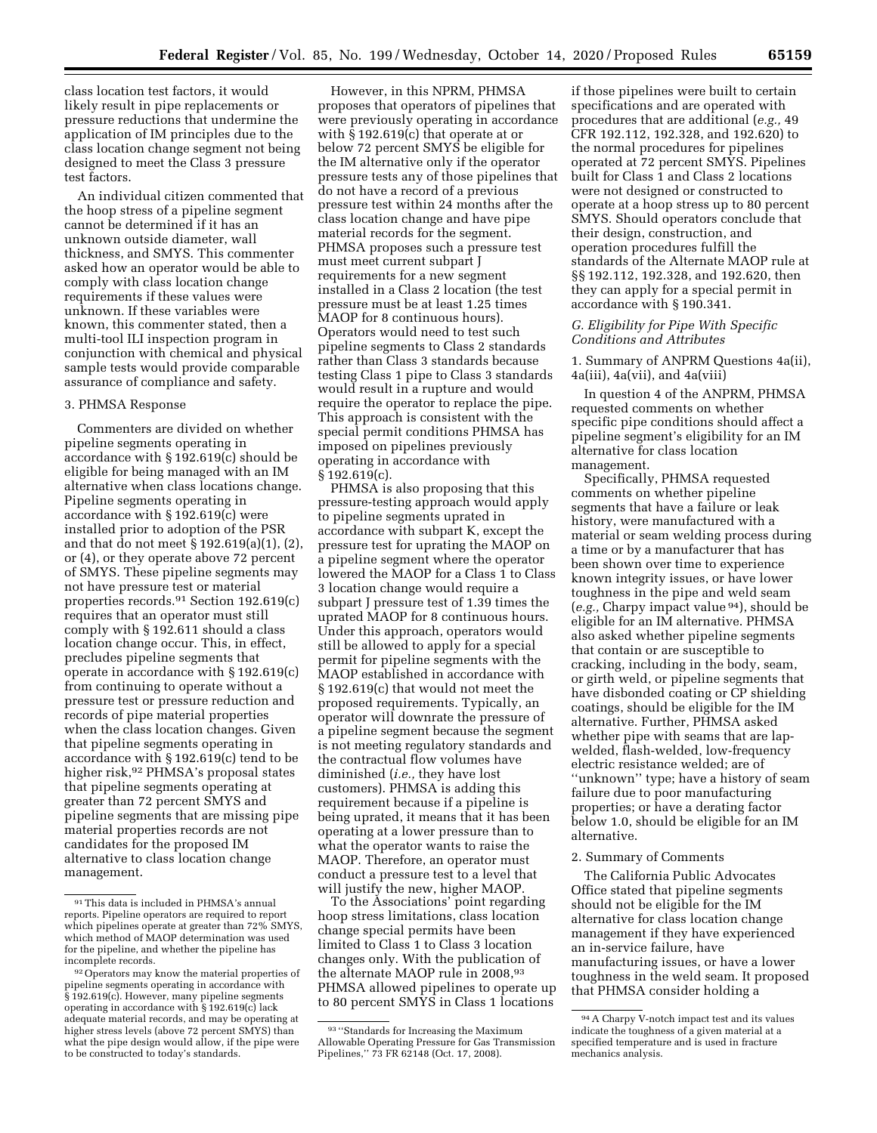class location test factors, it would likely result in pipe replacements or pressure reductions that undermine the application of IM principles due to the class location change segment not being designed to meet the Class 3 pressure test factors.

An individual citizen commented that the hoop stress of a pipeline segment cannot be determined if it has an unknown outside diameter, wall thickness, and SMYS. This commenter asked how an operator would be able to comply with class location change requirements if these values were unknown. If these variables were known, this commenter stated, then a multi-tool ILI inspection program in conjunction with chemical and physical sample tests would provide comparable assurance of compliance and safety.

## 3. PHMSA Response

Commenters are divided on whether pipeline segments operating in accordance with § 192.619(c) should be eligible for being managed with an IM alternative when class locations change. Pipeline segments operating in accordance with § 192.619(c) were installed prior to adoption of the PSR and that do not meet § 192.619(a)(1), (2), or (4), or they operate above 72 percent of SMYS. These pipeline segments may not have pressure test or material properties records.91 Section 192.619(c) requires that an operator must still comply with § 192.611 should a class location change occur. This, in effect, precludes pipeline segments that operate in accordance with § 192.619(c) from continuing to operate without a pressure test or pressure reduction and records of pipe material properties when the class location changes. Given that pipeline segments operating in accordance with § 192.619(c) tend to be higher risk,<sup>92</sup> PHMSA's proposal states that pipeline segments operating at greater than 72 percent SMYS and pipeline segments that are missing pipe material properties records are not candidates for the proposed IM alternative to class location change management.

However, in this NPRM, PHMSA proposes that operators of pipelines that were previously operating in accordance with § 192.619(c) that operate at or below 72 percent SMYS be eligible for the IM alternative only if the operator pressure tests any of those pipelines that do not have a record of a previous pressure test within 24 months after the class location change and have pipe material records for the segment. PHMSA proposes such a pressure test must meet current subpart J requirements for a new segment installed in a Class 2 location (the test pressure must be at least 1.25 times MAOP for 8 continuous hours). Operators would need to test such pipeline segments to Class 2 standards rather than Class 3 standards because testing Class 1 pipe to Class 3 standards would result in a rupture and would require the operator to replace the pipe. This approach is consistent with the special permit conditions PHMSA has imposed on pipelines previously operating in accordance with § 192.619(c).

PHMSA is also proposing that this pressure-testing approach would apply to pipeline segments uprated in accordance with subpart K, except the pressure test for uprating the MAOP on a pipeline segment where the operator lowered the MAOP for a Class 1 to Class 3 location change would require a subpart J pressure test of 1.39 times the uprated MAOP for 8 continuous hours. Under this approach, operators would still be allowed to apply for a special permit for pipeline segments with the MAOP established in accordance with § 192.619(c) that would not meet the proposed requirements. Typically, an operator will downrate the pressure of a pipeline segment because the segment is not meeting regulatory standards and the contractual flow volumes have diminished (*i.e.,* they have lost customers). PHMSA is adding this requirement because if a pipeline is being uprated, it means that it has been operating at a lower pressure than to what the operator wants to raise the MAOP. Therefore, an operator must conduct a pressure test to a level that will justify the new, higher MAOP.

To the Associations' point regarding hoop stress limitations, class location change special permits have been limited to Class 1 to Class 3 location changes only. With the publication of the alternate MAOP rule in 2008,<sup>93</sup> PHMSA allowed pipelines to operate up to 80 percent SMYS in Class 1 locations

if those pipelines were built to certain specifications and are operated with procedures that are additional (*e.g.,* 49 CFR 192.112, 192.328, and 192.620) to the normal procedures for pipelines operated at 72 percent SMYS. Pipelines built for Class 1 and Class 2 locations were not designed or constructed to operate at a hoop stress up to 80 percent SMYS. Should operators conclude that their design, construction, and operation procedures fulfill the standards of the Alternate MAOP rule at §§ 192.112, 192.328, and 192.620, then they can apply for a special permit in accordance with § 190.341.

## *G. Eligibility for Pipe With Specific Conditions and Attributes*

1. Summary of ANPRM Questions 4a(ii), 4a(iii), 4a(vii), and 4a(viii)

In question 4 of the ANPRM, PHMSA requested comments on whether specific pipe conditions should affect a pipeline segment's eligibility for an IM alternative for class location management.

Specifically, PHMSA requested comments on whether pipeline segments that have a failure or leak history, were manufactured with a material or seam welding process during a time or by a manufacturer that has been shown over time to experience known integrity issues, or have lower toughness in the pipe and weld seam (*e.g.,* Charpy impact value 94), should be eligible for an IM alternative. PHMSA also asked whether pipeline segments that contain or are susceptible to cracking, including in the body, seam, or girth weld, or pipeline segments that have disbonded coating or CP shielding coatings, should be eligible for the IM alternative. Further, PHMSA asked whether pipe with seams that are lapwelded, flash-welded, low-frequency electric resistance welded; are of ''unknown'' type; have a history of seam failure due to poor manufacturing properties; or have a derating factor below 1.0, should be eligible for an IM alternative.

#### 2. Summary of Comments

The California Public Advocates Office stated that pipeline segments should not be eligible for the IM alternative for class location change management if they have experienced an in-service failure, have manufacturing issues, or have a lower toughness in the weld seam. It proposed that PHMSA consider holding a

<sup>91</sup>This data is included in PHMSA's annual reports. Pipeline operators are required to report which pipelines operate at greater than 72% SMYS, which method of MAOP determination was used for the pipeline, and whether the pipeline has incomplete records.

<sup>&</sup>lt;sup>92</sup> Operators may know the material properties of pipeline segments operating in accordance with § 192.619(c). However, many pipeline segments operating in accordance with § 192.619(c) lack adequate material records, and may be operating at higher stress levels (above 72 percent SMYS) than what the pipe design would allow, if the pipe were to be constructed to today's standards.

<sup>93</sup> ''Standards for Increasing the Maximum Allowable Operating Pressure for Gas Transmission Pipelines,'' 73 FR 62148 (Oct. 17, 2008).

<sup>94</sup>A Charpy V-notch impact test and its values indicate the toughness of a given material at a specified temperature and is used in fracture mechanics analysis.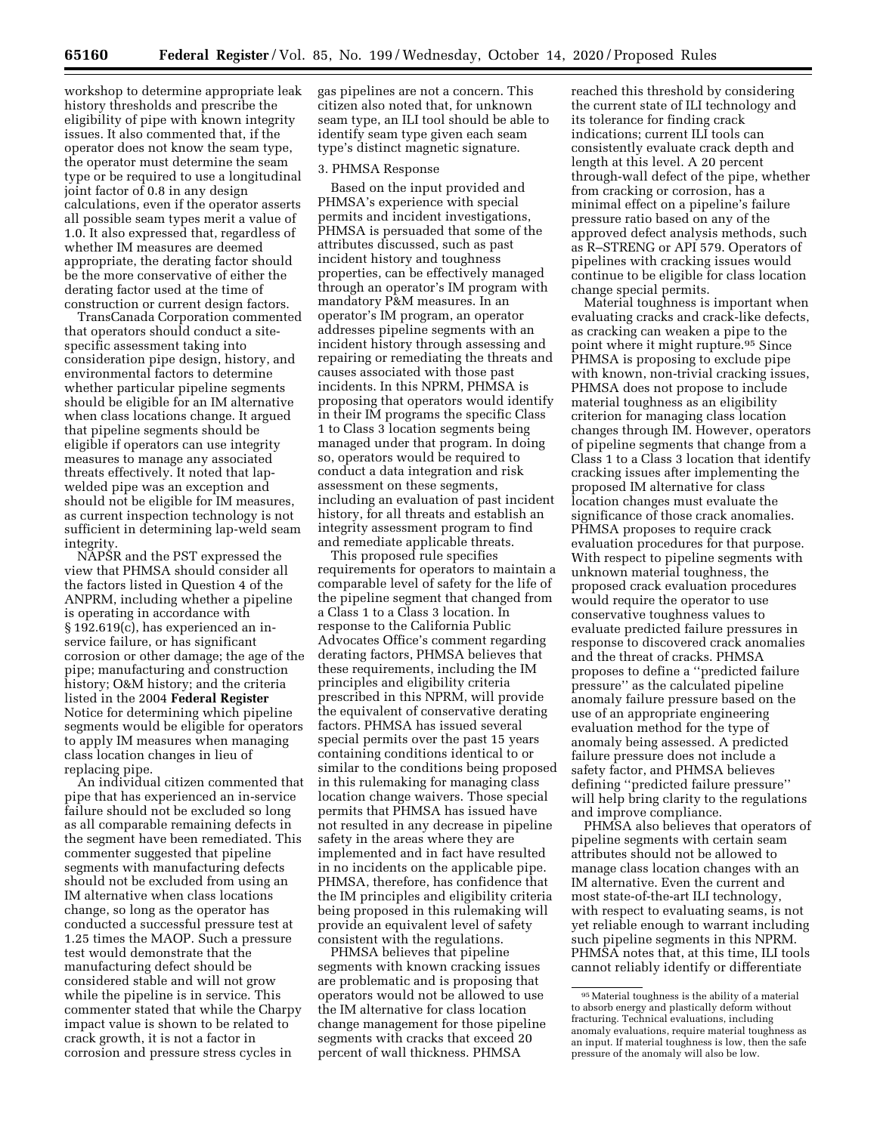workshop to determine appropriate leak history thresholds and prescribe the eligibility of pipe with known integrity issues. It also commented that, if the operator does not know the seam type, the operator must determine the seam type or be required to use a longitudinal joint factor of 0.8 in any design calculations, even if the operator asserts all possible seam types merit a value of 1.0. It also expressed that, regardless of whether IM measures are deemed appropriate, the derating factor should be the more conservative of either the derating factor used at the time of construction or current design factors.

TransCanada Corporation commented that operators should conduct a sitespecific assessment taking into consideration pipe design, history, and environmental factors to determine whether particular pipeline segments should be eligible for an IM alternative when class locations change. It argued that pipeline segments should be eligible if operators can use integrity measures to manage any associated threats effectively. It noted that lapwelded pipe was an exception and should not be eligible for IM measures, as current inspection technology is not sufficient in determining lap-weld seam integrity.

NAPSR and the PST expressed the view that PHMSA should consider all the factors listed in Question 4 of the ANPRM, including whether a pipeline is operating in accordance with § 192.619(c), has experienced an inservice failure, or has significant corrosion or other damage; the age of the pipe; manufacturing and construction history; O&M history; and the criteria listed in the 2004 **Federal Register**  Notice for determining which pipeline segments would be eligible for operators to apply IM measures when managing class location changes in lieu of replacing pipe.

An individual citizen commented that pipe that has experienced an in-service failure should not be excluded so long as all comparable remaining defects in the segment have been remediated. This commenter suggested that pipeline segments with manufacturing defects should not be excluded from using an IM alternative when class locations change, so long as the operator has conducted a successful pressure test at 1.25 times the MAOP. Such a pressure test would demonstrate that the manufacturing defect should be considered stable and will not grow while the pipeline is in service. This commenter stated that while the Charpy impact value is shown to be related to crack growth, it is not a factor in corrosion and pressure stress cycles in

gas pipelines are not a concern. This citizen also noted that, for unknown seam type, an ILI tool should be able to identify seam type given each seam type's distinct magnetic signature.

#### 3. PHMSA Response

Based on the input provided and PHMSA's experience with special permits and incident investigations, PHMSA is persuaded that some of the attributes discussed, such as past incident history and toughness properties, can be effectively managed through an operator's IM program with mandatory P&M measures. In an operator's IM program, an operator addresses pipeline segments with an incident history through assessing and repairing or remediating the threats and causes associated with those past incidents. In this NPRM, PHMSA is proposing that operators would identify in their IM programs the specific Class 1 to Class 3 location segments being managed under that program. In doing so, operators would be required to conduct a data integration and risk assessment on these segments, including an evaluation of past incident history, for all threats and establish an integrity assessment program to find and remediate applicable threats.

This proposed rule specifies requirements for operators to maintain a comparable level of safety for the life of the pipeline segment that changed from a Class 1 to a Class 3 location. In response to the California Public Advocates Office's comment regarding derating factors, PHMSA believes that these requirements, including the IM principles and eligibility criteria prescribed in this NPRM, will provide the equivalent of conservative derating factors. PHMSA has issued several special permits over the past 15 years containing conditions identical to or similar to the conditions being proposed in this rulemaking for managing class location change waivers. Those special permits that PHMSA has issued have not resulted in any decrease in pipeline safety in the areas where they are implemented and in fact have resulted in no incidents on the applicable pipe. PHMSA, therefore, has confidence that the IM principles and eligibility criteria being proposed in this rulemaking will provide an equivalent level of safety consistent with the regulations.

PHMSA believes that pipeline segments with known cracking issues are problematic and is proposing that operators would not be allowed to use the IM alternative for class location change management for those pipeline segments with cracks that exceed 20 percent of wall thickness. PHMSA

reached this threshold by considering the current state of ILI technology and its tolerance for finding crack indications; current ILI tools can consistently evaluate crack depth and length at this level. A 20 percent through-wall defect of the pipe, whether from cracking or corrosion, has a minimal effect on a pipeline's failure pressure ratio based on any of the approved defect analysis methods, such as R–STRENG or API 579. Operators of pipelines with cracking issues would continue to be eligible for class location change special permits.

Material toughness is important when evaluating cracks and crack-like defects, as cracking can weaken a pipe to the point where it might rupture.95 Since PHMSA is proposing to exclude pipe with known, non-trivial cracking issues, PHMSA does not propose to include material toughness as an eligibility criterion for managing class location changes through IM. However, operators of pipeline segments that change from a Class 1 to a Class 3 location that identify cracking issues after implementing the proposed IM alternative for class location changes must evaluate the significance of those crack anomalies. PHMSA proposes to require crack evaluation procedures for that purpose. With respect to pipeline segments with unknown material toughness, the proposed crack evaluation procedures would require the operator to use conservative toughness values to evaluate predicted failure pressures in response to discovered crack anomalies and the threat of cracks. PHMSA proposes to define a ''predicted failure pressure'' as the calculated pipeline anomaly failure pressure based on the use of an appropriate engineering evaluation method for the type of anomaly being assessed. A predicted failure pressure does not include a safety factor, and PHMSA believes defining ''predicted failure pressure'' will help bring clarity to the regulations and improve compliance.

PHMSA also believes that operators of pipeline segments with certain seam attributes should not be allowed to manage class location changes with an IM alternative. Even the current and most state-of-the-art ILI technology, with respect to evaluating seams, is not yet reliable enough to warrant including such pipeline segments in this NPRM. PHMSA notes that, at this time, ILI tools cannot reliably identify or differentiate

<sup>95</sup>Material toughness is the ability of a material to absorb energy and plastically deform without fracturing. Technical evaluations, including anomaly evaluations, require material toughness as an input. If material toughness is low, then the safe pressure of the anomaly will also be low.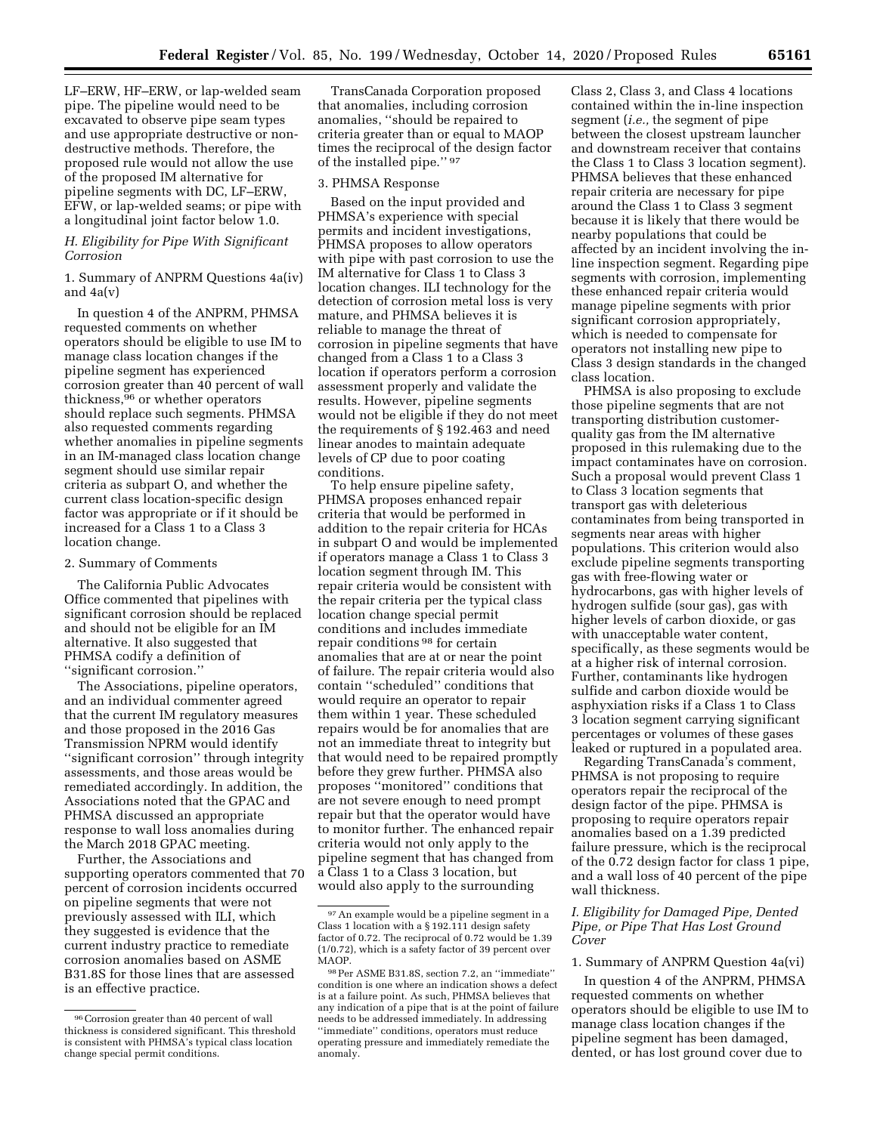LF–ERW, HF–ERW, or lap-welded seam pipe. The pipeline would need to be excavated to observe pipe seam types and use appropriate destructive or nondestructive methods. Therefore, the proposed rule would not allow the use of the proposed IM alternative for pipeline segments with DC, LF–ERW, EFW, or lap-welded seams; or pipe with a longitudinal joint factor below 1.0.

# *H. Eligibility for Pipe With Significant Corrosion*

1. Summary of ANPRM Questions 4a(iv) and 4a(v)

In question 4 of the ANPRM, PHMSA requested comments on whether operators should be eligible to use IM to manage class location changes if the pipeline segment has experienced corrosion greater than 40 percent of wall thickness,96 or whether operators should replace such segments. PHMSA also requested comments regarding whether anomalies in pipeline segments in an IM-managed class location change segment should use similar repair criteria as subpart O, and whether the current class location-specific design factor was appropriate or if it should be increased for a Class 1 to a Class 3 location change.

#### 2. Summary of Comments

The California Public Advocates Office commented that pipelines with significant corrosion should be replaced and should not be eligible for an IM alternative. It also suggested that PHMSA codify a definition of ''significant corrosion.''

The Associations, pipeline operators, and an individual commenter agreed that the current IM regulatory measures and those proposed in the 2016 Gas Transmission NPRM would identify ''significant corrosion'' through integrity assessments, and those areas would be remediated accordingly. In addition, the Associations noted that the GPAC and PHMSA discussed an appropriate response to wall loss anomalies during the March 2018 GPAC meeting.

Further, the Associations and supporting operators commented that 70 percent of corrosion incidents occurred on pipeline segments that were not previously assessed with ILI, which they suggested is evidence that the current industry practice to remediate corrosion anomalies based on ASME B31.8S for those lines that are assessed is an effective practice.

TransCanada Corporation proposed that anomalies, including corrosion anomalies, ''should be repaired to criteria greater than or equal to MAOP times the reciprocal of the design factor of the installed pipe.'' 97

#### 3. PHMSA Response

Based on the input provided and PHMSA's experience with special permits and incident investigations, PHMSA proposes to allow operators with pipe with past corrosion to use the IM alternative for Class 1 to Class 3 location changes. ILI technology for the detection of corrosion metal loss is very mature, and PHMSA believes it is reliable to manage the threat of corrosion in pipeline segments that have changed from a Class 1 to a Class 3 location if operators perform a corrosion assessment properly and validate the results. However, pipeline segments would not be eligible if they do not meet the requirements of § 192.463 and need linear anodes to maintain adequate levels of CP due to poor coating conditions.

To help ensure pipeline safety, PHMSA proposes enhanced repair criteria that would be performed in addition to the repair criteria for HCAs in subpart O and would be implemented if operators manage a Class 1 to Class 3 location segment through IM. This repair criteria would be consistent with the repair criteria per the typical class location change special permit conditions and includes immediate repair conditions 98 for certain anomalies that are at or near the point of failure. The repair criteria would also contain ''scheduled'' conditions that would require an operator to repair them within 1 year. These scheduled repairs would be for anomalies that are not an immediate threat to integrity but that would need to be repaired promptly before they grew further. PHMSA also proposes ''monitored'' conditions that are not severe enough to need prompt repair but that the operator would have to monitor further. The enhanced repair criteria would not only apply to the pipeline segment that has changed from a Class 1 to a Class 3 location, but would also apply to the surrounding

Class 2, Class 3, and Class 4 locations contained within the in-line inspection segment (*i.e.,* the segment of pipe between the closest upstream launcher and downstream receiver that contains the Class 1 to Class 3 location segment). PHMSA believes that these enhanced repair criteria are necessary for pipe around the Class 1 to Class 3 segment because it is likely that there would be nearby populations that could be affected by an incident involving the inline inspection segment. Regarding pipe segments with corrosion, implementing these enhanced repair criteria would manage pipeline segments with prior significant corrosion appropriately, which is needed to compensate for operators not installing new pipe to Class 3 design standards in the changed class location.

PHMSA is also proposing to exclude those pipeline segments that are not transporting distribution customerquality gas from the IM alternative proposed in this rulemaking due to the impact contaminates have on corrosion. Such a proposal would prevent Class 1 to Class 3 location segments that transport gas with deleterious contaminates from being transported in segments near areas with higher populations. This criterion would also exclude pipeline segments transporting gas with free-flowing water or hydrocarbons, gas with higher levels of hydrogen sulfide (sour gas), gas with higher levels of carbon dioxide, or gas with unacceptable water content, specifically, as these segments would be at a higher risk of internal corrosion. Further, contaminants like hydrogen sulfide and carbon dioxide would be asphyxiation risks if a Class 1 to Class 3 location segment carrying significant percentages or volumes of these gases leaked or ruptured in a populated area.

Regarding TransCanada's comment, PHMSA is not proposing to require operators repair the reciprocal of the design factor of the pipe. PHMSA is proposing to require operators repair anomalies based on a 1.39 predicted failure pressure, which is the reciprocal of the 0.72 design factor for class 1 pipe, and a wall loss of 40 percent of the pipe wall thickness.

## *I. Eligibility for Damaged Pipe, Dented Pipe, or Pipe That Has Lost Ground Cover*

# 1. Summary of ANPRM Question 4a(vi)

In question 4 of the ANPRM, PHMSA requested comments on whether operators should be eligible to use IM to manage class location changes if the pipeline segment has been damaged, dented, or has lost ground cover due to

<sup>96</sup>Corrosion greater than 40 percent of wall thickness is considered significant. This threshold is consistent with PHMSA's typical class location change special permit conditions.

<sup>97</sup>An example would be a pipeline segment in a Class 1 location with a § 192.111 design safety factor of 0.72. The reciprocal of 0.72 would be 1.39 (1/0.72), which is a safety factor of 39 percent over MAOP.

<sup>98</sup>Per ASME B31.8S, section 7.2, an ''immediate'' condition is one where an indication shows a defect is at a failure point. As such, PHMSA believes that any indication of a pipe that is at the point of failure needs to be addressed immediately. In addressing ''immediate'' conditions, operators must reduce operating pressure and immediately remediate the anomaly.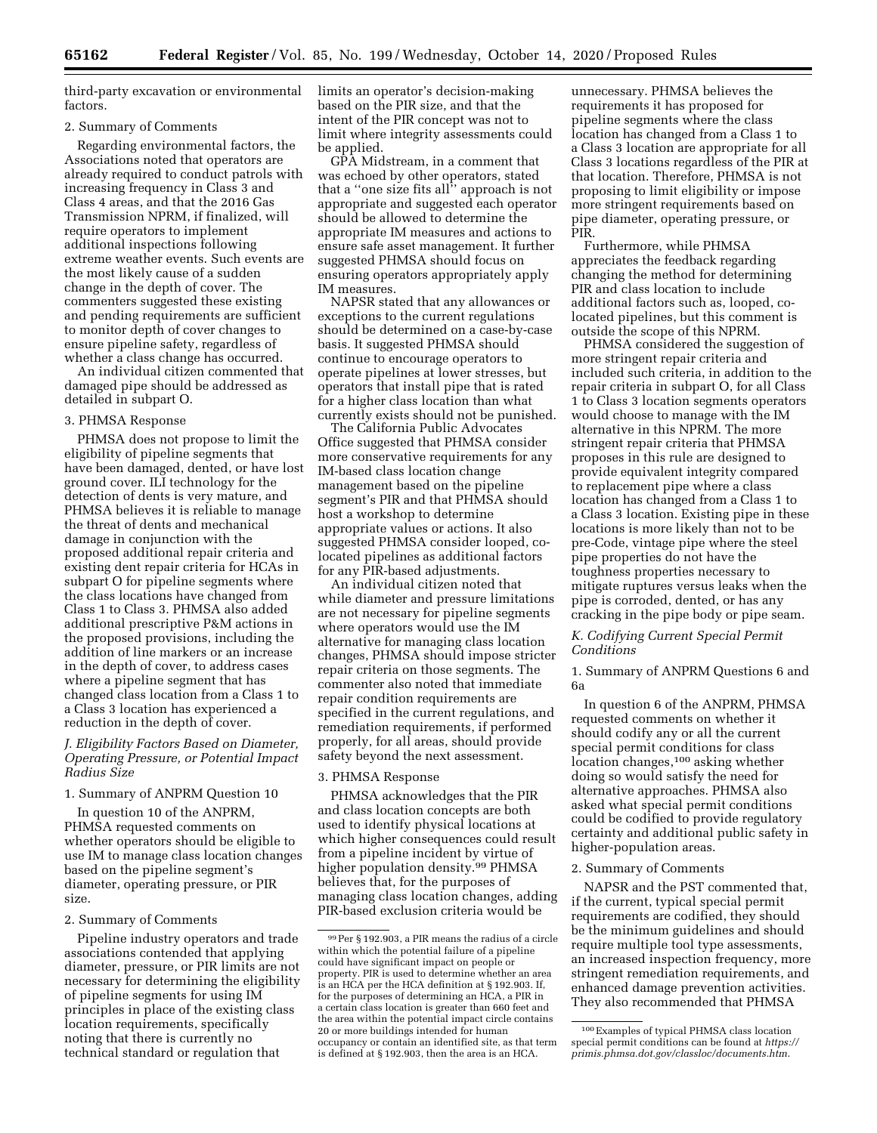third-party excavation or environmental factors.

#### 2. Summary of Comments

Regarding environmental factors, the Associations noted that operators are already required to conduct patrols with increasing frequency in Class 3 and Class 4 areas, and that the 2016 Gas Transmission NPRM, if finalized, will require operators to implement additional inspections following extreme weather events. Such events are the most likely cause of a sudden change in the depth of cover. The commenters suggested these existing and pending requirements are sufficient to monitor depth of cover changes to ensure pipeline safety, regardless of whether a class change has occurred.

An individual citizen commented that damaged pipe should be addressed as detailed in subpart O.

#### 3. PHMSA Response

PHMSA does not propose to limit the eligibility of pipeline segments that have been damaged, dented, or have lost ground cover. ILI technology for the detection of dents is very mature, and PHMSA believes it is reliable to manage the threat of dents and mechanical damage in conjunction with the proposed additional repair criteria and existing dent repair criteria for HCAs in subpart O for pipeline segments where the class locations have changed from Class 1 to Class 3. PHMSA also added additional prescriptive P&M actions in the proposed provisions, including the addition of line markers or an increase in the depth of cover, to address cases where a pipeline segment that has changed class location from a Class 1 to a Class 3 location has experienced a reduction in the depth of cover.

# *J. Eligibility Factors Based on Diameter, Operating Pressure, or Potential Impact Radius Size*

#### 1. Summary of ANPRM Question 10

In question 10 of the ANPRM, PHMSA requested comments on whether operators should be eligible to use IM to manage class location changes based on the pipeline segment's diameter, operating pressure, or PIR size.

#### 2. Summary of Comments

Pipeline industry operators and trade associations contended that applying diameter, pressure, or PIR limits are not necessary for determining the eligibility of pipeline segments for using IM principles in place of the existing class location requirements, specifically noting that there is currently no technical standard or regulation that

limits an operator's decision-making based on the PIR size, and that the intent of the PIR concept was not to limit where integrity assessments could be applied.

GPA Midstream, in a comment that was echoed by other operators, stated that a ''one size fits all'' approach is not appropriate and suggested each operator should be allowed to determine the appropriate IM measures and actions to ensure safe asset management. It further suggested PHMSA should focus on ensuring operators appropriately apply IM measures.

NAPSR stated that any allowances or exceptions to the current regulations should be determined on a case-by-case basis. It suggested PHMSA should continue to encourage operators to operate pipelines at lower stresses, but operators that install pipe that is rated for a higher class location than what currently exists should not be punished.

The California Public Advocates Office suggested that PHMSA consider more conservative requirements for any IM-based class location change management based on the pipeline segment's PIR and that PHMSA should host a workshop to determine appropriate values or actions. It also suggested PHMSA consider looped, colocated pipelines as additional factors for any PIR-based adjustments.

An individual citizen noted that while diameter and pressure limitations are not necessary for pipeline segments where operators would use the IM alternative for managing class location changes, PHMSA should impose stricter repair criteria on those segments. The commenter also noted that immediate repair condition requirements are specified in the current regulations, and remediation requirements, if performed properly, for all areas, should provide safety beyond the next assessment.

# 3. PHMSA Response

PHMSA acknowledges that the PIR and class location concepts are both used to identify physical locations at which higher consequences could result from a pipeline incident by virtue of higher population density.99 PHMSA believes that, for the purposes of managing class location changes, adding PIR-based exclusion criteria would be

unnecessary. PHMSA believes the requirements it has proposed for pipeline segments where the class location has changed from a Class 1 to a Class 3 location are appropriate for all Class 3 locations regardless of the PIR at that location. Therefore, PHMSA is not proposing to limit eligibility or impose more stringent requirements based on pipe diameter, operating pressure, or PIR.

Furthermore, while PHMSA appreciates the feedback regarding changing the method for determining PIR and class location to include additional factors such as, looped, colocated pipelines, but this comment is outside the scope of this NPRM.

PHMSA considered the suggestion of more stringent repair criteria and included such criteria, in addition to the repair criteria in subpart O, for all Class 1 to Class 3 location segments operators would choose to manage with the IM alternative in this NPRM. The more stringent repair criteria that PHMSA proposes in this rule are designed to provide equivalent integrity compared to replacement pipe where a class location has changed from a Class 1 to a Class 3 location. Existing pipe in these locations is more likely than not to be pre-Code, vintage pipe where the steel pipe properties do not have the toughness properties necessary to mitigate ruptures versus leaks when the pipe is corroded, dented, or has any cracking in the pipe body or pipe seam.

## *K. Codifying Current Special Permit Conditions*

# 1. Summary of ANPRM Questions 6 and 6a

In question 6 of the ANPRM, PHMSA requested comments on whether it should codify any or all the current special permit conditions for class location changes,<sup>100</sup> asking whether doing so would satisfy the need for alternative approaches. PHMSA also asked what special permit conditions could be codified to provide regulatory certainty and additional public safety in higher-population areas.

# 2. Summary of Comments

NAPSR and the PST commented that, if the current, typical special permit requirements are codified, they should be the minimum guidelines and should require multiple tool type assessments, an increased inspection frequency, more stringent remediation requirements, and enhanced damage prevention activities. They also recommended that PHMSA

<sup>99</sup>Per § 192.903, a PIR means the radius of a circle within which the potential failure of a pipeline could have significant impact on people or property. PIR is used to determine whether an area is an HCA per the HCA definition at § 192.903. If, for the purposes of determining an HCA, a PIR in a certain class location is greater than 660 feet and the area within the potential impact circle contains 20 or more buildings intended for human occupancy or contain an identified site, as that term is defined at § 192.903, then the area is an HCA.

<sup>100</sup>Examples of typical PHMSA class location special permit conditions can be found at *[https://](https://primis.phmsa.dot.gov/classloc/documents.htm)  [primis.phmsa.dot.gov/classloc/documents.htm](https://primis.phmsa.dot.gov/classloc/documents.htm)*.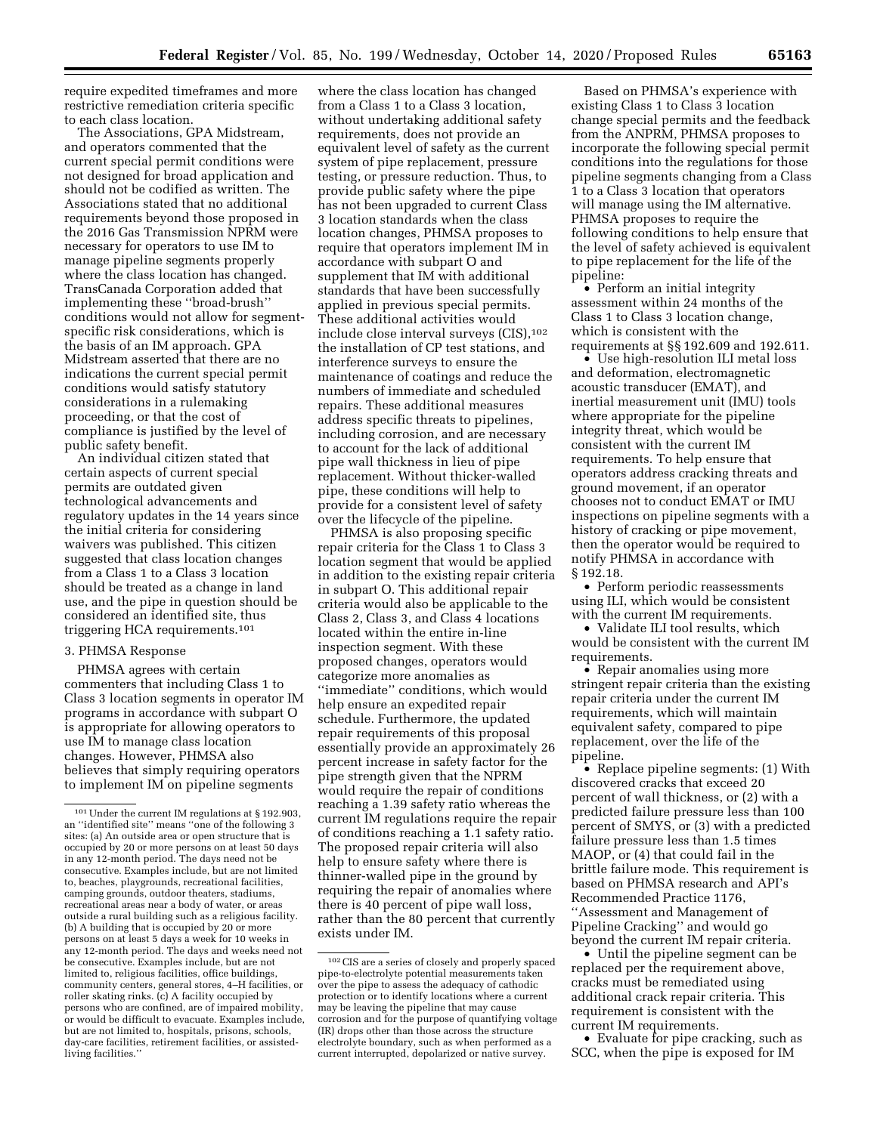require expedited timeframes and more restrictive remediation criteria specific to each class location.

The Associations, GPA Midstream, and operators commented that the current special permit conditions were not designed for broad application and should not be codified as written. The Associations stated that no additional requirements beyond those proposed in the 2016 Gas Transmission NPRM were necessary for operators to use IM to manage pipeline segments properly where the class location has changed. TransCanada Corporation added that implementing these ''broad-brush'' conditions would not allow for segmentspecific risk considerations, which is the basis of an IM approach. GPA Midstream asserted that there are no indications the current special permit conditions would satisfy statutory considerations in a rulemaking proceeding, or that the cost of compliance is justified by the level of public safety benefit.

An individual citizen stated that certain aspects of current special permits are outdated given technological advancements and regulatory updates in the 14 years since the initial criteria for considering waivers was published. This citizen suggested that class location changes from a Class 1 to a Class 3 location should be treated as a change in land use, and the pipe in question should be considered an identified site, thus triggering HCA requirements.101

## 3. PHMSA Response

PHMSA agrees with certain commenters that including Class 1 to Class 3 location segments in operator IM programs in accordance with subpart O is appropriate for allowing operators to use IM to manage class location changes. However, PHMSA also believes that simply requiring operators to implement IM on pipeline segments

where the class location has changed from a Class 1 to a Class 3 location, without undertaking additional safety requirements, does not provide an equivalent level of safety as the current system of pipe replacement, pressure testing, or pressure reduction. Thus, to provide public safety where the pipe has not been upgraded to current Class 3 location standards when the class location changes, PHMSA proposes to require that operators implement IM in accordance with subpart O and supplement that IM with additional standards that have been successfully applied in previous special permits. These additional activities would include close interval surveys (CIS),102 the installation of CP test stations, and interference surveys to ensure the maintenance of coatings and reduce the numbers of immediate and scheduled repairs. These additional measures address specific threats to pipelines, including corrosion, and are necessary to account for the lack of additional pipe wall thickness in lieu of pipe replacement. Without thicker-walled pipe, these conditions will help to provide for a consistent level of safety over the lifecycle of the pipeline.

PHMSA is also proposing specific repair criteria for the Class 1 to Class 3 location segment that would be applied in addition to the existing repair criteria in subpart O. This additional repair criteria would also be applicable to the Class 2, Class 3, and Class 4 locations located within the entire in-line inspection segment. With these proposed changes, operators would categorize more anomalies as ''immediate'' conditions, which would help ensure an expedited repair schedule. Furthermore, the updated repair requirements of this proposal essentially provide an approximately 26 percent increase in safety factor for the pipe strength given that the NPRM would require the repair of conditions reaching a 1.39 safety ratio whereas the current IM regulations require the repair of conditions reaching a 1.1 safety ratio. The proposed repair criteria will also help to ensure safety where there is thinner-walled pipe in the ground by requiring the repair of anomalies where there is 40 percent of pipe wall loss, rather than the 80 percent that currently exists under IM.

Based on PHMSA's experience with existing Class 1 to Class 3 location change special permits and the feedback from the ANPRM, PHMSA proposes to incorporate the following special permit conditions into the regulations for those pipeline segments changing from a Class 1 to a Class 3 location that operators will manage using the IM alternative. PHMSA proposes to require the following conditions to help ensure that the level of safety achieved is equivalent to pipe replacement for the life of the pipeline:

• Perform an initial integrity assessment within 24 months of the Class 1 to Class 3 location change, which is consistent with the requirements at §§ 192.609 and 192.611.

• Use high-resolution ILI metal loss and deformation, electromagnetic acoustic transducer (EMAT), and inertial measurement unit (IMU) tools where appropriate for the pipeline integrity threat, which would be consistent with the current IM requirements. To help ensure that operators address cracking threats and ground movement, if an operator chooses not to conduct EMAT or IMU inspections on pipeline segments with a history of cracking or pipe movement, then the operator would be required to notify PHMSA in accordance with § 192.18.

• Perform periodic reassessments using ILI, which would be consistent with the current IM requirements.

• Validate ILI tool results, which would be consistent with the current IM requirements.

• Repair anomalies using more stringent repair criteria than the existing repair criteria under the current IM requirements, which will maintain equivalent safety, compared to pipe replacement, over the life of the pipeline.

• Replace pipeline segments: (1) With discovered cracks that exceed 20 percent of wall thickness, or (2) with a predicted failure pressure less than 100 percent of SMYS, or (3) with a predicted failure pressure less than 1.5 times MAOP, or (4) that could fail in the brittle failure mode. This requirement is based on PHMSA research and API's Recommended Practice 1176, ''Assessment and Management of Pipeline Cracking'' and would go beyond the current IM repair criteria.

• Until the pipeline segment can be replaced per the requirement above, cracks must be remediated using additional crack repair criteria. This requirement is consistent with the current IM requirements.

• Evaluate for pipe cracking, such as SCC, when the pipe is exposed for IM

<sup>101</sup>Under the current IM regulations at § 192.903, an ''identified site'' means ''one of the following 3 sites: (a) An outside area or open structure that is occupied by 20 or more persons on at least 50 days in any 12-month period. The days need not be consecutive. Examples include, but are not limited to, beaches, playgrounds, recreational facilities, camping grounds, outdoor theaters, stadiums, recreational areas near a body of water, or areas outside a rural building such as a religious facility. (b) A building that is occupied by 20 or more persons on at least 5 days a week for 10 weeks in any 12-month period. The days and weeks need not be consecutive. Examples include, but are not limited to, religious facilities, office buildings, community centers, general stores, 4–H facilities, or roller skating rinks. (c) A facility occupied by persons who are confined, are of impaired mobility, or would be difficult to evacuate. Examples include, but are not limited to, hospitals, prisons, schools, day-care facilities, retirement facilities, or assistedliving facilities.''

<sup>102</sup>CIS are a series of closely and properly spaced pipe-to-electrolyte potential measurements taken over the pipe to assess the adequacy of cathodic protection or to identify locations where a current may be leaving the pipeline that may cause corrosion and for the purpose of quantifying voltage (IR) drops other than those across the structure electrolyte boundary, such as when performed as a current interrupted, depolarized or native survey.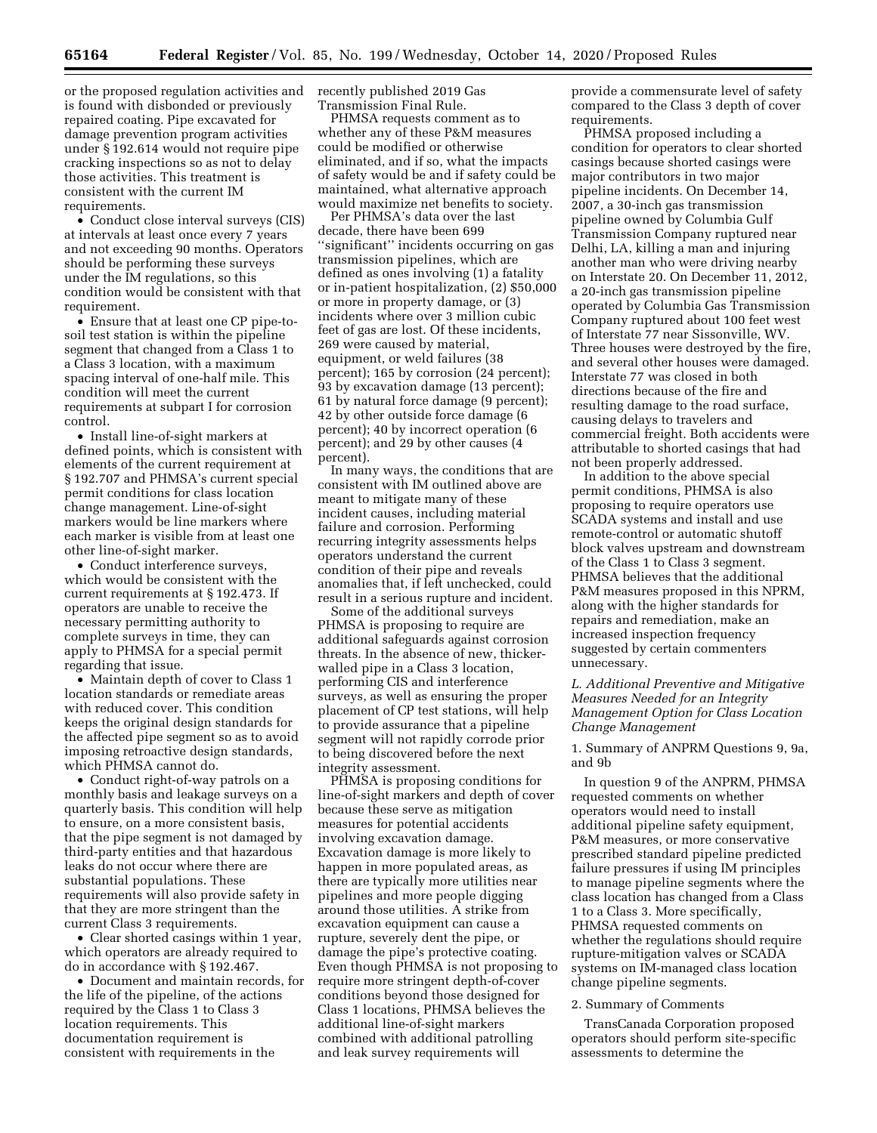**65164 Federal Register** / Vol. 85, No. 199 / Wednesday, October 14, 2020 / Proposed Rules

or the proposed regulation activities and is found with disbonded or previously repaired coating. Pipe excavated for damage prevention program activities under § 192.614 would not require pipe cracking inspections so as not to delay those activities. This treatment is consistent with the current IM requirements.

• Conduct close interval surveys (CIS) at intervals at least once every 7 years and not exceeding 90 months. Operators should be performing these surveys under the IM regulations, so this condition would be consistent with that requirement.

• Ensure that at least one CP pipe-tosoil test station is within the pipeline segment that changed from a Class 1 to a Class 3 location, with a maximum spacing interval of one-half mile. This condition will meet the current requirements at subpart I for corrosion control.

• Install line-of-sight markers at defined points, which is consistent with elements of the current requirement at § 192.707 and PHMSA's current special permit conditions for class location change management. Line-of-sight markers would be line markers where each marker is visible from at least one other line-of-sight marker.

• Conduct interference surveys, which would be consistent with the current requirements at § 192.473. If operators are unable to receive the necessary permitting authority to complete surveys in time, they can apply to PHMSA for a special permit regarding that issue.

• Maintain depth of cover to Class 1 location standards or remediate areas with reduced cover. This condition keeps the original design standards for the affected pipe segment so as to avoid imposing retroactive design standards, which PHMSA cannot do.

• Conduct right-of-way patrols on a monthly basis and leakage surveys on a quarterly basis. This condition will help to ensure, on a more consistent basis, that the pipe segment is not damaged by third-party entities and that hazardous leaks do not occur where there are substantial populations. These requirements will also provide safety in that they are more stringent than the current Class 3 requirements.

• Clear shorted casings within 1 year, which operators are already required to do in accordance with § 192.467.

• Document and maintain records, for the life of the pipeline, of the actions required by the Class 1 to Class 3 location requirements. This documentation requirement is consistent with requirements in the

recently published 2019 Gas Transmission Final Rule.

PHMSA requests comment as to whether any of these P&M measures could be modified or otherwise eliminated, and if so, what the impacts of safety would be and if safety could be maintained, what alternative approach would maximize net benefits to society.

Per PHMSA's data over the last decade, there have been 699 ''significant'' incidents occurring on gas transmission pipelines, which are defined as ones involving (1) a fatality or in-patient hospitalization, (2) \$50,000 or more in property damage, or (3) incidents where over 3 million cubic feet of gas are lost. Of these incidents, 269 were caused by material, equipment, or weld failures (38 percent); 165 by corrosion (24 percent); 93 by excavation damage (13 percent); 61 by natural force damage (9 percent); 42 by other outside force damage (6 percent); 40 by incorrect operation (6 percent); and 29 by other causes (4 percent).

In many ways, the conditions that are consistent with IM outlined above are meant to mitigate many of these incident causes, including material failure and corrosion. Performing recurring integrity assessments helps operators understand the current condition of their pipe and reveals anomalies that, if left unchecked, could result in a serious rupture and incident.

Some of the additional surveys PHMSA is proposing to require are additional safeguards against corrosion threats. In the absence of new, thickerwalled pipe in a Class 3 location, performing CIS and interference surveys, as well as ensuring the proper placement of CP test stations, will help to provide assurance that a pipeline segment will not rapidly corrode prior to being discovered before the next integrity assessment.

PHMSA is proposing conditions for line-of-sight markers and depth of cover because these serve as mitigation measures for potential accidents involving excavation damage. Excavation damage is more likely to happen in more populated areas, as there are typically more utilities near pipelines and more people digging around those utilities. A strike from excavation equipment can cause a rupture, severely dent the pipe, or damage the pipe's protective coating. Even though PHMSA is not proposing to require more stringent depth-of-cover conditions beyond those designed for Class 1 locations, PHMSA believes the additional line-of-sight markers combined with additional patrolling and leak survey requirements will

provide a commensurate level of safety compared to the Class 3 depth of cover requirements.

PHMSA proposed including a condition for operators to clear shorted casings because shorted casings were major contributors in two major pipeline incidents. On December 14, 2007, a 30-inch gas transmission pipeline owned by Columbia Gulf Transmission Company ruptured near Delhi, LA, killing a man and injuring another man who were driving nearby on Interstate 20. On December 11, 2012, a 20-inch gas transmission pipeline operated by Columbia Gas Transmission Company ruptured about 100 feet west of Interstate 77 near Sissonville, WV. Three houses were destroyed by the fire, and several other houses were damaged. Interstate 77 was closed in both directions because of the fire and resulting damage to the road surface, causing delays to travelers and commercial freight. Both accidents were attributable to shorted casings that had not been properly addressed.

In addition to the above special permit conditions, PHMSA is also proposing to require operators use SCADA systems and install and use remote-control or automatic shutoff block valves upstream and downstream of the Class 1 to Class 3 segment. PHMSA believes that the additional P&M measures proposed in this NPRM, along with the higher standards for repairs and remediation, make an increased inspection frequency suggested by certain commenters unnecessary.

# *L. Additional Preventive and Mitigative Measures Needed for an Integrity Management Option for Class Location Change Management*

1. Summary of ANPRM Questions 9, 9a, and 9b

In question 9 of the ANPRM, PHMSA requested comments on whether operators would need to install additional pipeline safety equipment, P&M measures, or more conservative prescribed standard pipeline predicted failure pressures if using IM principles to manage pipeline segments where the class location has changed from a Class 1 to a Class 3. More specifically, PHMSA requested comments on whether the regulations should require rupture-mitigation valves or SCADA systems on IM-managed class location change pipeline segments.

#### 2. Summary of Comments

TransCanada Corporation proposed operators should perform site-specific assessments to determine the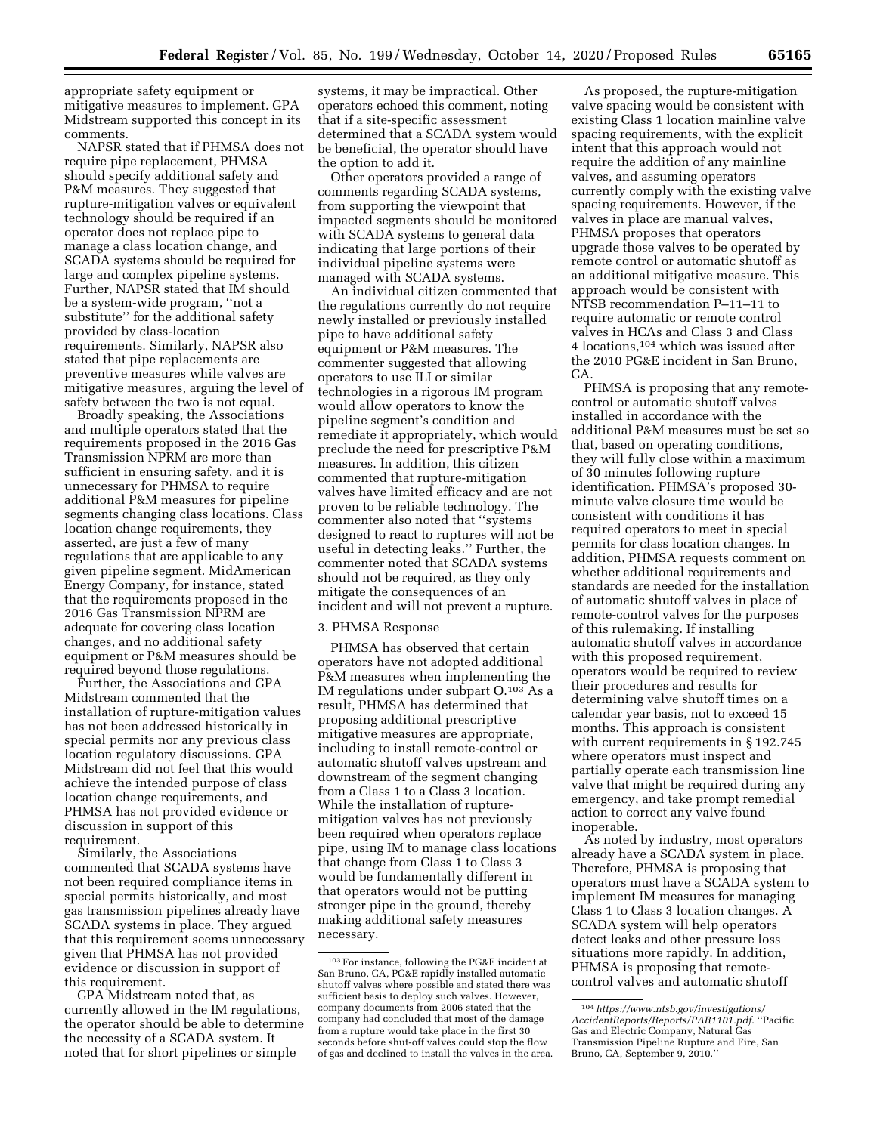appropriate safety equipment or mitigative measures to implement. GPA Midstream supported this concept in its comments.

NAPSR stated that if PHMSA does not require pipe replacement, PHMSA should specify additional safety and P&M measures. They suggested that rupture-mitigation valves or equivalent technology should be required if an operator does not replace pipe to manage a class location change, and SCADA systems should be required for large and complex pipeline systems. Further, NAPSR stated that IM should be a system-wide program, ''not a substitute'' for the additional safety provided by class-location requirements. Similarly, NAPSR also stated that pipe replacements are preventive measures while valves are mitigative measures, arguing the level of safety between the two is not equal.

Broadly speaking, the Associations and multiple operators stated that the requirements proposed in the 2016 Gas Transmission NPRM are more than sufficient in ensuring safety, and it is unnecessary for PHMSA to require additional P&M measures for pipeline segments changing class locations. Class location change requirements, they asserted, are just a few of many regulations that are applicable to any given pipeline segment. MidAmerican Energy Company, for instance, stated that the requirements proposed in the 2016 Gas Transmission NPRM are adequate for covering class location changes, and no additional safety equipment or P&M measures should be required beyond those regulations.

Further, the Associations and GPA Midstream commented that the installation of rupture-mitigation values has not been addressed historically in special permits nor any previous class location regulatory discussions. GPA Midstream did not feel that this would achieve the intended purpose of class location change requirements, and PHMSA has not provided evidence or discussion in support of this requirement.

Similarly, the Associations commented that SCADA systems have not been required compliance items in special permits historically, and most gas transmission pipelines already have SCADA systems in place. They argued that this requirement seems unnecessary given that PHMSA has not provided evidence or discussion in support of this requirement.

GPA Midstream noted that, as currently allowed in the IM regulations, the operator should be able to determine the necessity of a SCADA system. It noted that for short pipelines or simple

systems, it may be impractical. Other operators echoed this comment, noting that if a site-specific assessment determined that a SCADA system would be beneficial, the operator should have the option to add it.

Other operators provided a range of comments regarding SCADA systems, from supporting the viewpoint that impacted segments should be monitored with SCADA systems to general data indicating that large portions of their individual pipeline systems were managed with SCADA systems.

An individual citizen commented that the regulations currently do not require newly installed or previously installed pipe to have additional safety equipment or P&M measures. The commenter suggested that allowing operators to use ILI or similar technologies in a rigorous IM program would allow operators to know the pipeline segment's condition and remediate it appropriately, which would preclude the need for prescriptive P&M measures. In addition, this citizen commented that rupture-mitigation valves have limited efficacy and are not proven to be reliable technology. The commenter also noted that ''systems designed to react to ruptures will not be useful in detecting leaks.'' Further, the commenter noted that SCADA systems should not be required, as they only mitigate the consequences of an incident and will not prevent a rupture.

#### 3. PHMSA Response

PHMSA has observed that certain operators have not adopted additional P&M measures when implementing the IM regulations under subpart O.103 As a result, PHMSA has determined that proposing additional prescriptive mitigative measures are appropriate, including to install remote-control or automatic shutoff valves upstream and downstream of the segment changing from a Class 1 to a Class 3 location. While the installation of rupturemitigation valves has not previously been required when operators replace pipe, using IM to manage class locations that change from Class 1 to Class 3 would be fundamentally different in that operators would not be putting stronger pipe in the ground, thereby making additional safety measures necessary.

As proposed, the rupture-mitigation valve spacing would be consistent with existing Class 1 location mainline valve spacing requirements, with the explicit intent that this approach would not require the addition of any mainline valves, and assuming operators currently comply with the existing valve spacing requirements. However, if the valves in place are manual valves, PHMSA proposes that operators upgrade those valves to be operated by remote control or automatic shutoff as an additional mitigative measure. This approach would be consistent with NTSB recommendation P–11–11 to require automatic or remote control valves in HCAs and Class 3 and Class 4 locations,104 which was issued after the 2010 PG&E incident in San Bruno, C<sub>A</sub>

PHMSA is proposing that any remotecontrol or automatic shutoff valves installed in accordance with the additional P&M measures must be set so that, based on operating conditions, they will fully close within a maximum of 30 minutes following rupture identification. PHMSA's proposed 30 minute valve closure time would be consistent with conditions it has required operators to meet in special permits for class location changes. In addition, PHMSA requests comment on whether additional requirements and standards are needed for the installation of automatic shutoff valves in place of remote-control valves for the purposes of this rulemaking. If installing automatic shutoff valves in accordance with this proposed requirement, operators would be required to review their procedures and results for determining valve shutoff times on a calendar year basis, not to exceed 15 months. This approach is consistent with current requirements in § 192.745 where operators must inspect and partially operate each transmission line valve that might be required during any emergency, and take prompt remedial action to correct any valve found inoperable.

As noted by industry, most operators already have a SCADA system in place. Therefore, PHMSA is proposing that operators must have a SCADA system to implement IM measures for managing Class 1 to Class 3 location changes. A SCADA system will help operators detect leaks and other pressure loss situations more rapidly. In addition, PHMSA is proposing that remotecontrol valves and automatic shutoff

<sup>103</sup>For instance, following the PG&E incident at San Bruno, CA, PG&E rapidly installed automatic shutoff valves where possible and stated there was sufficient basis to deploy such valves. However, company documents from 2006 stated that the company had concluded that most of the damage from a rupture would take place in the first 30 seconds before shut-off valves could stop the flow of gas and declined to install the valves in the area.

<sup>104</sup>*[https://www.ntsb.gov/investigations/](https://www.ntsb.gov/investigations/AccidentReports/Reports/PAR1101.pdf) [AccidentReports/Reports/PAR1101.pdf](https://www.ntsb.gov/investigations/AccidentReports/Reports/PAR1101.pdf)*. ''Pacific Gas and Electric Company, Natural Gas Transmission Pipeline Rupture and Fire, San Bruno, CA, September 9, 2010.''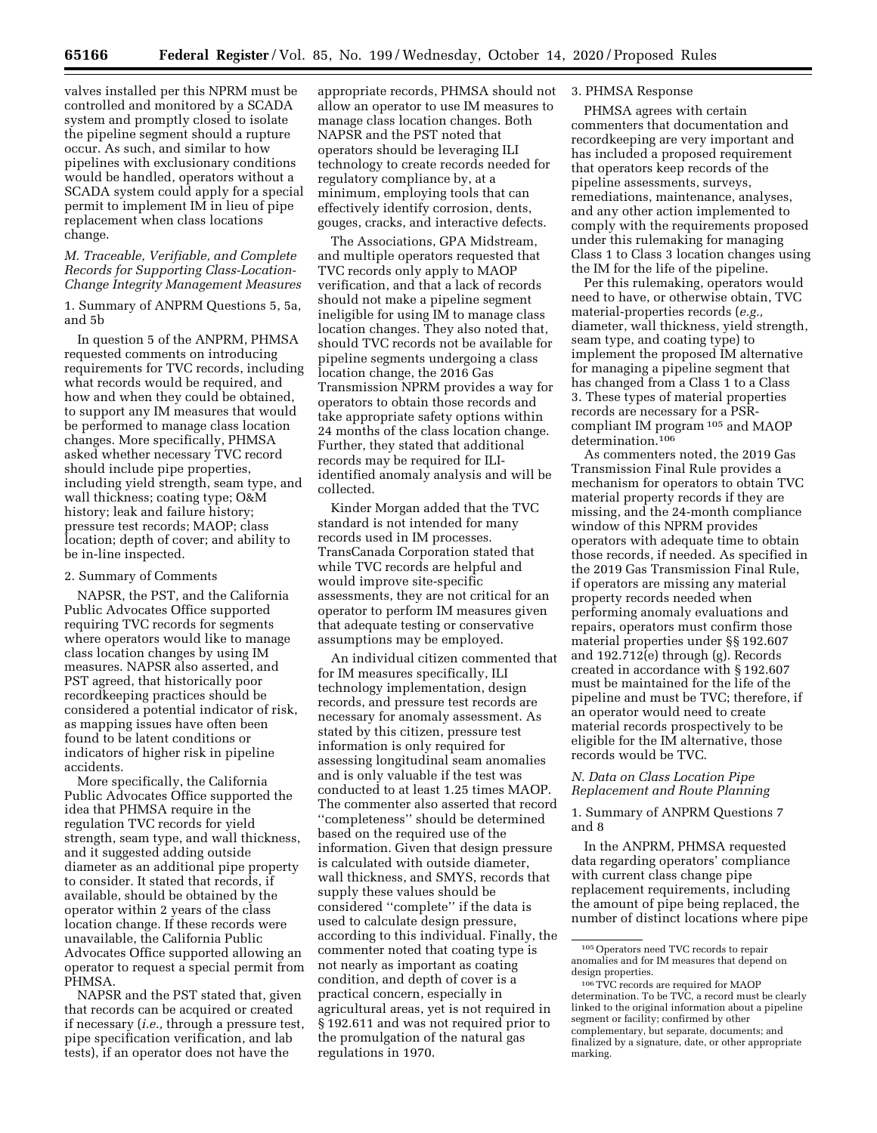valves installed per this NPRM must be controlled and monitored by a SCADA system and promptly closed to isolate the pipeline segment should a rupture occur. As such, and similar to how pipelines with exclusionary conditions would be handled, operators without a SCADA system could apply for a special permit to implement IM in lieu of pipe replacement when class locations change.

## *M. Traceable, Verifiable, and Complete Records for Supporting Class-Location-Change Integrity Management Measures*

1. Summary of ANPRM Questions 5, 5a, and 5b

In question 5 of the ANPRM, PHMSA requested comments on introducing requirements for TVC records, including what records would be required, and how and when they could be obtained, to support any IM measures that would be performed to manage class location changes. More specifically, PHMSA asked whether necessary TVC record should include pipe properties, including yield strength, seam type, and wall thickness; coating type; O&M history; leak and failure history; pressure test records; MAOP; class location; depth of cover; and ability to be in-line inspected.

#### 2. Summary of Comments

NAPSR, the PST, and the California Public Advocates Office supported requiring TVC records for segments where operators would like to manage class location changes by using IM measures. NAPSR also asserted, and PST agreed, that historically poor recordkeeping practices should be considered a potential indicator of risk, as mapping issues have often been found to be latent conditions or indicators of higher risk in pipeline accidents.

More specifically, the California Public Advocates Office supported the idea that PHMSA require in the regulation TVC records for yield strength, seam type, and wall thickness, and it suggested adding outside diameter as an additional pipe property to consider. It stated that records, if available, should be obtained by the operator within 2 years of the class location change. If these records were unavailable, the California Public Advocates Office supported allowing an operator to request a special permit from PHMSA.

NAPSR and the PST stated that, given that records can be acquired or created if necessary (*i.e.,* through a pressure test, pipe specification verification, and lab tests), if an operator does not have the

appropriate records, PHMSA should not allow an operator to use IM measures to manage class location changes. Both NAPSR and the PST noted that operators should be leveraging ILI technology to create records needed for regulatory compliance by, at a minimum, employing tools that can effectively identify corrosion, dents, gouges, cracks, and interactive defects.

The Associations, GPA Midstream, and multiple operators requested that TVC records only apply to MAOP verification, and that a lack of records should not make a pipeline segment ineligible for using IM to manage class location changes. They also noted that, should TVC records not be available for pipeline segments undergoing a class location change, the 2016 Gas Transmission NPRM provides a way for operators to obtain those records and take appropriate safety options within 24 months of the class location change. Further, they stated that additional records may be required for ILIidentified anomaly analysis and will be collected.

Kinder Morgan added that the TVC standard is not intended for many records used in IM processes. TransCanada Corporation stated that while TVC records are helpful and would improve site-specific assessments, they are not critical for an operator to perform IM measures given that adequate testing or conservative assumptions may be employed.

An individual citizen commented that for IM measures specifically, ILI technology implementation, design records, and pressure test records are necessary for anomaly assessment. As stated by this citizen, pressure test information is only required for assessing longitudinal seam anomalies and is only valuable if the test was conducted to at least 1.25 times MAOP. The commenter also asserted that record ''completeness'' should be determined based on the required use of the information. Given that design pressure is calculated with outside diameter, wall thickness, and SMYS, records that supply these values should be considered ''complete'' if the data is used to calculate design pressure, according to this individual. Finally, the commenter noted that coating type is not nearly as important as coating condition, and depth of cover is a practical concern, especially in agricultural areas, yet is not required in § 192.611 and was not required prior to the promulgation of the natural gas regulations in 1970.

# 3. PHMSA Response

PHMSA agrees with certain commenters that documentation and recordkeeping are very important and has included a proposed requirement that operators keep records of the pipeline assessments, surveys, remediations, maintenance, analyses, and any other action implemented to comply with the requirements proposed under this rulemaking for managing Class 1 to Class 3 location changes using the IM for the life of the pipeline.

Per this rulemaking, operators would need to have, or otherwise obtain, TVC material-properties records (*e.g.,*  diameter, wall thickness, yield strength, seam type, and coating type) to implement the proposed IM alternative for managing a pipeline segment that has changed from a Class 1 to a Class 3. These types of material properties records are necessary for a PSRcompliant IM program 105 and MAOP determination.106

As commenters noted, the 2019 Gas Transmission Final Rule provides a mechanism for operators to obtain TVC material property records if they are missing, and the 24-month compliance window of this NPRM provides operators with adequate time to obtain those records, if needed. As specified in the 2019 Gas Transmission Final Rule, if operators are missing any material property records needed when performing anomaly evaluations and repairs, operators must confirm those material properties under §§ 192.607 and 192.712(e) through (g). Records created in accordance with § 192.607 must be maintained for the life of the pipeline and must be TVC; therefore, if an operator would need to create material records prospectively to be eligible for the IM alternative, those records would be TVC.

# *N. Data on Class Location Pipe Replacement and Route Planning*

1. Summary of ANPRM Questions 7 and 8

In the ANPRM, PHMSA requested data regarding operators' compliance with current class change pipe replacement requirements, including the amount of pipe being replaced, the number of distinct locations where pipe

<sup>105</sup>Operators need TVC records to repair anomalies and for IM measures that depend on design properties.

<sup>106</sup>TVC records are required for MAOP determination. To be TVC, a record must be clearly linked to the original information about a pipeline segment or facility; confirmed by other complementary, but separate, documents; and finalized by a signature, date, or other appropriate marking.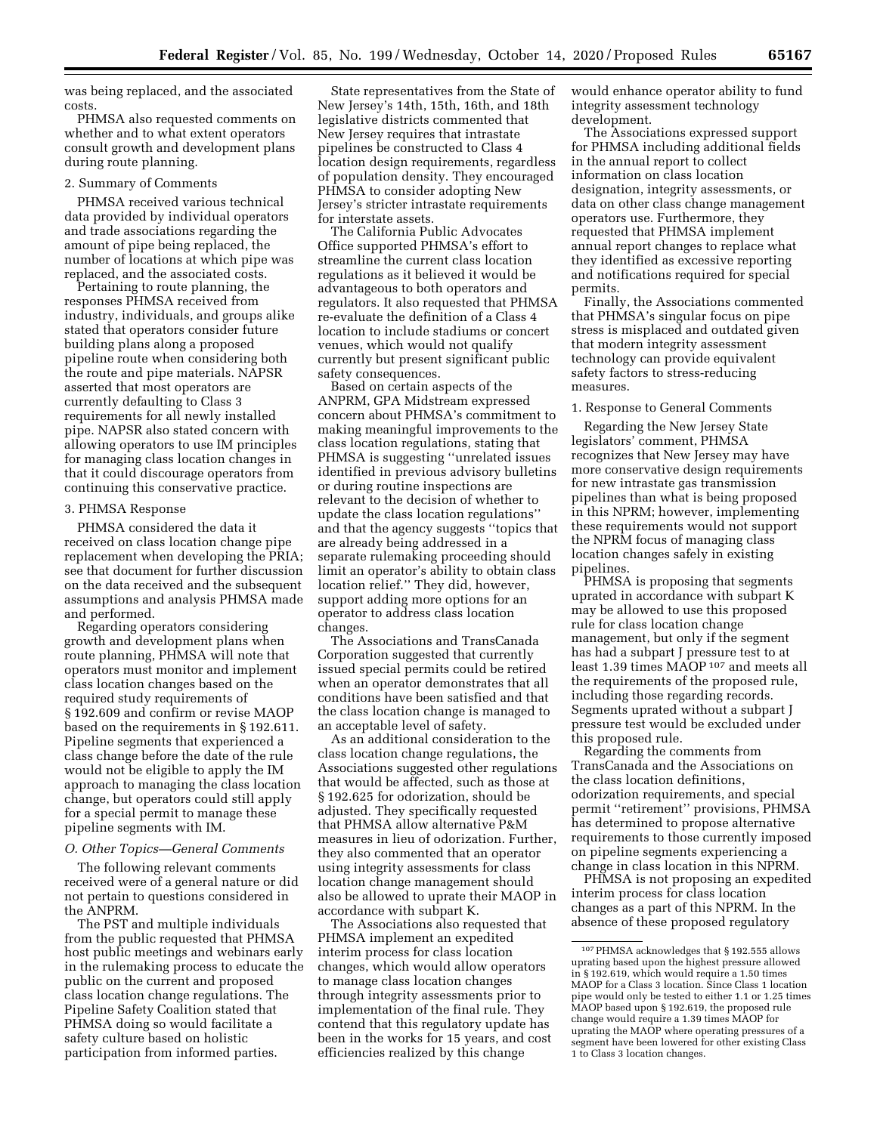was being replaced, and the associated costs.

PHMSA also requested comments on whether and to what extent operators consult growth and development plans during route planning.

#### 2. Summary of Comments

PHMSA received various technical data provided by individual operators and trade associations regarding the amount of pipe being replaced, the number of locations at which pipe was replaced, and the associated costs.

Pertaining to route planning, the responses PHMSA received from industry, individuals, and groups alike stated that operators consider future building plans along a proposed pipeline route when considering both the route and pipe materials. NAPSR asserted that most operators are currently defaulting to Class 3 requirements for all newly installed pipe. NAPSR also stated concern with allowing operators to use IM principles for managing class location changes in that it could discourage operators from continuing this conservative practice.

## 3. PHMSA Response

PHMSA considered the data it received on class location change pipe replacement when developing the PRIA; see that document for further discussion on the data received and the subsequent assumptions and analysis PHMSA made and performed.

Regarding operators considering growth and development plans when route planning, PHMSA will note that operators must monitor and implement class location changes based on the required study requirements of § 192.609 and confirm or revise MAOP based on the requirements in § 192.611. Pipeline segments that experienced a class change before the date of the rule would not be eligible to apply the IM approach to managing the class location change, but operators could still apply for a special permit to manage these pipeline segments with IM.

# *O. Other Topics—General Comments*

The following relevant comments received were of a general nature or did not pertain to questions considered in the ANPRM.

The PST and multiple individuals from the public requested that PHMSA host public meetings and webinars early in the rulemaking process to educate the public on the current and proposed class location change regulations. The Pipeline Safety Coalition stated that PHMSA doing so would facilitate a safety culture based on holistic participation from informed parties.

State representatives from the State of New Jersey's 14th, 15th, 16th, and 18th legislative districts commented that New Jersey requires that intrastate pipelines be constructed to Class 4 location design requirements, regardless of population density. They encouraged PHMSA to consider adopting New Jersey's stricter intrastate requirements for interstate assets.

The California Public Advocates Office supported PHMSA's effort to streamline the current class location regulations as it believed it would be advantageous to both operators and regulators. It also requested that PHMSA re-evaluate the definition of a Class 4 location to include stadiums or concert venues, which would not qualify currently but present significant public safety consequences.

Based on certain aspects of the ANPRM, GPA Midstream expressed concern about PHMSA's commitment to making meaningful improvements to the class location regulations, stating that PHMSA is suggesting ''unrelated issues identified in previous advisory bulletins or during routine inspections are relevant to the decision of whether to update the class location regulations'' and that the agency suggests ''topics that are already being addressed in a separate rulemaking proceeding should limit an operator's ability to obtain class location relief.'' They did, however, support adding more options for an operator to address class location changes.

The Associations and TransCanada Corporation suggested that currently issued special permits could be retired when an operator demonstrates that all conditions have been satisfied and that the class location change is managed to an acceptable level of safety.

As an additional consideration to the class location change regulations, the Associations suggested other regulations that would be affected, such as those at § 192.625 for odorization, should be adjusted. They specifically requested that PHMSA allow alternative P&M measures in lieu of odorization. Further, they also commented that an operator using integrity assessments for class location change management should also be allowed to uprate their MAOP in accordance with subpart K.

The Associations also requested that PHMSA implement an expedited interim process for class location changes, which would allow operators to manage class location changes through integrity assessments prior to implementation of the final rule. They contend that this regulatory update has been in the works for 15 years, and cost efficiencies realized by this change

would enhance operator ability to fund integrity assessment technology development.

The Associations expressed support for PHMSA including additional fields in the annual report to collect information on class location designation, integrity assessments, or data on other class change management operators use. Furthermore, they requested that PHMSA implement annual report changes to replace what they identified as excessive reporting and notifications required for special permits.

Finally, the Associations commented that PHMSA's singular focus on pipe stress is misplaced and outdated given that modern integrity assessment technology can provide equivalent safety factors to stress-reducing measures.

1. Response to General Comments

Regarding the New Jersey State legislators' comment, PHMSA recognizes that New Jersey may have more conservative design requirements for new intrastate gas transmission pipelines than what is being proposed in this NPRM; however, implementing these requirements would not support the NPRM focus of managing class location changes safely in existing pipelines.

PHMSA is proposing that segments uprated in accordance with subpart K may be allowed to use this proposed rule for class location change management, but only if the segment has had a subpart J pressure test to at least 1.39 times MAOP 107 and meets all the requirements of the proposed rule, including those regarding records. Segments uprated without a subpart J pressure test would be excluded under this proposed rule.

Regarding the comments from TransCanada and the Associations on the class location definitions, odorization requirements, and special permit ''retirement'' provisions, PHMSA has determined to propose alternative requirements to those currently imposed on pipeline segments experiencing a change in class location in this NPRM.

PHMSA is not proposing an expedited interim process for class location changes as a part of this NPRM. In the absence of these proposed regulatory

<sup>107</sup>PHMSA acknowledges that § 192.555 allows uprating based upon the highest pressure allowed in § 192.619, which would require a 1.50 times MAOP for a Class 3 location. Since Class 1 location pipe would only be tested to either 1.1 or 1.25 times MAOP based upon § 192.619, the proposed rule change would require a 1.39 times MAOP for uprating the MAOP where operating pressures of a segment have been lowered for other existing Class 1 to Class 3 location changes.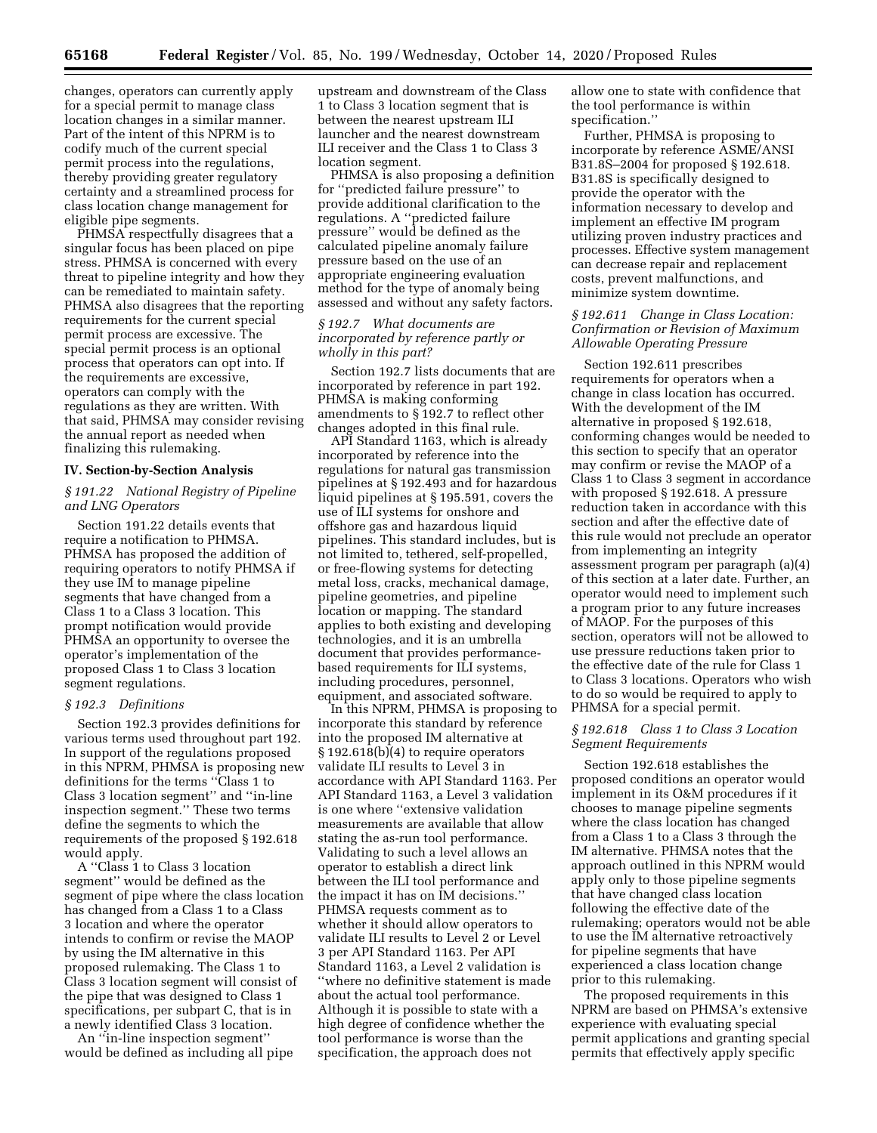changes, operators can currently apply for a special permit to manage class location changes in a similar manner. Part of the intent of this NPRM is to codify much of the current special permit process into the regulations, thereby providing greater regulatory certainty and a streamlined process for class location change management for eligible pipe segments.

PHMSA respectfully disagrees that a singular focus has been placed on pipe stress. PHMSA is concerned with every threat to pipeline integrity and how they can be remediated to maintain safety. PHMSA also disagrees that the reporting requirements for the current special permit process are excessive. The special permit process is an optional process that operators can opt into. If the requirements are excessive, operators can comply with the regulations as they are written. With that said, PHMSA may consider revising the annual report as needed when finalizing this rulemaking.

#### **IV. Section-by-Section Analysis**

# *§ 191.22 National Registry of Pipeline and LNG Operators*

Section 191.22 details events that require a notification to PHMSA. PHMSA has proposed the addition of requiring operators to notify PHMSA if they use IM to manage pipeline segments that have changed from a Class 1 to a Class 3 location. This prompt notification would provide PHMSA an opportunity to oversee the operator's implementation of the proposed Class 1 to Class 3 location segment regulations.

## *§ 192.3 Definitions*

Section 192.3 provides definitions for various terms used throughout part 192. In support of the regulations proposed in this NPRM, PHMSA is proposing new definitions for the terms ''Class 1 to Class 3 location segment'' and ''in-line inspection segment.'' These two terms define the segments to which the requirements of the proposed § 192.618 would apply.

A ''Class 1 to Class 3 location segment'' would be defined as the segment of pipe where the class location has changed from a Class 1 to a Class 3 location and where the operator intends to confirm or revise the MAOP by using the IM alternative in this proposed rulemaking. The Class 1 to Class 3 location segment will consist of the pipe that was designed to Class 1 specifications, per subpart C, that is in a newly identified Class 3 location.

An ''in-line inspection segment'' would be defined as including all pipe upstream and downstream of the Class 1 to Class 3 location segment that is between the nearest upstream ILI launcher and the nearest downstream ILI receiver and the Class 1 to Class 3 location segment.

PHMSA is also proposing a definition for ''predicted failure pressure'' to provide additional clarification to the regulations. A ''predicted failure pressure'' would be defined as the calculated pipeline anomaly failure pressure based on the use of an appropriate engineering evaluation method for the type of anomaly being assessed and without any safety factors.

# *§ 192.7 What documents are incorporated by reference partly or wholly in this part?*

Section 192.7 lists documents that are incorporated by reference in part 192. PHMSA is making conforming amendments to § 192.7 to reflect other changes adopted in this final rule.

API Standard 1163, which is already incorporated by reference into the regulations for natural gas transmission pipelines at § 192.493 and for hazardous liquid pipelines at § 195.591, covers the use of ILI systems for onshore and offshore gas and hazardous liquid pipelines. This standard includes, but is not limited to, tethered, self-propelled, or free-flowing systems for detecting metal loss, cracks, mechanical damage, pipeline geometries, and pipeline location or mapping. The standard applies to both existing and developing technologies, and it is an umbrella document that provides performancebased requirements for ILI systems, including procedures, personnel, equipment, and associated software.

In this NPRM, PHMSA is proposing to incorporate this standard by reference into the proposed IM alternative at § 192.618(b)(4) to require operators validate ILI results to Level 3 in accordance with API Standard 1163. Per API Standard 1163, a Level 3 validation is one where ''extensive validation measurements are available that allow stating the as-run tool performance. Validating to such a level allows an operator to establish a direct link between the ILI tool performance and the impact it has on IM decisions.'' PHMSA requests comment as to whether it should allow operators to validate ILI results to Level 2 or Level 3 per API Standard 1163. Per API Standard 1163, a Level 2 validation is ''where no definitive statement is made about the actual tool performance. Although it is possible to state with a high degree of confidence whether the tool performance is worse than the specification, the approach does not

allow one to state with confidence that the tool performance is within specification.''

Further, PHMSA is proposing to incorporate by reference ASME/ANSI B31.8S–2004 for proposed § 192.618. B31.8S is specifically designed to provide the operator with the information necessary to develop and implement an effective IM program utilizing proven industry practices and processes. Effective system management can decrease repair and replacement costs, prevent malfunctions, and minimize system downtime.

# *§ 192.611 Change in Class Location: Confirmation or Revision of Maximum Allowable Operating Pressure*

Section 192.611 prescribes requirements for operators when a change in class location has occurred. With the development of the IM alternative in proposed § 192.618, conforming changes would be needed to this section to specify that an operator may confirm or revise the MAOP of a Class 1 to Class 3 segment in accordance with proposed § 192.618. A pressure reduction taken in accordance with this section and after the effective date of this rule would not preclude an operator from implementing an integrity assessment program per paragraph (a)(4) of this section at a later date. Further, an operator would need to implement such a program prior to any future increases of MAOP. For the purposes of this section, operators will not be allowed to use pressure reductions taken prior to the effective date of the rule for Class 1 to Class 3 locations. Operators who wish to do so would be required to apply to PHMSA for a special permit.

# *§ 192.618 Class 1 to Class 3 Location Segment Requirements*

Section 192.618 establishes the proposed conditions an operator would implement in its O&M procedures if it chooses to manage pipeline segments where the class location has changed from a Class 1 to a Class 3 through the IM alternative. PHMSA notes that the approach outlined in this NPRM would apply only to those pipeline segments that have changed class location following the effective date of the rulemaking; operators would not be able to use the IM alternative retroactively for pipeline segments that have experienced a class location change prior to this rulemaking.

The proposed requirements in this NPRM are based on PHMSA's extensive experience with evaluating special permit applications and granting special permits that effectively apply specific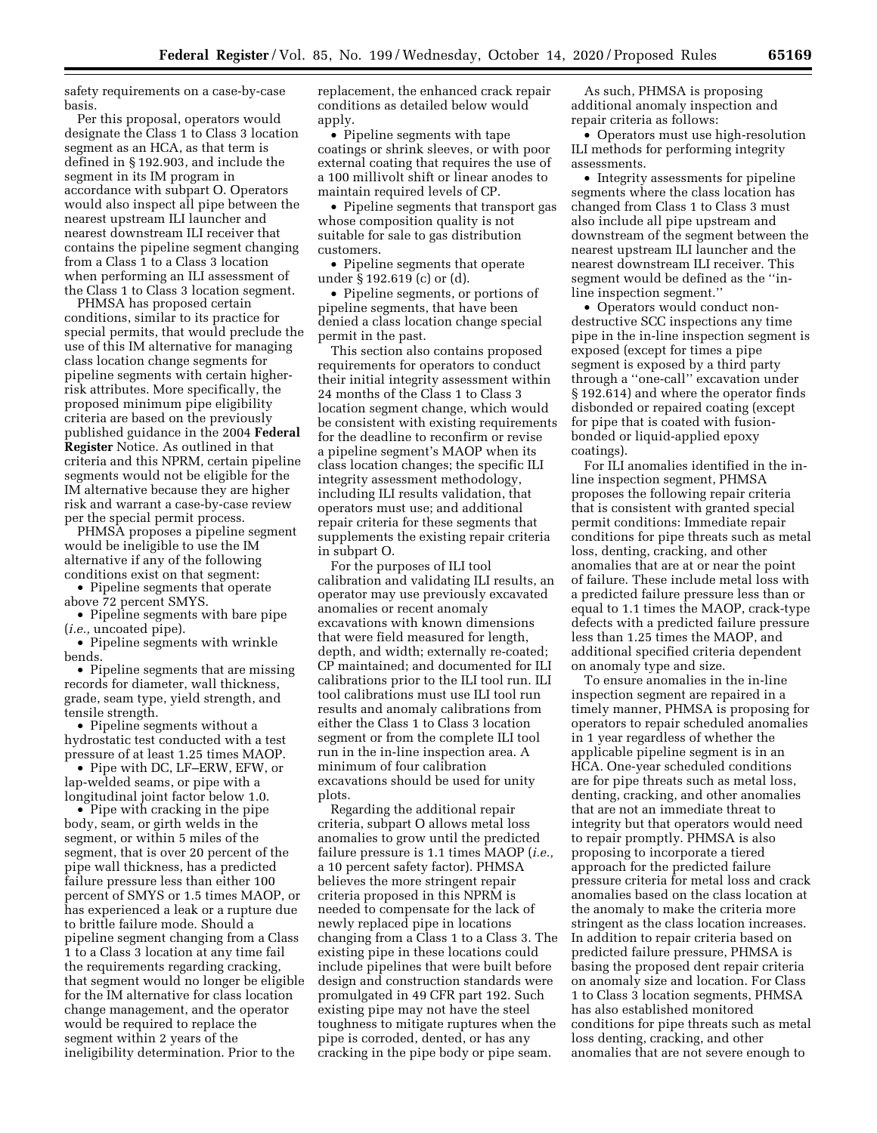safety requirements on a case-by-case basis.

Per this proposal, operators would designate the Class 1 to Class 3 location segment as an HCA, as that term is defined in § 192.903, and include the segment in its IM program in accordance with subpart O. Operators would also inspect all pipe between the nearest upstream ILI launcher and nearest downstream ILI receiver that contains the pipeline segment changing from a Class 1 to a Class 3 location when performing an ILI assessment of the Class 1 to Class 3 location segment.

PHMSA has proposed certain conditions, similar to its practice for special permits, that would preclude the use of this IM alternative for managing class location change segments for pipeline segments with certain higherrisk attributes. More specifically, the proposed minimum pipe eligibility criteria are based on the previously published guidance in the 2004 **Federal Register** Notice. As outlined in that criteria and this NPRM, certain pipeline segments would not be eligible for the IM alternative because they are higher risk and warrant a case-by-case review per the special permit process.

PHMSA proposes a pipeline segment would be ineligible to use the IM alternative if any of the following conditions exist on that segment:

• Pipeline segments that operate above 72 percent SMYS.

• Pipeline segments with bare pipe (*i.e.,* uncoated pipe).

• Pipeline segments with wrinkle bends.

• Pipeline segments that are missing records for diameter, wall thickness, grade, seam type, yield strength, and tensile strength.

• Pipeline segments without a hydrostatic test conducted with a test pressure of at least 1.25 times MAOP.

• Pipe with DC, LF–ERW, EFW, or lap-welded seams, or pipe with a longitudinal joint factor below 1.0.

• Pipe with cracking in the pipe body, seam, or girth welds in the segment, or within 5 miles of the segment, that is over 20 percent of the pipe wall thickness, has a predicted failure pressure less than either 100 percent of SMYS or 1.5 times MAOP, or has experienced a leak or a rupture due to brittle failure mode. Should a pipeline segment changing from a Class 1 to a Class 3 location at any time fail the requirements regarding cracking, that segment would no longer be eligible for the IM alternative for class location change management, and the operator would be required to replace the segment within 2 years of the ineligibility determination. Prior to the

replacement, the enhanced crack repair conditions as detailed below would apply.

• Pipeline segments with tape coatings or shrink sleeves, or with poor external coating that requires the use of a 100 millivolt shift or linear anodes to maintain required levels of CP.

• Pipeline segments that transport gas whose composition quality is not suitable for sale to gas distribution customers.

• Pipeline segments that operate under § 192.619 (c) or (d).

• Pipeline segments, or portions of pipeline segments, that have been denied a class location change special permit in the past.

This section also contains proposed requirements for operators to conduct their initial integrity assessment within 24 months of the Class 1 to Class 3 location segment change, which would be consistent with existing requirements for the deadline to reconfirm or revise a pipeline segment's MAOP when its class location changes; the specific ILI integrity assessment methodology, including ILI results validation, that operators must use; and additional repair criteria for these segments that supplements the existing repair criteria in subpart O.

For the purposes of ILI tool calibration and validating ILI results, an operator may use previously excavated anomalies or recent anomaly excavations with known dimensions that were field measured for length, depth, and width; externally re-coated; CP maintained; and documented for ILI calibrations prior to the ILI tool run. ILI tool calibrations must use ILI tool run results and anomaly calibrations from either the Class 1 to Class 3 location segment or from the complete ILI tool run in the in-line inspection area. A minimum of four calibration excavations should be used for unity plots.

Regarding the additional repair criteria, subpart O allows metal loss anomalies to grow until the predicted failure pressure is 1.1 times MAOP (*i.e.,*  a 10 percent safety factor). PHMSA believes the more stringent repair criteria proposed in this NPRM is needed to compensate for the lack of newly replaced pipe in locations changing from a Class 1 to a Class 3. The existing pipe in these locations could include pipelines that were built before design and construction standards were promulgated in 49 CFR part 192. Such existing pipe may not have the steel toughness to mitigate ruptures when the pipe is corroded, dented, or has any cracking in the pipe body or pipe seam.

As such, PHMSA is proposing additional anomaly inspection and repair criteria as follows:

• Operators must use high-resolution ILI methods for performing integrity assessments.

• Integrity assessments for pipeline segments where the class location has changed from Class 1 to Class 3 must also include all pipe upstream and downstream of the segment between the nearest upstream ILI launcher and the nearest downstream ILI receiver. This segment would be defined as the ''inline inspection segment.''

• Operators would conduct nondestructive SCC inspections any time pipe in the in-line inspection segment is exposed (except for times a pipe segment is exposed by a third party through a ''one-call'' excavation under § 192.614) and where the operator finds disbonded or repaired coating (except for pipe that is coated with fusionbonded or liquid-applied epoxy coatings).

For ILI anomalies identified in the inline inspection segment, PHMSA proposes the following repair criteria that is consistent with granted special permit conditions: Immediate repair conditions for pipe threats such as metal loss, denting, cracking, and other anomalies that are at or near the point of failure. These include metal loss with a predicted failure pressure less than or equal to 1.1 times the MAOP, crack-type defects with a predicted failure pressure less than 1.25 times the MAOP, and additional specified criteria dependent on anomaly type and size.

To ensure anomalies in the in-line inspection segment are repaired in a timely manner, PHMSA is proposing for operators to repair scheduled anomalies in 1 year regardless of whether the applicable pipeline segment is in an HCA. One-year scheduled conditions are for pipe threats such as metal loss, denting, cracking, and other anomalies that are not an immediate threat to integrity but that operators would need to repair promptly. PHMSA is also proposing to incorporate a tiered approach for the predicted failure pressure criteria for metal loss and crack anomalies based on the class location at the anomaly to make the criteria more stringent as the class location increases. In addition to repair criteria based on predicted failure pressure, PHMSA is basing the proposed dent repair criteria on anomaly size and location. For Class 1 to Class 3 location segments, PHMSA has also established monitored conditions for pipe threats such as metal loss denting, cracking, and other anomalies that are not severe enough to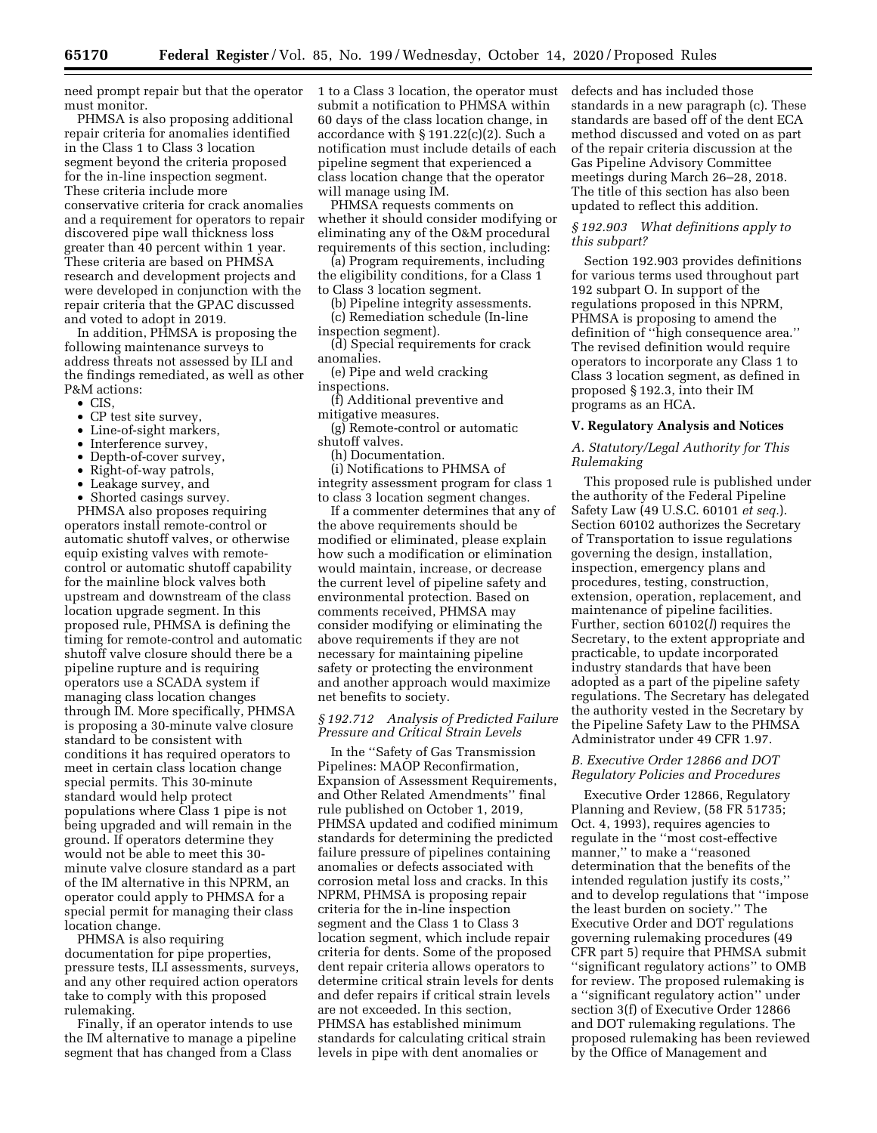need prompt repair but that the operator must monitor.

PHMSA is also proposing additional repair criteria for anomalies identified in the Class 1 to Class 3 location segment beyond the criteria proposed for the in-line inspection segment. These criteria include more conservative criteria for crack anomalies and a requirement for operators to repair discovered pipe wall thickness loss greater than 40 percent within 1 year. These criteria are based on PHMSA research and development projects and were developed in conjunction with the repair criteria that the GPAC discussed and voted to adopt in 2019.

In addition, PHMSA is proposing the following maintenance surveys to address threats not assessed by ILI and the findings remediated, as well as other P&M actions:

- CIS,
- CP test site survey,
- Line-of-sight markers,
- Interference survey,
- Depth-of-cover survey,
- Right-of-way patrols,
- Leakage survey, and
- Shorted casings survey.

PHMSA also proposes requiring operators install remote-control or automatic shutoff valves, or otherwise equip existing valves with remotecontrol or automatic shutoff capability for the mainline block valves both upstream and downstream of the class location upgrade segment. In this proposed rule, PHMSA is defining the timing for remote-control and automatic shutoff valve closure should there be a pipeline rupture and is requiring operators use a SCADA system if managing class location changes through IM. More specifically, PHMSA is proposing a 30-minute valve closure standard to be consistent with conditions it has required operators to meet in certain class location change special permits. This 30-minute standard would help protect populations where Class 1 pipe is not being upgraded and will remain in the ground. If operators determine they would not be able to meet this 30 minute valve closure standard as a part of the IM alternative in this NPRM, an operator could apply to PHMSA for a special permit for managing their class location change.

PHMSA is also requiring documentation for pipe properties, pressure tests, ILI assessments, surveys, and any other required action operators take to comply with this proposed rulemaking.

Finally, if an operator intends to use the IM alternative to manage a pipeline segment that has changed from a Class

1 to a Class 3 location, the operator must submit a notification to PHMSA within 60 days of the class location change, in accordance with § 191.22(c)(2). Such a notification must include details of each pipeline segment that experienced a class location change that the operator will manage using IM.

PHMSA requests comments on whether it should consider modifying or eliminating any of the O&M procedural requirements of this section, including:

(a) Program requirements, including the eligibility conditions, for a Class 1 to Class 3 location segment.

(b) Pipeline integrity assessments. (c) Remediation schedule (In-line

inspection segment).

(d) Special requirements for crack anomalies.

(e) Pipe and weld cracking inspections.

(f) Additional preventive and

mitigative measures. (g) Remote-control or automatic shutoff valves.

(h) Documentation.

(i) Notifications to PHMSA of integrity assessment program for class 1 to class 3 location segment changes.

If a commenter determines that any of the above requirements should be modified or eliminated, please explain how such a modification or elimination would maintain, increase, or decrease the current level of pipeline safety and environmental protection. Based on comments received, PHMSA may consider modifying or eliminating the above requirements if they are not necessary for maintaining pipeline safety or protecting the environment and another approach would maximize net benefits to society.

## *§ 192.712 Analysis of Predicted Failure Pressure and Critical Strain Levels*

In the ''Safety of Gas Transmission Pipelines: MAOP Reconfirmation, Expansion of Assessment Requirements, and Other Related Amendments'' final rule published on October 1, 2019, PHMSA updated and codified minimum standards for determining the predicted failure pressure of pipelines containing anomalies or defects associated with corrosion metal loss and cracks. In this NPRM, PHMSA is proposing repair criteria for the in-line inspection segment and the Class 1 to Class 3 location segment, which include repair criteria for dents. Some of the proposed dent repair criteria allows operators to determine critical strain levels for dents and defer repairs if critical strain levels are not exceeded. In this section, PHMSA has established minimum standards for calculating critical strain levels in pipe with dent anomalies or

defects and has included those standards in a new paragraph (c). These standards are based off of the dent ECA method discussed and voted on as part of the repair criteria discussion at the Gas Pipeline Advisory Committee meetings during March 26–28, 2018. The title of this section has also been updated to reflect this addition.

# *§ 192.903 What definitions apply to this subpart?*

Section 192.903 provides definitions for various terms used throughout part 192 subpart O. In support of the regulations proposed in this NPRM, PHMSA is proposing to amend the definition of ''high consequence area.'' The revised definition would require operators to incorporate any Class 1 to Class 3 location segment, as defined in proposed § 192.3, into their IM programs as an HCA.

#### **V. Regulatory Analysis and Notices**

## *A. Statutory/Legal Authority for This Rulemaking*

This proposed rule is published under the authority of the Federal Pipeline Safety Law (49 U.S.C. 60101 *et seq.*). Section 60102 authorizes the Secretary of Transportation to issue regulations governing the design, installation, inspection, emergency plans and procedures, testing, construction, extension, operation, replacement, and maintenance of pipeline facilities. Further, section 60102(*l*) requires the Secretary, to the extent appropriate and practicable, to update incorporated industry standards that have been adopted as a part of the pipeline safety regulations. The Secretary has delegated the authority vested in the Secretary by the Pipeline Safety Law to the PHMSA Administrator under 49 CFR 1.97.

# *B. Executive Order 12866 and DOT Regulatory Policies and Procedures*

Executive Order 12866, Regulatory Planning and Review, (58 FR 51735; Oct. 4, 1993), requires agencies to regulate in the ''most cost-effective manner,'' to make a ''reasoned determination that the benefits of the intended regulation justify its costs,'' and to develop regulations that ''impose the least burden on society.'' The Executive Order and DOT regulations governing rulemaking procedures (49 CFR part 5) require that PHMSA submit ''significant regulatory actions'' to OMB for review. The proposed rulemaking is a ''significant regulatory action'' under section 3(f) of Executive Order 12866 and DOT rulemaking regulations. The proposed rulemaking has been reviewed by the Office of Management and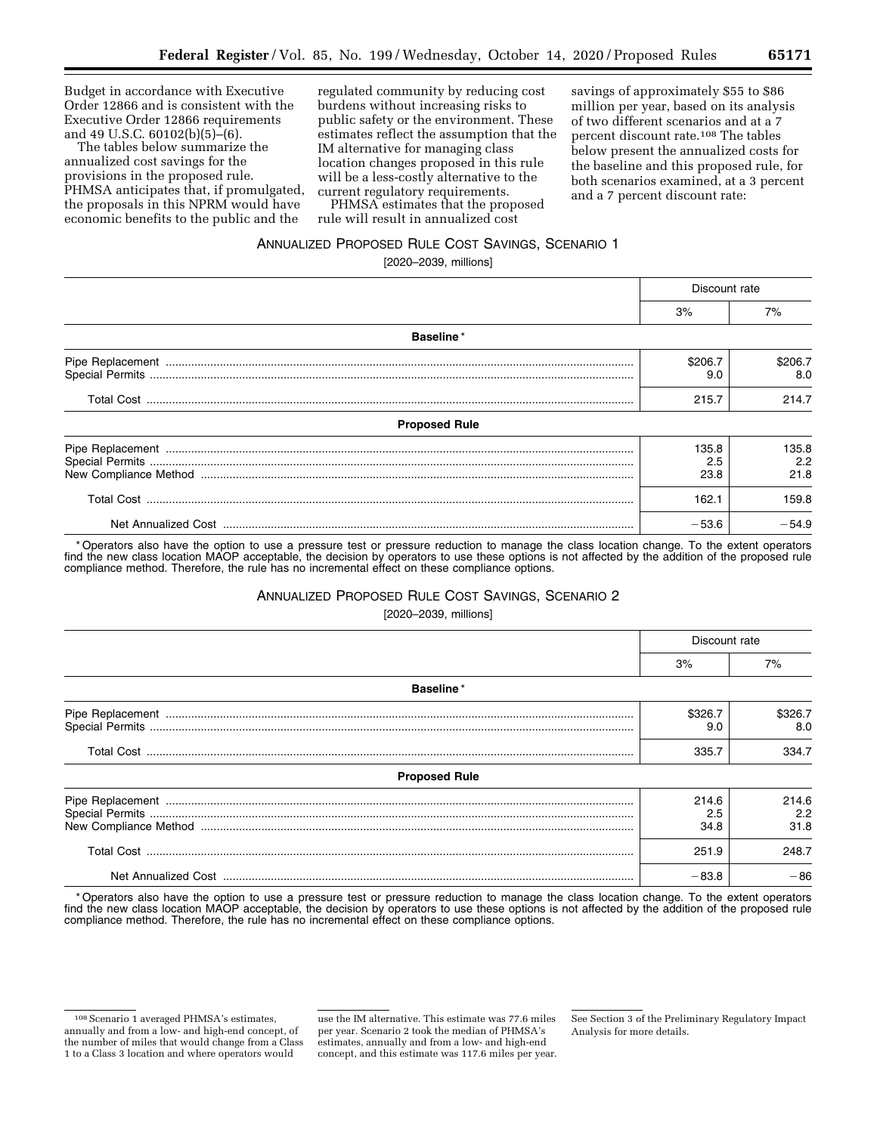Budget in accordance with Executive Order 12866 and is consistent with the Executive Order 12866 requirements and 49 U.S.C. 60102(b)(5)–(6).

The tables below summarize the annualized cost savings for the provisions in the proposed rule. PHMSA anticipates that, if promulgated, the proposals in this NPRM would have economic benefits to the public and the

regulated community by reducing cost burdens without increasing risks to public safety or the environment. These estimates reflect the assumption that the IM alternative for managing class location changes proposed in this rule will be a less-costly alternative to the current regulatory requirements.

PHMSA estimates that the proposed rule will result in annualized cost

savings of approximately \$55 to \$86 million per year, based on its analysis of two different scenarios and at a 7 percent discount rate.108 The tables below present the annualized costs for the baseline and this proposed rule, for both scenarios examined, at a 3 percent and a 7 percent discount rate:

# ANNUALIZED PROPOSED RULE COST SAVINGS, SCENARIO 1

[2020–2039, millions]

|                      | Discount rate        |                      |
|----------------------|----------------------|----------------------|
|                      | 3%                   | 7%                   |
| Baseline*            |                      |                      |
|                      | \$206.7<br>9.0       | \$206.7<br>8.0       |
|                      | 215.7                | 214.7                |
| <b>Proposed Rule</b> |                      |                      |
|                      | 135.8<br>2.5<br>23.8 | 135.8<br>2.2<br>21.8 |
|                      | 162.1                | 159.8                |
|                      | $-53.6$              | $-54.9$              |

\* Operators also have the option to use a pressure test or pressure reduction to manage the class location change. To the extent operators find the new class location MAOP acceptable, the decision by operators to use these options is not affected by the addition of the proposed rule compliance method. Therefore, the rule has no incremental effect on these compliance options.

## ANNUALIZED PROPOSED RULE COST SAVINGS, SCENARIO 2

[2020–2039, millions]

|                      | Discount rate        |                      |
|----------------------|----------------------|----------------------|
|                      | 3%                   | 7%                   |
| <b>Baseline</b> *    |                      |                      |
|                      | \$326.7<br>9.0       | \$326.7<br>8.0       |
|                      | 335.7                | 334.7                |
| <b>Proposed Rule</b> |                      |                      |
|                      | 214.6<br>2.5<br>34.8 | 214.6<br>2.2<br>31.8 |
|                      | 251.9                | 248.7                |
|                      | $-83.8$              | $-86$                |

\* Operators also have the option to use a pressure test or pressure reduction to manage the class location change. To the extent operators find the new class location MAOP acceptable, the decision by operators to use these options is not affected by the addition of the proposed rule compliance method. Therefore, the rule has no incremental effect on these compliance options.

<sup>108</sup>Scenario 1 averaged PHMSA's estimates, annually and from a low- and high-end concept, of the number of miles that would change from a Class 1 to a Class 3 location and where operators would

use the IM alternative. This estimate was 77.6 miles per year. Scenario 2 took the median of PHMSA's estimates, annually and from a low- and high-end concept, and this estimate was 117.6 miles per year.

See Section 3 of the Preliminary Regulatory Impact Analysis for more details.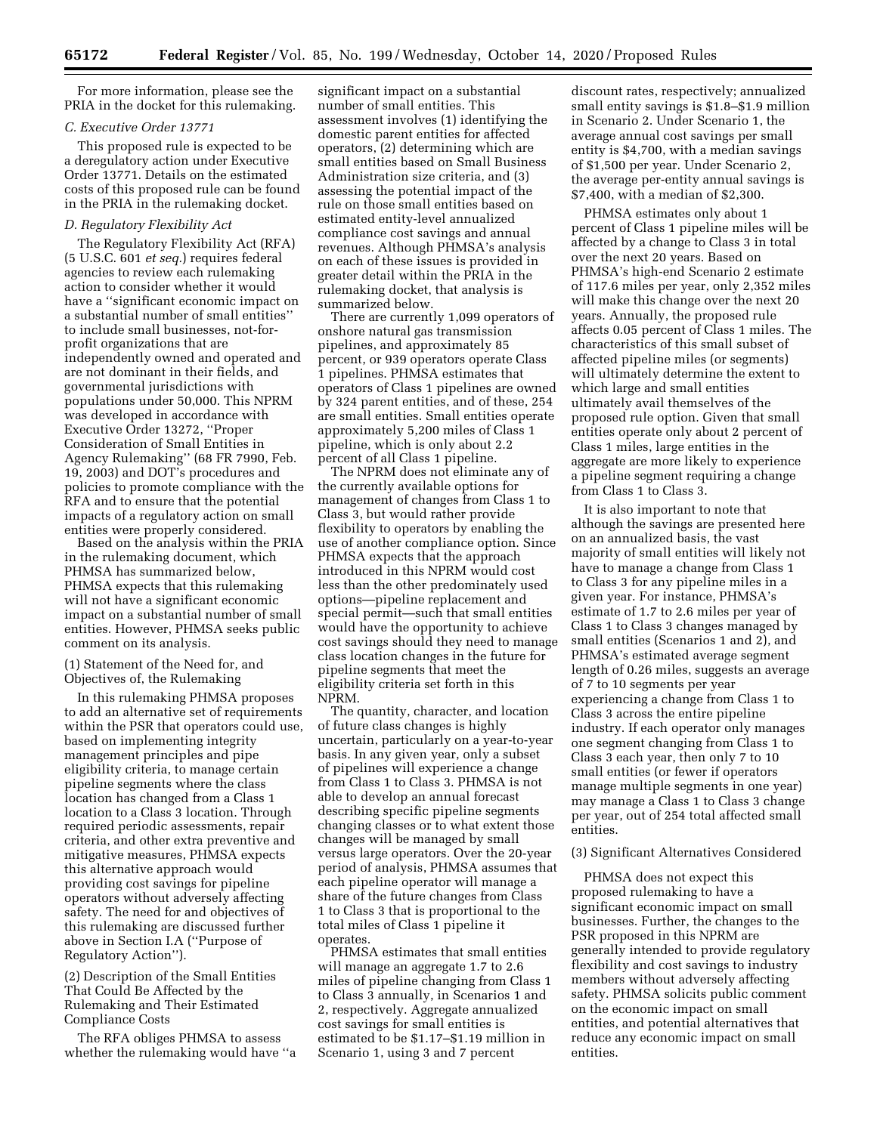For more information, please see the PRIA in the docket for this rulemaking.

## *C. Executive Order 13771*

This proposed rule is expected to be a deregulatory action under Executive Order 13771. Details on the estimated costs of this proposed rule can be found in the PRIA in the rulemaking docket.

## *D. Regulatory Flexibility Act*

The Regulatory Flexibility Act (RFA) (5 U.S.C. 601 *et seq.*) requires federal agencies to review each rulemaking action to consider whether it would have a ''significant economic impact on a substantial number of small entities'' to include small businesses, not-forprofit organizations that are independently owned and operated and are not dominant in their fields, and governmental jurisdictions with populations under 50,000. This NPRM was developed in accordance with Executive Order 13272, ''Proper Consideration of Small Entities in Agency Rulemaking'' (68 FR 7990, Feb. 19, 2003) and DOT's procedures and policies to promote compliance with the RFA and to ensure that the potential impacts of a regulatory action on small entities were properly considered.

Based on the analysis within the PRIA in the rulemaking document, which PHMSA has summarized below, PHMSA expects that this rulemaking will not have a significant economic impact on a substantial number of small entities. However, PHMSA seeks public comment on its analysis.

(1) Statement of the Need for, and Objectives of, the Rulemaking

In this rulemaking PHMSA proposes to add an alternative set of requirements within the PSR that operators could use, based on implementing integrity management principles and pipe eligibility criteria, to manage certain pipeline segments where the class location has changed from a Class 1 location to a Class 3 location. Through required periodic assessments, repair criteria, and other extra preventive and mitigative measures, PHMSA expects this alternative approach would providing cost savings for pipeline operators without adversely affecting safety. The need for and objectives of this rulemaking are discussed further above in Section I.A (''Purpose of Regulatory Action'').

(2) Description of the Small Entities That Could Be Affected by the Rulemaking and Their Estimated Compliance Costs

The RFA obliges PHMSA to assess whether the rulemaking would have ''a

significant impact on a substantial number of small entities. This assessment involves (1) identifying the domestic parent entities for affected operators, (2) determining which are small entities based on Small Business Administration size criteria, and (3) assessing the potential impact of the rule on those small entities based on estimated entity-level annualized compliance cost savings and annual revenues. Although PHMSA's analysis on each of these issues is provided in greater detail within the PRIA in the rulemaking docket, that analysis is summarized below.

There are currently 1,099 operators of onshore natural gas transmission pipelines, and approximately 85 percent, or 939 operators operate Class 1 pipelines. PHMSA estimates that operators of Class 1 pipelines are owned by 324 parent entities, and of these, 254 are small entities. Small entities operate approximately 5,200 miles of Class 1 pipeline, which is only about 2.2 percent of all Class 1 pipeline.

The NPRM does not eliminate any of the currently available options for management of changes from Class 1 to Class 3, but would rather provide flexibility to operators by enabling the use of another compliance option. Since PHMSA expects that the approach introduced in this NPRM would cost less than the other predominately used options—pipeline replacement and special permit—such that small entities would have the opportunity to achieve cost savings should they need to manage class location changes in the future for pipeline segments that meet the eligibility criteria set forth in this NPRM.

The quantity, character, and location of future class changes is highly uncertain, particularly on a year-to-year basis. In any given year, only a subset of pipelines will experience a change from Class 1 to Class 3. PHMSA is not able to develop an annual forecast describing specific pipeline segments changing classes or to what extent those changes will be managed by small versus large operators. Over the 20-year period of analysis, PHMSA assumes that each pipeline operator will manage a share of the future changes from Class 1 to Class 3 that is proportional to the total miles of Class 1 pipeline it operates.

PHMSA estimates that small entities will manage an aggregate 1.7 to 2.6 miles of pipeline changing from Class 1 to Class 3 annually, in Scenarios 1 and 2, respectively. Aggregate annualized cost savings for small entities is estimated to be \$1.17–\$1.19 million in Scenario 1, using 3 and 7 percent

discount rates, respectively; annualized small entity savings is \$1.8–\$1.9 million in Scenario 2. Under Scenario 1, the average annual cost savings per small entity is \$4,700, with a median savings of \$1,500 per year. Under Scenario 2, the average per-entity annual savings is \$7,400, with a median of \$2,300.

PHMSA estimates only about 1 percent of Class 1 pipeline miles will be affected by a change to Class 3 in total over the next 20 years. Based on PHMSA's high-end Scenario 2 estimate of 117.6 miles per year, only 2,352 miles will make this change over the next 20 years. Annually, the proposed rule affects 0.05 percent of Class 1 miles. The characteristics of this small subset of affected pipeline miles (or segments) will ultimately determine the extent to which large and small entities ultimately avail themselves of the proposed rule option. Given that small entities operate only about 2 percent of Class 1 miles, large entities in the aggregate are more likely to experience a pipeline segment requiring a change from Class 1 to Class 3.

It is also important to note that although the savings are presented here on an annualized basis, the vast majority of small entities will likely not have to manage a change from Class 1 to Class 3 for any pipeline miles in a given year. For instance, PHMSA's estimate of 1.7 to 2.6 miles per year of Class 1 to Class 3 changes managed by small entities (Scenarios 1 and 2), and PHMSA's estimated average segment length of 0.26 miles, suggests an average of 7 to 10 segments per year experiencing a change from Class 1 to Class 3 across the entire pipeline industry. If each operator only manages one segment changing from Class 1 to Class 3 each year, then only 7 to 10 small entities (or fewer if operators manage multiple segments in one year) may manage a Class 1 to Class 3 change per year, out of 254 total affected small entities.

## (3) Significant Alternatives Considered

PHMSA does not expect this proposed rulemaking to have a significant economic impact on small businesses. Further, the changes to the PSR proposed in this NPRM are generally intended to provide regulatory flexibility and cost savings to industry members without adversely affecting safety. PHMSA solicits public comment on the economic impact on small entities, and potential alternatives that reduce any economic impact on small entities.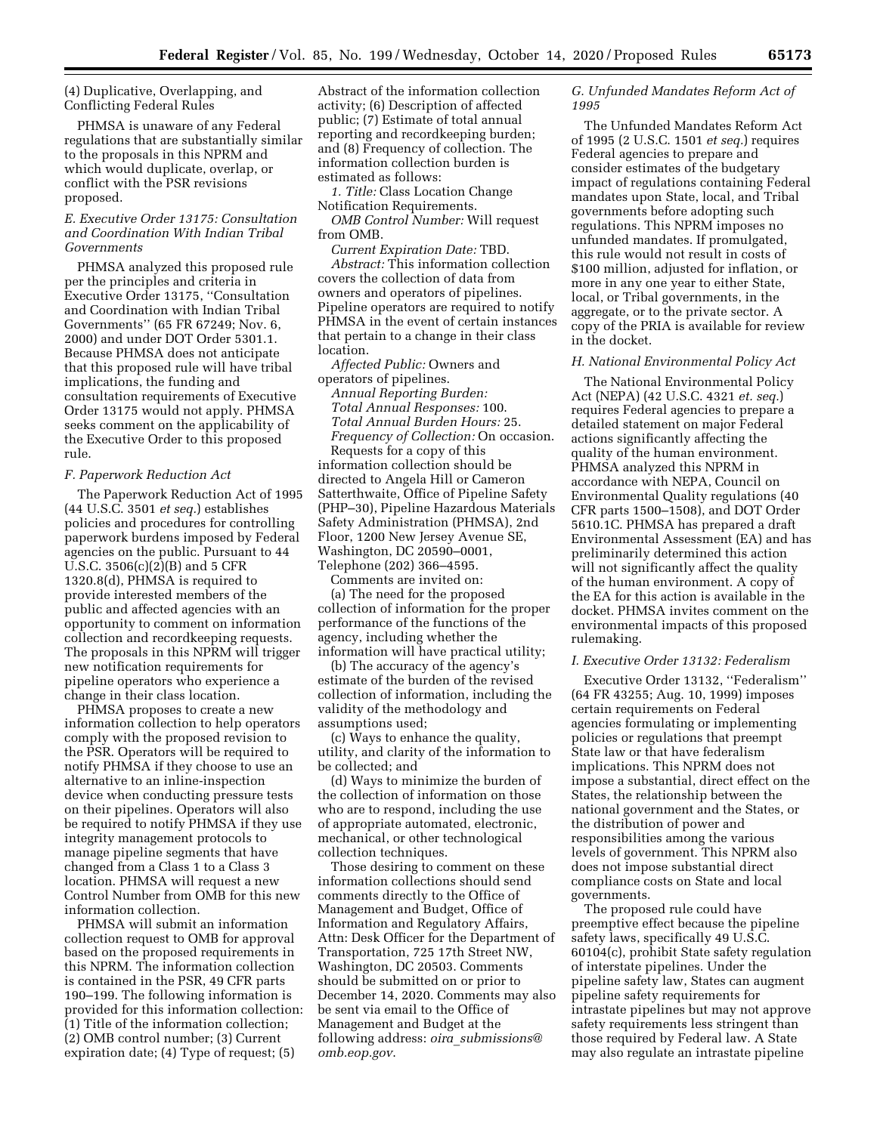(4) Duplicative, Overlapping, and Conflicting Federal Rules

PHMSA is unaware of any Federal regulations that are substantially similar to the proposals in this NPRM and which would duplicate, overlap, or conflict with the PSR revisions proposed.

# *E. Executive Order 13175: Consultation and Coordination With Indian Tribal Governments*

PHMSA analyzed this proposed rule per the principles and criteria in Executive Order 13175, ''Consultation and Coordination with Indian Tribal Governments'' (65 FR 67249; Nov. 6, 2000) and under DOT Order 5301.1. Because PHMSA does not anticipate that this proposed rule will have tribal implications, the funding and consultation requirements of Executive Order 13175 would not apply. PHMSA seeks comment on the applicability of the Executive Order to this proposed rule.

#### *F. Paperwork Reduction Act*

The Paperwork Reduction Act of 1995 (44 U.S.C. 3501 *et seq.*) establishes policies and procedures for controlling paperwork burdens imposed by Federal agencies on the public. Pursuant to 44 U.S.C. 3506(c)(2)(B) and 5 CFR 1320.8(d), PHMSA is required to provide interested members of the public and affected agencies with an opportunity to comment on information collection and recordkeeping requests. The proposals in this NPRM will trigger new notification requirements for pipeline operators who experience a change in their class location.

PHMSA proposes to create a new information collection to help operators comply with the proposed revision to the PSR. Operators will be required to notify PHMSA if they choose to use an alternative to an inline-inspection device when conducting pressure tests on their pipelines. Operators will also be required to notify PHMSA if they use integrity management protocols to manage pipeline segments that have changed from a Class 1 to a Class 3 location. PHMSA will request a new Control Number from OMB for this new information collection.

PHMSA will submit an information collection request to OMB for approval based on the proposed requirements in this NPRM. The information collection is contained in the PSR, 49 CFR parts 190–199. The following information is provided for this information collection: (1) Title of the information collection; (2) OMB control number; (3) Current expiration date; (4) Type of request; (5)

Abstract of the information collection activity; (6) Description of affected public; (7) Estimate of total annual reporting and recordkeeping burden; and (8) Frequency of collection. The information collection burden is estimated as follows:

*1. Title:* Class Location Change Notification Requirements.

*OMB Control Number:* Will request from OMB.

*Current Expiration Date:* TBD. *Abstract:* This information collection covers the collection of data from owners and operators of pipelines. Pipeline operators are required to notify PHMSA in the event of certain instances that pertain to a change in their class location.

*Affected Public:* Owners and operators of pipelines.

*Annual Reporting Burden: Total Annual Responses:* 100. *Total Annual Burden Hours:* 25. *Frequency of Collection:* On occasion.

Requests for a copy of this information collection should be directed to Angela Hill or Cameron Satterthwaite, Office of Pipeline Safety (PHP–30), Pipeline Hazardous Materials Safety Administration (PHMSA), 2nd Floor, 1200 New Jersey Avenue SE, Washington, DC 20590–0001, Telephone (202) 366–4595.

Comments are invited on: (a) The need for the proposed collection of information for the proper performance of the functions of the agency, including whether the information will have practical utility;

(b) The accuracy of the agency's estimate of the burden of the revised collection of information, including the validity of the methodology and assumptions used;

(c) Ways to enhance the quality, utility, and clarity of the information to be collected; and

(d) Ways to minimize the burden of the collection of information on those who are to respond, including the use of appropriate automated, electronic, mechanical, or other technological collection techniques.

Those desiring to comment on these information collections should send comments directly to the Office of Management and Budget, Office of Information and Regulatory Affairs, Attn: Desk Officer for the Department of Transportation, 725 17th Street NW, Washington, DC 20503. Comments should be submitted on or prior to December 14, 2020. Comments may also be sent via email to the Office of Management and Budget at the following address: *oira*\_*[submissions@](mailto:oira_submissions@omb.eop.gov) [omb.eop.gov](mailto:oira_submissions@omb.eop.gov)*.

## *G. Unfunded Mandates Reform Act of 1995*

The Unfunded Mandates Reform Act of 1995 (2 U.S.C. 1501 *et seq.*) requires Federal agencies to prepare and consider estimates of the budgetary impact of regulations containing Federal mandates upon State, local, and Tribal governments before adopting such regulations. This NPRM imposes no unfunded mandates. If promulgated, this rule would not result in costs of \$100 million, adjusted for inflation, or more in any one year to either State, local, or Tribal governments, in the aggregate, or to the private sector. A copy of the PRIA is available for review in the docket.

#### *H. National Environmental Policy Act*

The National Environmental Policy Act (NEPA) (42 U.S.C. 4321 *et. seq.*) requires Federal agencies to prepare a detailed statement on major Federal actions significantly affecting the quality of the human environment. PHMSA analyzed this NPRM in accordance with NEPA, Council on Environmental Quality regulations (40 CFR parts 1500–1508), and DOT Order 5610.1C. PHMSA has prepared a draft Environmental Assessment (EA) and has preliminarily determined this action will not significantly affect the quality of the human environment. A copy of the EA for this action is available in the docket. PHMSA invites comment on the environmental impacts of this proposed rulemaking.

## *I. Executive Order 13132: Federalism*

Executive Order 13132, ''Federalism'' (64 FR 43255; Aug. 10, 1999) imposes certain requirements on Federal agencies formulating or implementing policies or regulations that preempt State law or that have federalism implications. This NPRM does not impose a substantial, direct effect on the States, the relationship between the national government and the States, or the distribution of power and responsibilities among the various levels of government. This NPRM also does not impose substantial direct compliance costs on State and local governments.

The proposed rule could have preemptive effect because the pipeline safety laws, specifically 49 U.S.C. 60104(c), prohibit State safety regulation of interstate pipelines. Under the pipeline safety law, States can augment pipeline safety requirements for intrastate pipelines but may not approve safety requirements less stringent than those required by Federal law. A State may also regulate an intrastate pipeline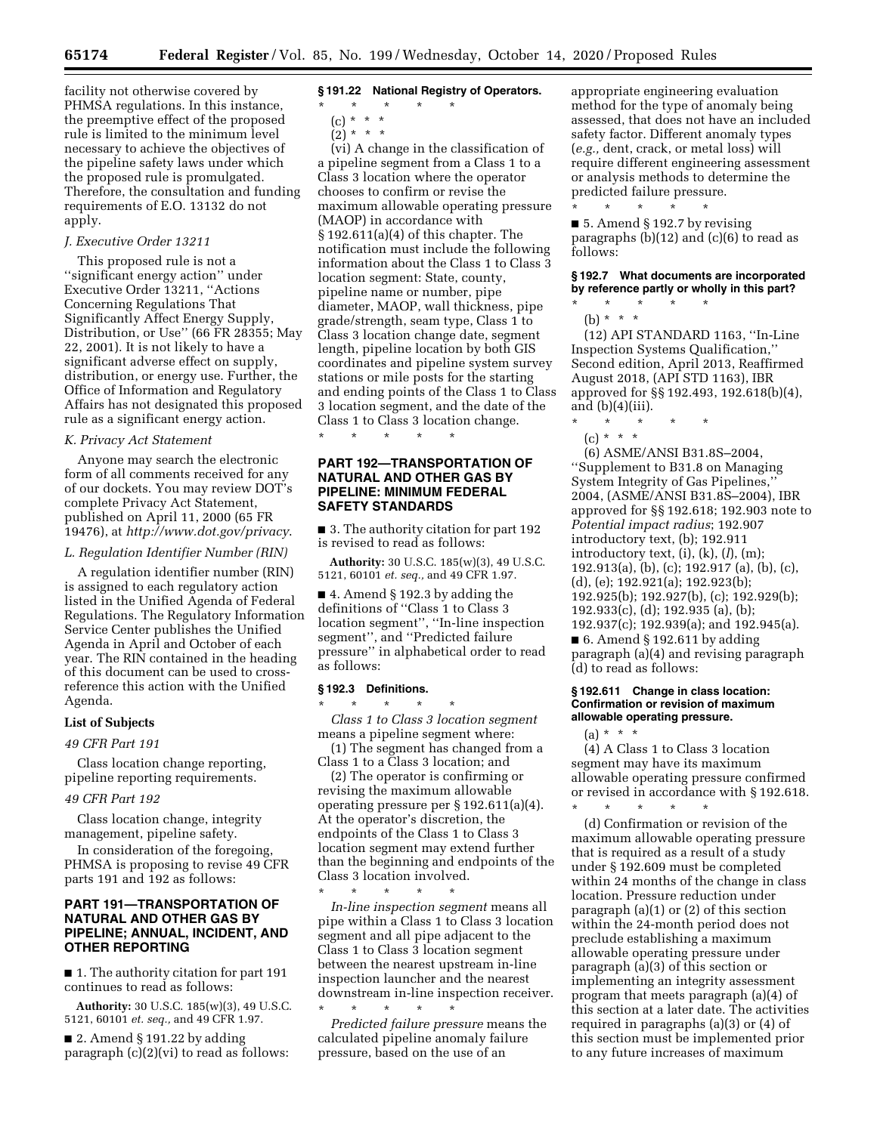facility not otherwise covered by PHMSA regulations. In this instance, the preemptive effect of the proposed rule is limited to the minimum level necessary to achieve the objectives of the pipeline safety laws under which the proposed rule is promulgated. Therefore, the consultation and funding requirements of E.O. 13132 do not apply.

## *J. Executive Order 13211*

This proposed rule is not a ''significant energy action'' under Executive Order 13211, ''Actions Concerning Regulations That Significantly Affect Energy Supply, Distribution, or Use'' (66 FR 28355; May 22, 2001). It is not likely to have a significant adverse effect on supply, distribution, or energy use. Further, the Office of Information and Regulatory Affairs has not designated this proposed rule as a significant energy action.

#### *K. Privacy Act Statement*

Anyone may search the electronic form of all comments received for any of our dockets. You may review DOT's complete Privacy Act Statement, published on April 11, 2000 (65 FR 19476), at *<http://www.dot.gov/privacy>*.

#### *L. Regulation Identifier Number (RIN)*

A regulation identifier number (RIN) is assigned to each regulatory action listed in the Unified Agenda of Federal Regulations. The Regulatory Information Service Center publishes the Unified Agenda in April and October of each year. The RIN contained in the heading of this document can be used to crossreference this action with the Unified Agenda.

# **List of Subjects**

## *49 CFR Part 191*

Class location change reporting, pipeline reporting requirements.

#### *49 CFR Part 192*

Class location change, integrity management, pipeline safety.

In consideration of the foregoing, PHMSA is proposing to revise 49 CFR parts 191 and 192 as follows:

# **PART 191—TRANSPORTATION OF NATURAL AND OTHER GAS BY PIPELINE; ANNUAL, INCIDENT, AND OTHER REPORTING**

■ 1. The authority citation for part 191 continues to read as follows:

**Authority:** 30 U.S.C. 185(w)(3), 49 U.S.C. 5121, 60101 *et. seq.,* and 49 CFR 1.97.

 $\blacksquare$  2. Amend § 191.22 by adding paragraph (c)(2)(vi) to read as follows:

#### **§ 191.22 National Registry of Operators.**  \* \* \* \* \*

(c) \* \* \*

 $(2) * * * *$ 

(vi) A change in the classification of a pipeline segment from a Class 1 to a Class 3 location where the operator chooses to confirm or revise the maximum allowable operating pressure (MAOP) in accordance with § 192.611(a)(4) of this chapter. The notification must include the following information about the Class 1 to Class 3 location segment: State, county, pipeline name or number, pipe diameter, MAOP, wall thickness, pipe grade/strength, seam type, Class 1 to Class 3 location change date, segment length, pipeline location by both GIS coordinates and pipeline system survey stations or mile posts for the starting and ending points of the Class 1 to Class 3 location segment, and the date of the Class 1 to Class 3 location change.

# **PART 192—TRANSPORTATION OF NATURAL AND OTHER GAS BY PIPELINE: MINIMUM FEDERAL SAFETY STANDARDS**

\* \* \* \* \*

■ 3. The authority citation for part 192 is revised to read as follows:

**Authority:** 30 U.S.C. 185(w)(3), 49 U.S.C. 5121, 60101 *et. seq.,* and 49 CFR 1.97.

■ 4. Amend § 192.3 by adding the definitions of ''Class 1 to Class 3 location segment'', ''In-line inspection segment'', and ''Predicted failure pressure'' in alphabetical order to read as follows:

#### **§ 192.3 Definitions.**

\* \* \* \* \* *Class 1 to Class 3 location segment*  means a pipeline segment where:

(1) The segment has changed from a Class 1 to a Class 3 location; and

(2) The operator is confirming or revising the maximum allowable operating pressure per § 192.611(a)(4). At the operator's discretion, the endpoints of the Class 1 to Class 3 location segment may extend further than the beginning and endpoints of the Class 3 location involved.

\* \* \* \* \* *In-line inspection segment* means all pipe within a Class 1 to Class 3 location segment and all pipe adjacent to the Class 1 to Class 3 location segment between the nearest upstream in-line inspection launcher and the nearest downstream in-line inspection receiver. \* \* \* \* \*

*Predicted failure pressure* means the calculated pipeline anomaly failure pressure, based on the use of an

appropriate engineering evaluation method for the type of anomaly being assessed, that does not have an included safety factor. Different anomaly types (*e.g.,* dent, crack, or metal loss) will require different engineering assessment or analysis methods to determine the predicted failure pressure.

\* \* \* \* \* ■ 5. Amend § 192.7 by revising paragraphs  $(b)(12)$  and  $(c)(6)$  to read as follows:

## **§ 192.7 What documents are incorporated by reference partly or wholly in this part?**

\* \* \* \* \* (b) \* \* \*

(12) API STANDARD 1163, ''In-Line Inspection Systems Qualification,'' Second edition, April 2013, Reaffirmed August 2018, (API STD 1163), IBR approved for §§ 192.493, 192.618(b)(4), and  $(b)(4)(iii)$ .

\* \* \* \* \*

(c) \* \* \*

(6) ASME/ANSI B31.8S–2004, ''Supplement to B31.8 on Managing System Integrity of Gas Pipelines,'' 2004, (ASME/ANSI B31.8S–2004), IBR approved for §§ 192.618; 192.903 note to *Potential impact radius*; 192.907 introductory text, (b); 192.911 introductory text, (i), (k), (*l*), (m); 192.913(a), (b), (c); 192.917 (a), (b), (c), (d), (e); 192.921(a); 192.923(b); 192.925(b); 192.927(b), (c); 192.929(b); 192.933(c), (d); 192.935 (a), (b); 192.937(c); 192.939(a); and 192.945(a).  $\blacksquare$  6. Amend § 192.611 by adding paragraph (a)(4) and revising paragraph (d) to read as follows:

## **§ 192.611 Change in class location: Confirmation or revision of maximum allowable operating pressure.**

\* \* \* \* \*

 $(a) * * * *$ 

(4) A Class 1 to Class 3 location segment may have its maximum allowable operating pressure confirmed or revised in accordance with § 192.618.

(d) Confirmation or revision of the maximum allowable operating pressure that is required as a result of a study under § 192.609 must be completed within 24 months of the change in class location. Pressure reduction under paragraph (a)(1) or (2) of this section within the 24-month period does not preclude establishing a maximum allowable operating pressure under paragraph (a)(3) of this section or implementing an integrity assessment program that meets paragraph (a)(4) of this section at a later date. The activities required in paragraphs (a)(3) or (4) of this section must be implemented prior to any future increases of maximum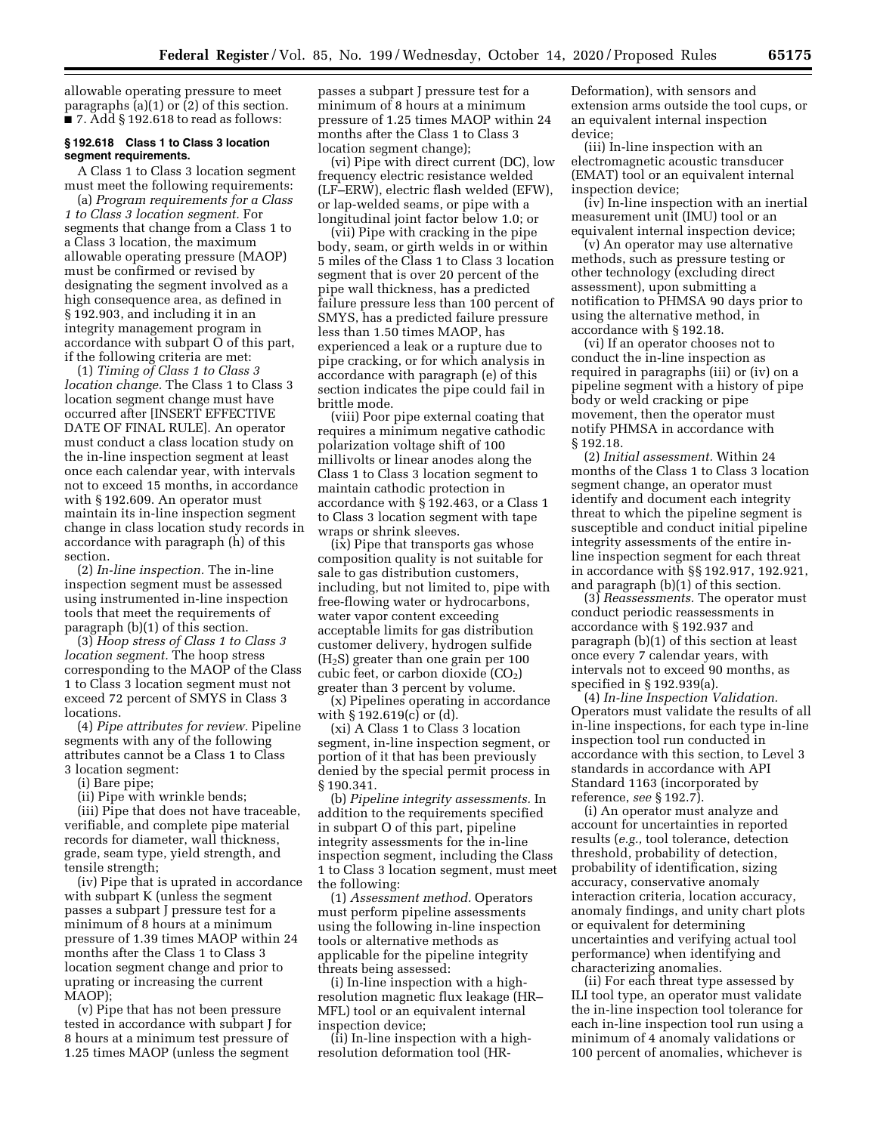allowable operating pressure to meet paragraphs (a)(1) or  $(2)$  of this section.  $\blacksquare$  7. Add § 192.618 to read as follows:

## **§ 192.618 Class 1 to Class 3 location segment requirements.**

A Class 1 to Class 3 location segment must meet the following requirements:

(a) *Program requirements for a Class 1 to Class 3 location segment.* For segments that change from a Class 1 to a Class 3 location, the maximum allowable operating pressure (MAOP) must be confirmed or revised by designating the segment involved as a high consequence area, as defined in § 192.903, and including it in an integrity management program in accordance with subpart O of this part, if the following criteria are met:

(1) *Timing of Class 1 to Class 3 location change.* The Class 1 to Class 3 location segment change must have occurred after [INSERT EFFECTIVE DATE OF FINAL RULE]. An operator must conduct a class location study on the in-line inspection segment at least once each calendar year, with intervals not to exceed 15 months, in accordance with § 192.609. An operator must maintain its in-line inspection segment change in class location study records in accordance with paragraph (h) of this section.

(2) *In-line inspection.* The in-line inspection segment must be assessed using instrumented in-line inspection tools that meet the requirements of paragraph (b)(1) of this section.

(3) *Hoop stress of Class 1 to Class 3 location segment.* The hoop stress corresponding to the MAOP of the Class 1 to Class 3 location segment must not exceed 72 percent of SMYS in Class 3 locations.

(4) *Pipe attributes for review.* Pipeline segments with any of the following attributes cannot be a Class 1 to Class 3 location segment:

(i) Bare pipe;

(ii) Pipe with wrinkle bends;

(iii) Pipe that does not have traceable, verifiable, and complete pipe material records for diameter, wall thickness, grade, seam type, yield strength, and tensile strength;

(iv) Pipe that is uprated in accordance with subpart K (unless the segment passes a subpart J pressure test for a minimum of 8 hours at a minimum pressure of 1.39 times MAOP within 24 months after the Class 1 to Class 3 location segment change and prior to uprating or increasing the current MAOP);

(v) Pipe that has not been pressure tested in accordance with subpart J for 8 hours at a minimum test pressure of 1.25 times MAOP (unless the segment

passes a subpart J pressure test for a minimum of 8 hours at a minimum pressure of 1.25 times MAOP within 24 months after the Class 1 to Class 3 location segment change);

(vi) Pipe with direct current (DC), low frequency electric resistance welded (LF–ERW), electric flash welded (EFW), or lap-welded seams, or pipe with a longitudinal joint factor below 1.0; or

(vii) Pipe with cracking in the pipe body, seam, or girth welds in or within 5 miles of the Class 1 to Class 3 location segment that is over 20 percent of the pipe wall thickness, has a predicted failure pressure less than 100 percent of SMYS, has a predicted failure pressure less than 1.50 times MAOP, has experienced a leak or a rupture due to pipe cracking, or for which analysis in accordance with paragraph (e) of this section indicates the pipe could fail in brittle mode.

(viii) Poor pipe external coating that requires a minimum negative cathodic polarization voltage shift of 100 millivolts or linear anodes along the Class 1 to Class 3 location segment to maintain cathodic protection in accordance with § 192.463, or a Class 1 to Class 3 location segment with tape wraps or shrink sleeves.

(ix) Pipe that transports gas whose composition quality is not suitable for sale to gas distribution customers, including, but not limited to, pipe with free-flowing water or hydrocarbons, water vapor content exceeding acceptable limits for gas distribution customer delivery, hydrogen sulfide  $(H<sub>2</sub>S)$  greater than one grain per 100 cubic feet, or carbon dioxide  $(CO<sub>2</sub>)$ greater than 3 percent by volume.

(x) Pipelines operating in accordance with § 192.619(c) or (d).

(xi) A Class 1 to Class 3 location segment, in-line inspection segment, or portion of it that has been previously denied by the special permit process in § 190.341.

(b) *Pipeline integrity assessments.* In addition to the requirements specified in subpart O of this part, pipeline integrity assessments for the in-line inspection segment, including the Class 1 to Class 3 location segment, must meet the following:

(1) *Assessment method.* Operators must perform pipeline assessments using the following in-line inspection tools or alternative methods as applicable for the pipeline integrity threats being assessed:

(i) In-line inspection with a highresolution magnetic flux leakage (HR– MFL) tool or an equivalent internal inspection device;

(ii) In-line inspection with a highresolution deformation tool (HR-

Deformation), with sensors and extension arms outside the tool cups, or an equivalent internal inspection device;

(iii) In-line inspection with an electromagnetic acoustic transducer (EMAT) tool or an equivalent internal inspection device;

(iv) In-line inspection with an inertial measurement unit (IMU) tool or an equivalent internal inspection device;

(v) An operator may use alternative methods, such as pressure testing or other technology (excluding direct assessment), upon submitting a notification to PHMSA 90 days prior to using the alternative method, in accordance with § 192.18.

(vi) If an operator chooses not to conduct the in-line inspection as required in paragraphs (iii) or (iv) on a pipeline segment with a history of pipe body or weld cracking or pipe movement, then the operator must notify PHMSA in accordance with § 192.18.

(2) *Initial assessment.* Within 24 months of the Class 1 to Class 3 location segment change, an operator must identify and document each integrity threat to which the pipeline segment is susceptible and conduct initial pipeline integrity assessments of the entire inline inspection segment for each threat in accordance with §§ 192.917, 192.921, and paragraph (b)(1) of this section.

(3) *Reassessments.* The operator must conduct periodic reassessments in accordance with § 192.937 and paragraph (b)(1) of this section at least once every 7 calendar years, with intervals not to exceed 90 months, as specified in § 192.939(a).

(4) *In-line Inspection Validation.*  Operators must validate the results of all in-line inspections, for each type in-line inspection tool run conducted in accordance with this section, to Level 3 standards in accordance with API Standard 1163 (incorporated by reference, *see* § 192.7).

(i) An operator must analyze and account for uncertainties in reported results (*e.g.,* tool tolerance, detection threshold, probability of detection, probability of identification, sizing accuracy, conservative anomaly interaction criteria, location accuracy, anomaly findings, and unity chart plots or equivalent for determining uncertainties and verifying actual tool performance) when identifying and characterizing anomalies.

(ii) For each threat type assessed by ILI tool type, an operator must validate the in-line inspection tool tolerance for each in-line inspection tool run using a minimum of 4 anomaly validations or 100 percent of anomalies, whichever is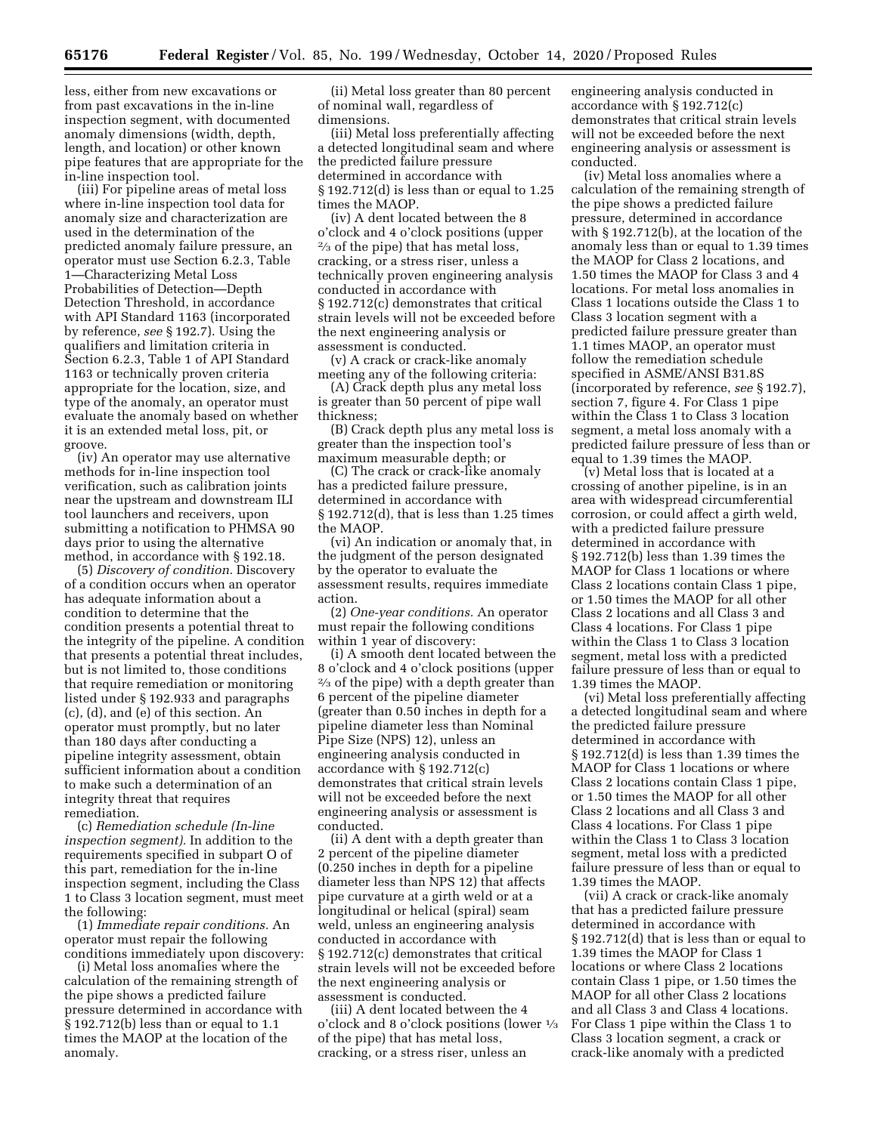less, either from new excavations or from past excavations in the in-line inspection segment, with documented anomaly dimensions (width, depth, length, and location) or other known pipe features that are appropriate for the in-line inspection tool.

(iii) For pipeline areas of metal loss where in-line inspection tool data for anomaly size and characterization are used in the determination of the predicted anomaly failure pressure, an operator must use Section 6.2.3, Table 1—Characterizing Metal Loss Probabilities of Detection—Depth Detection Threshold, in accordance with API Standard 1163 (incorporated by reference, *see* § 192.7). Using the qualifiers and limitation criteria in Section 6.2.3, Table 1 of API Standard 1163 or technically proven criteria appropriate for the location, size, and type of the anomaly, an operator must evaluate the anomaly based on whether it is an extended metal loss, pit, or groove.

(iv) An operator may use alternative methods for in-line inspection tool verification, such as calibration joints near the upstream and downstream ILI tool launchers and receivers, upon submitting a notification to PHMSA 90 days prior to using the alternative method, in accordance with § 192.18.

(5) *Discovery of condition.* Discovery of a condition occurs when an operator has adequate information about a condition to determine that the condition presents a potential threat to the integrity of the pipeline. A condition that presents a potential threat includes, but is not limited to, those conditions that require remediation or monitoring listed under § 192.933 and paragraphs (c), (d), and (e) of this section. An operator must promptly, but no later than 180 days after conducting a pipeline integrity assessment, obtain sufficient information about a condition to make such a determination of an integrity threat that requires remediation.

(c) *Remediation schedule (In-line inspection segment).* In addition to the requirements specified in subpart O of this part, remediation for the in-line inspection segment, including the Class 1 to Class 3 location segment, must meet the following:

(1) *Immediate repair conditions.* An operator must repair the following conditions immediately upon discovery:

(i) Metal loss anomalies where the calculation of the remaining strength of the pipe shows a predicted failure pressure determined in accordance with § 192.712(b) less than or equal to 1.1 times the MAOP at the location of the anomaly.

(ii) Metal loss greater than 80 percent of nominal wall, regardless of dimensions.

(iii) Metal loss preferentially affecting a detected longitudinal seam and where the predicted failure pressure determined in accordance with  $\S 192.712(d)$  is less than or equal to 1.25 times the MAOP.

(iv) A dent located between the 8 o'clock and 4 o'clock positions (upper 2⁄3 of the pipe) that has metal loss, cracking, or a stress riser, unless a technically proven engineering analysis conducted in accordance with § 192.712(c) demonstrates that critical strain levels will not be exceeded before the next engineering analysis or assessment is conducted.

(v) A crack or crack-like anomaly meeting any of the following criteria:

(A) Crack depth plus any metal loss is greater than 50 percent of pipe wall thickness;

(B) Crack depth plus any metal loss is greater than the inspection tool's maximum measurable depth; or

(C) The crack or crack-like anomaly has a predicted failure pressure, determined in accordance with § 192.712(d), that is less than 1.25 times the MAOP.

(vi) An indication or anomaly that, in the judgment of the person designated by the operator to evaluate the assessment results, requires immediate action.

(2) *One-year conditions.* An operator must repair the following conditions within 1 year of discovery:

(i) A smooth dent located between the 8 o'clock and 4 o'clock positions (upper  $\frac{2}{3}$  of the pipe) with a depth greater than 6 percent of the pipeline diameter (greater than 0.50 inches in depth for a pipeline diameter less than Nominal Pipe Size (NPS) 12), unless an engineering analysis conducted in accordance with § 192.712(c) demonstrates that critical strain levels will not be exceeded before the next engineering analysis or assessment is conducted.

(ii) A dent with a depth greater than 2 percent of the pipeline diameter (0.250 inches in depth for a pipeline diameter less than NPS 12) that affects pipe curvature at a girth weld or at a longitudinal or helical (spiral) seam weld, unless an engineering analysis conducted in accordance with § 192.712(c) demonstrates that critical strain levels will not be exceeded before the next engineering analysis or assessment is conducted.

(iii) A dent located between the 4 o'clock and 8 o'clock positions (lower 1⁄3 of the pipe) that has metal loss, cracking, or a stress riser, unless an

engineering analysis conducted in accordance with § 192.712(c) demonstrates that critical strain levels will not be exceeded before the next engineering analysis or assessment is conducted.

(iv) Metal loss anomalies where a calculation of the remaining strength of the pipe shows a predicted failure pressure, determined in accordance with § 192.712(b), at the location of the anomaly less than or equal to 1.39 times the MAOP for Class 2 locations, and 1.50 times the MAOP for Class 3 and 4 locations. For metal loss anomalies in Class 1 locations outside the Class 1 to Class 3 location segment with a predicted failure pressure greater than 1.1 times MAOP, an operator must follow the remediation schedule specified in ASME/ANSI B31.8S (incorporated by reference, *see* § 192.7), section 7, figure 4. For Class 1 pipe within the Class 1 to Class 3 location segment, a metal loss anomaly with a predicted failure pressure of less than or equal to 1.39 times the MAOP.

(v) Metal loss that is located at a crossing of another pipeline, is in an area with widespread circumferential corrosion, or could affect a girth weld, with a predicted failure pressure determined in accordance with § 192.712(b) less than 1.39 times the MAOP for Class 1 locations or where Class 2 locations contain Class 1 pipe, or 1.50 times the MAOP for all other Class 2 locations and all Class 3 and Class 4 locations. For Class 1 pipe within the Class 1 to Class 3 location segment, metal loss with a predicted failure pressure of less than or equal to 1.39 times the MAOP.

(vi) Metal loss preferentially affecting a detected longitudinal seam and where the predicted failure pressure determined in accordance with § 192.712(d) is less than 1.39 times the MAOP for Class 1 locations or where Class 2 locations contain Class 1 pipe, or 1.50 times the MAOP for all other Class 2 locations and all Class 3 and Class 4 locations. For Class 1 pipe within the Class 1 to Class 3 location segment, metal loss with a predicted failure pressure of less than or equal to 1.39 times the MAOP.

(vii) A crack or crack-like anomaly that has a predicted failure pressure determined in accordance with § 192.712(d) that is less than or equal to 1.39 times the MAOP for Class 1 locations or where Class 2 locations contain Class 1 pipe, or 1.50 times the MAOP for all other Class 2 locations and all Class 3 and Class 4 locations. For Class 1 pipe within the Class 1 to Class 3 location segment, a crack or crack-like anomaly with a predicted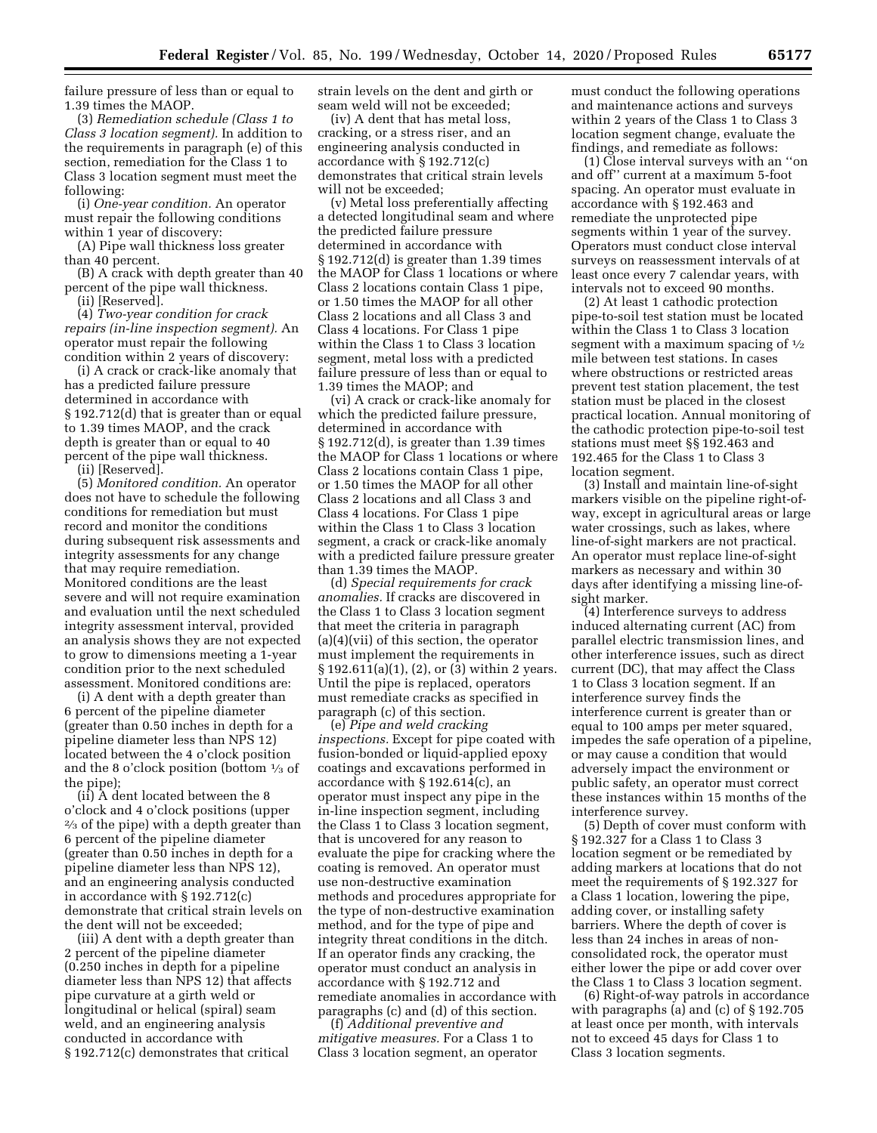failure pressure of less than or equal to 1.39 times the MAOP.

(3) *Remediation schedule (Class 1 to Class 3 location segment).* In addition to the requirements in paragraph (e) of this section, remediation for the Class 1 to Class 3 location segment must meet the following:

(i) *One-year condition.* An operator must repair the following conditions within 1 year of discovery:

(A) Pipe wall thickness loss greater than 40 percent.

(B) A crack with depth greater than 40 percent of the pipe wall thickness. (ii) [Reserved].

(4) *Two-year condition for crack repairs (in-line inspection segment).* An operator must repair the following condition within 2 years of discovery:

(i) A crack or crack-like anomaly that has a predicted failure pressure determined in accordance with § 192.712(d) that is greater than or equal to 1.39 times MAOP, and the crack depth is greater than or equal to 40 percent of the pipe wall thickness. (ii) [Reserved].

(5) *Monitored condition.* An operator does not have to schedule the following conditions for remediation but must record and monitor the conditions during subsequent risk assessments and integrity assessments for any change that may require remediation. Monitored conditions are the least severe and will not require examination and evaluation until the next scheduled integrity assessment interval, provided an analysis shows they are not expected to grow to dimensions meeting a 1-year condition prior to the next scheduled assessment. Monitored conditions are:

(i) A dent with a depth greater than 6 percent of the pipeline diameter (greater than 0.50 inches in depth for a pipeline diameter less than NPS 12) located between the 4 o'clock position and the 8 o'clock position (bottom  $\frac{1}{3}$  of the pipe);

(ii) A dent located between the 8 o'clock and 4 o'clock positions (upper 2⁄3 of the pipe) with a depth greater than 6 percent of the pipeline diameter (greater than 0.50 inches in depth for a pipeline diameter less than NPS 12), and an engineering analysis conducted in accordance with § 192.712(c) demonstrate that critical strain levels on the dent will not be exceeded;

(iii) A dent with a depth greater than 2 percent of the pipeline diameter (0.250 inches in depth for a pipeline diameter less than NPS 12) that affects pipe curvature at a girth weld or longitudinal or helical (spiral) seam weld, and an engineering analysis conducted in accordance with § 192.712(c) demonstrates that critical

strain levels on the dent and girth or seam weld will not be exceeded;

(iv) A dent that has metal loss, cracking, or a stress riser, and an engineering analysis conducted in accordance with § 192.712(c) demonstrates that critical strain levels will not be exceeded;

(v) Metal loss preferentially affecting a detected longitudinal seam and where the predicted failure pressure determined in accordance with § 192.712(d) is greater than 1.39 times the MAOP for Class 1 locations or where Class 2 locations contain Class 1 pipe, or 1.50 times the MAOP for all other Class 2 locations and all Class 3 and Class 4 locations. For Class 1 pipe within the Class 1 to Class 3 location segment, metal loss with a predicted failure pressure of less than or equal to 1.39 times the MAOP; and

(vi) A crack or crack-like anomaly for which the predicted failure pressure, determined in accordance with § 192.712(d), is greater than 1.39 times the MAOP for Class 1 locations or where Class 2 locations contain Class 1 pipe, or 1.50 times the MAOP for all other Class 2 locations and all Class 3 and Class 4 locations. For Class 1 pipe within the Class 1 to Class 3 location segment, a crack or crack-like anomaly with a predicted failure pressure greater than 1.39 times the MAOP.

(d) *Special requirements for crack anomalies.* If cracks are discovered in the Class 1 to Class 3 location segment that meet the criteria in paragraph (a)(4)(vii) of this section, the operator must implement the requirements in § 192.611(a)(1), (2), or (3) within 2 years. Until the pipe is replaced, operators must remediate cracks as specified in paragraph (c) of this section.

(e) *Pipe and weld cracking inspections.* Except for pipe coated with fusion-bonded or liquid-applied epoxy coatings and excavations performed in accordance with § 192.614(c), an operator must inspect any pipe in the in-line inspection segment, including the Class 1 to Class 3 location segment, that is uncovered for any reason to evaluate the pipe for cracking where the coating is removed. An operator must use non-destructive examination methods and procedures appropriate for the type of non-destructive examination method, and for the type of pipe and integrity threat conditions in the ditch. If an operator finds any cracking, the operator must conduct an analysis in accordance with § 192.712 and remediate anomalies in accordance with paragraphs (c) and (d) of this section.

(f) *Additional preventive and mitigative measures.* For a Class 1 to Class 3 location segment, an operator must conduct the following operations and maintenance actions and surveys within 2 years of the Class 1 to Class 3 location segment change, evaluate the findings, and remediate as follows:

(1) Close interval surveys with an ''on and off'' current at a maximum 5-foot spacing. An operator must evaluate in accordance with § 192.463 and remediate the unprotected pipe segments within 1 year of the survey. Operators must conduct close interval surveys on reassessment intervals of at least once every 7 calendar years, with intervals not to exceed 90 months.

(2) At least 1 cathodic protection pipe-to-soil test station must be located within the Class 1 to Class 3 location segment with a maximum spacing of  $\frac{1}{2}$ mile between test stations. In cases where obstructions or restricted areas prevent test station placement, the test station must be placed in the closest practical location. Annual monitoring of the cathodic protection pipe-to-soil test stations must meet §§ 192.463 and 192.465 for the Class 1 to Class 3 location segment.

(3) Install and maintain line-of-sight markers visible on the pipeline right-ofway, except in agricultural areas or large water crossings, such as lakes, where line-of-sight markers are not practical. An operator must replace line-of-sight markers as necessary and within 30 days after identifying a missing line-ofsight marker.

(4) Interference surveys to address induced alternating current (AC) from parallel electric transmission lines, and other interference issues, such as direct current (DC), that may affect the Class 1 to Class 3 location segment. If an interference survey finds the interference current is greater than or equal to 100 amps per meter squared, impedes the safe operation of a pipeline, or may cause a condition that would adversely impact the environment or public safety, an operator must correct these instances within 15 months of the interference survey.

(5) Depth of cover must conform with § 192.327 for a Class 1 to Class 3 location segment or be remediated by adding markers at locations that do not meet the requirements of § 192.327 for a Class 1 location, lowering the pipe, adding cover, or installing safety barriers. Where the depth of cover is less than 24 inches in areas of nonconsolidated rock, the operator must either lower the pipe or add cover over the Class 1 to Class 3 location segment.

(6) Right-of-way patrols in accordance with paragraphs (a) and (c) of § 192.705 at least once per month, with intervals not to exceed 45 days for Class 1 to Class 3 location segments.